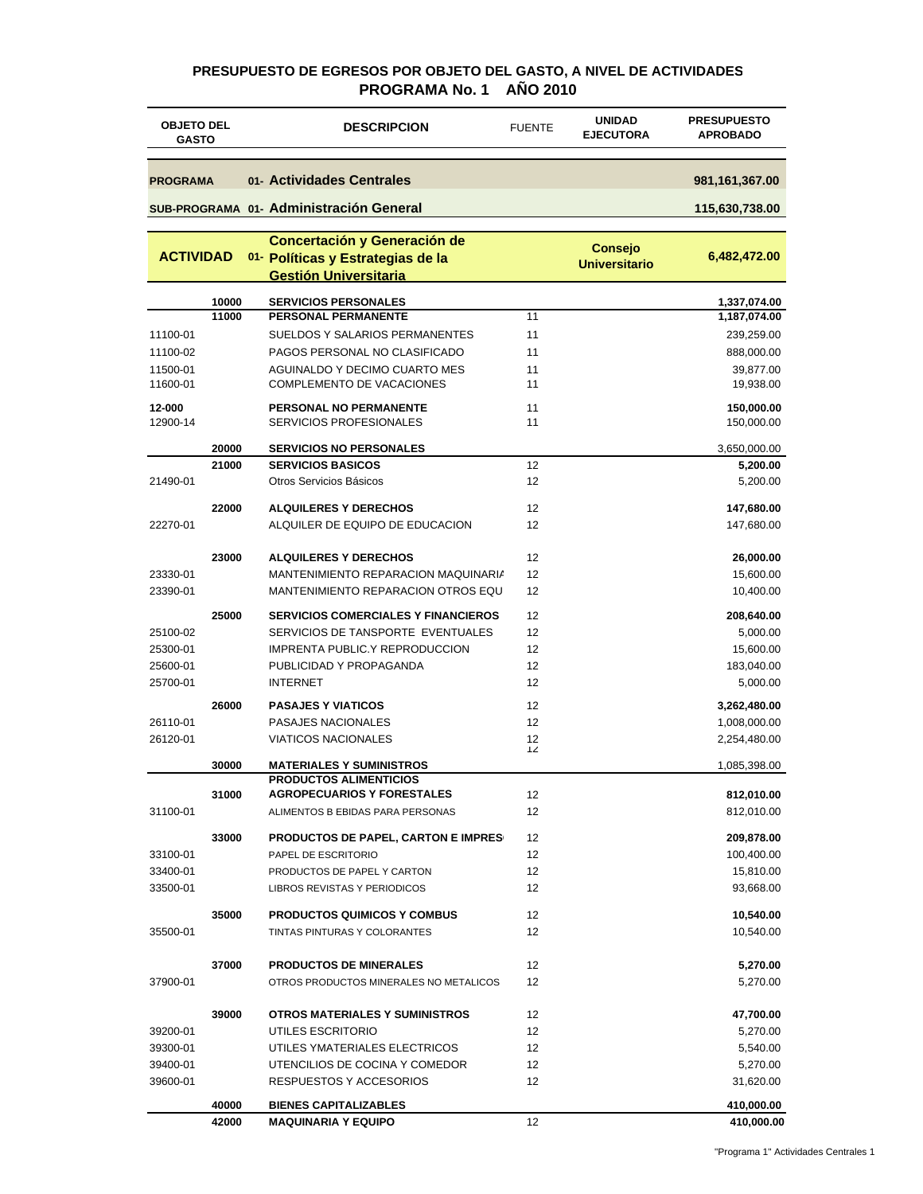#### **PRESUPUESTO DE EGRESOS POR OBJETO DEL GASTO, A NIVEL DE ACTIVIDADES PROGRAMA No. 1 AÑO 2010**

| <b>OBJETO DEL</b><br><b>GASTO</b> |       | <b>DESCRIPCION</b><br><b>FUENTE</b>                                                               |          | <b>UNIDAD</b><br><b>EJECUTORA</b>      | <b>PRESUPUESTO</b><br><b>APROBADO</b> |
|-----------------------------------|-------|---------------------------------------------------------------------------------------------------|----------|----------------------------------------|---------------------------------------|
| <b>PROGRAMA</b>                   |       | 01- Actividades Centrales                                                                         |          |                                        | 981, 161, 367.00                      |
|                                   |       | SUB-PROGRAMA 01- Administración General                                                           |          |                                        | 115,630,738.00                        |
|                                   |       |                                                                                                   |          |                                        |                                       |
| <b>ACTIVIDAD</b>                  |       | Concertación y Generación de<br>01- Políticas y Estrategias de la<br><b>Gestión Universitaria</b> |          | <b>Consejo</b><br><b>Universitario</b> | 6,482,472.00                          |
|                                   | 10000 | <b>SERVICIOS PERSONALES</b>                                                                       |          |                                        | 1,337,074.00                          |
|                                   | 11000 | PERSONAL PERMANENTE                                                                               | 11       |                                        | 1,187,074.00                          |
| 11100-01                          |       | SUELDOS Y SALARIOS PERMANENTES                                                                    | 11       |                                        | 239,259.00                            |
| 11100-02                          |       | PAGOS PERSONAL NO CLASIFICADO                                                                     | 11       |                                        | 888,000.00                            |
| 11500-01                          |       | AGUINALDO Y DECIMO CUARTO MES                                                                     | 11       |                                        | 39,877.00                             |
| 11600-01                          |       | COMPLEMENTO DE VACACIONES                                                                         | 11       |                                        | 19,938.00                             |
| 12-000<br>12900-14                |       | <b>PERSONAL NO PERMANENTE</b><br>SERVICIOS PROFESIONALES                                          | 11<br>11 |                                        | 150,000.00<br>150,000.00              |
|                                   | 20000 | <b>SERVICIOS NO PERSONALES</b>                                                                    |          |                                        | 3,650,000.00                          |
|                                   | 21000 | <b>SERVICIOS BASICOS</b>                                                                          | 12       |                                        | 5,200.00                              |
| 21490-01                          |       | Otros Servicios Básicos                                                                           | 12       |                                        | 5,200.00                              |
|                                   | 22000 | <b>ALQUILERES Y DERECHOS</b>                                                                      | 12       |                                        | 147,680.00                            |
| 22270-01                          |       | ALQUILER DE EQUIPO DE EDUCACION                                                                   | 12       |                                        | 147,680.00                            |
|                                   | 23000 | <b>ALQUILERES Y DERECHOS</b>                                                                      | 12       |                                        | 26,000.00                             |
| 23330-01                          |       | MANTENIMIENTO REPARACION MAQUINARIA                                                               | 12       |                                        | 15,600.00                             |
| 23390-01                          |       | MANTENIMIENTO REPARACION OTROS EQU                                                                | 12       |                                        | 10,400.00                             |
|                                   | 25000 | <b>SERVICIOS COMERCIALES Y FINANCIEROS</b>                                                        | 12       |                                        | 208,640.00                            |
| 25100-02                          |       | SERVICIOS DE TANSPORTE EVENTUALES                                                                 | 12       |                                        | 5,000.00                              |
| 25300-01                          |       | <b>IMPRENTA PUBLIC.Y REPRODUCCION</b>                                                             | 12       |                                        | 15,600.00                             |
| 25600-01                          |       | PUBLICIDAD Y PROPAGANDA                                                                           | 12       |                                        | 183,040.00                            |
| 25700-01                          |       | <b>INTERNET</b>                                                                                   | 12       |                                        | 5,000.00                              |
|                                   | 26000 | <b>PASAJES Y VIATICOS</b>                                                                         | 12       |                                        | 3,262,480.00                          |
| 26110-01                          |       | PASAJES NACIONALES                                                                                | 12       |                                        | 1,008,000.00                          |
| 26120-01                          |       | <b>VIATICOS NACIONALES</b>                                                                        | 12       |                                        |                                       |
|                                   |       |                                                                                                   | 12       |                                        | 2,254,480.00                          |
|                                   | 30000 | <b>MATERIALES Y SUMINISTROS</b>                                                                   |          |                                        | 1,085,398.00                          |
|                                   | 31000 | <b>PRODUCTOS ALIMENTICIOS</b><br><b>AGROPECUARIOS Y FORESTALES</b>                                | 12       |                                        | 812,010.00                            |
| 31100-01                          |       | ALIMENTOS B EBIDAS PARA PERSONAS                                                                  | 12       |                                        | 812,010.00                            |
|                                   | 33000 | <b>PRODUCTOS DE PAPEL, CARTON E IMPRES</b>                                                        | 12       |                                        | 209,878.00                            |
| 33100-01                          |       | PAPEL DE ESCRITORIO                                                                               | 12       |                                        | 100,400.00                            |
| 33400-01                          |       | PRODUCTOS DE PAPEL Y CARTON                                                                       | 12       |                                        | 15,810.00                             |
| 33500-01                          |       | <b>LIBROS REVISTAS Y PERIODICOS</b>                                                               | 12       |                                        | 93,668.00                             |
|                                   | 35000 |                                                                                                   |          |                                        |                                       |
| 35500-01                          |       | <b>PRODUCTOS QUIMICOS Y COMBUS</b><br>TINTAS PINTURAS Y COLORANTES                                | 12<br>12 |                                        | 10,540.00<br>10,540.00                |
|                                   |       |                                                                                                   |          |                                        |                                       |
|                                   | 37000 | <b>PRODUCTOS DE MINERALES</b>                                                                     | 12       |                                        | 5,270.00                              |
| 37900-01                          |       | OTROS PRODUCTOS MINERALES NO METALICOS                                                            | 12       |                                        | 5,270.00                              |
|                                   | 39000 | <b>OTROS MATERIALES Y SUMINISTROS</b>                                                             | 12       |                                        | 47,700.00                             |
| 39200-01                          |       | UTILES ESCRITORIO                                                                                 | 12       |                                        | 5,270.00                              |
| 39300-01                          |       | UTILES YMATERIALES ELECTRICOS                                                                     | 12       |                                        | 5,540.00                              |
| 39400-01                          |       | UTENCILIOS DE COCINA Y COMEDOR                                                                    | 12       |                                        | 5,270.00                              |
| 39600-01                          |       | RESPUESTOS Y ACCESORIOS                                                                           | 12       |                                        | 31,620.00                             |
|                                   | 40000 | <b>BIENES CAPITALIZABLES</b>                                                                      |          |                                        | 410,000.00                            |
|                                   | 42000 | <b>MAQUINARIA Y EQUIPO</b>                                                                        | 12       |                                        | 410,000.00                            |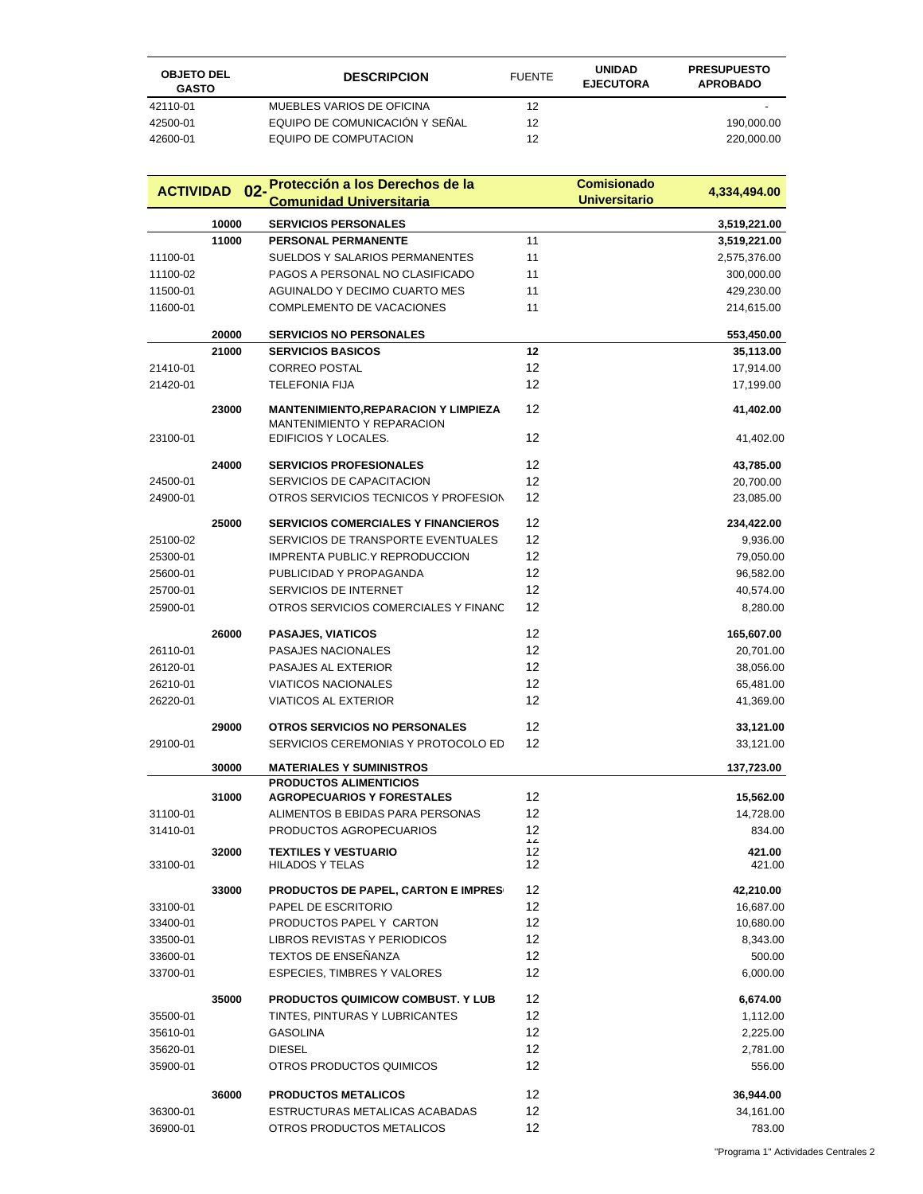| <b>OBJETO DEL</b><br><b>GASTO</b> | <b>DESCRIPCION</b>             | <b>FUENTE</b> | <b>UNIDAD</b><br><b>EJECUTORA</b> | <b>PRESUPUESTO</b><br><b>APROBADO</b> |
|-----------------------------------|--------------------------------|---------------|-----------------------------------|---------------------------------------|
| 42110-01                          | MUEBLES VARIOS DE OFICINA      | 12            |                                   |                                       |
| 42500-01                          | EQUIPO DE COMUNICACIÓN Y SEÑAL | 12            |                                   | 190,000.00                            |
| 42600-01                          | EQUIPO DE COMPUTACION          | 12            |                                   | 220,000.00                            |

| <b>ACTIVIDAD</b>     |       | 02-Protección a los Derechos de la                               |                | <b>Comisionado</b>   | 4,334,494.00       |
|----------------------|-------|------------------------------------------------------------------|----------------|----------------------|--------------------|
|                      |       | <b>Comunidad Universitaria</b>                                   |                | <b>Universitario</b> |                    |
|                      | 10000 | <b>SERVICIOS PERSONALES</b>                                      |                |                      | 3,519,221.00       |
|                      | 11000 | <b>PERSONAL PERMANENTE</b>                                       | 11             |                      | 3,519,221.00       |
| 11100-01             |       | <b>SUELDOS Y SALARIOS PERMANENTES</b>                            | 11             |                      | 2,575,376.00       |
| 11100-02             |       | PAGOS A PERSONAL NO CLASIFICADO                                  | 11             |                      | 300,000.00         |
| 11500-01             |       | AGUINALDO Y DECIMO CUARTO MES                                    | 11             |                      | 429,230.00         |
| 11600-01             |       | COMPLEMENTO DE VACACIONES                                        | 11             |                      | 214,615.00         |
|                      |       |                                                                  |                |                      |                    |
|                      | 20000 | <b>SERVICIOS NO PERSONALES</b>                                   |                |                      | 553,450.00         |
|                      | 21000 | <b>SERVICIOS BASICOS</b>                                         | 12             |                      | 35,113.00          |
| 21410-01             |       | <b>CORREO POSTAL</b>                                             | 12             |                      | 17,914.00          |
| 21420-01             |       | <b>TELEFONIA FIJA</b>                                            | 12             |                      | 17,199.00          |
|                      | 23000 | <b>MANTENIMIENTO,REPARACION Y LIMPIEZA</b>                       | 12             |                      | 41,402.00          |
|                      |       | MANTENIMIENTO Y REPARACION                                       |                |                      |                    |
| 23100-01             |       | EDIFICIOS Y LOCALES.                                             | 12             |                      | 41,402.00          |
|                      | 24000 | <b>SERVICIOS PROFESIONALES</b>                                   | 12             |                      | 43,785.00          |
| 24500-01             |       | SERVICIOS DE CAPACITACION                                        | 12             |                      | 20,700.00          |
| 24900-01             |       | OTROS SERVICIOS TECNICOS Y PROFESION                             | 12             |                      | 23,085.00          |
|                      | 25000 | <b>SERVICIOS COMERCIALES Y FINANCIEROS</b>                       | 12             |                      | 234,422.00         |
|                      |       | SERVICIOS DE TRANSPORTE EVENTUALES                               | 12             |                      |                    |
| 25100-02             |       |                                                                  | 12             |                      | 9,936.00           |
| 25300-01             |       | IMPRENTA PUBLIC.Y REPRODUCCION                                   | 12             |                      | 79,050.00          |
| 25600-01             |       | PUBLICIDAD Y PROPAGANDA                                          |                |                      | 96,582.00          |
| 25700-01             |       | SERVICIOS DE INTERNET                                            | 12             |                      | 40,574.00          |
| 25900-01             |       | OTROS SERVICIOS COMERCIALES Y FINANC                             | 12             |                      | 8,280.00           |
|                      | 26000 | <b>PASAJES, VIATICOS</b>                                         | 12             |                      | 165,607.00         |
| 26110-01             |       | PASAJES NACIONALES                                               | 12             |                      | 20,701.00          |
| 26120-01             |       | PASAJES AL EXTERIOR                                              | 12             |                      | 38,056.00          |
| 26210-01             |       | <b>VIATICOS NACIONALES</b>                                       | 12             |                      | 65,481.00          |
| 26220-01             |       | <b>VIATICOS AL EXTERIOR</b>                                      | 12             |                      | 41,369.00          |
|                      | 29000 | <b>OTROS SERVICIOS NO PERSONALES</b>                             | 12             |                      | 33,121.00          |
| 29100-01             |       | SERVICIOS CEREMONIAS Y PROTOCOLO ED                              | 12             |                      | 33,121.00          |
|                      |       |                                                                  |                |                      |                    |
|                      | 30000 | <b>MATERIALES Y SUMINISTROS</b><br><b>PRODUCTOS ALIMENTICIOS</b> |                |                      | 137,723.00         |
|                      | 31000 | <b>AGROPECUARIOS Y FORESTALES</b>                                | 12             |                      | 15,562.00          |
| 31100-01             |       | ALIMENTOS B EBIDAS PARA PERSONAS                                 | 12             |                      | 14,728.00          |
| 31410-01             |       | PRODUCTOS AGROPECUARIOS                                          | 12             |                      | 834.00             |
|                      |       |                                                                  | $\overline{1}$ |                      |                    |
| 33100-01             | 32000 | <b>TEXTILES Y VESTUARIO</b><br><b>HILADOS Y TELAS</b>            | 12<br>12       |                      | 421.00<br>421.00   |
|                      | 33000 | <b>PRODUCTOS DE PAPEL, CARTON E IMPRES</b>                       | 12             |                      | 42,210.00          |
| 33100-01             |       | PAPEL DE ESCRITORIO                                              | 12             |                      | 16,687.00          |
| 33400-01             |       | PRODUCTOS PAPEL Y CARTON                                         | 12             |                      | 10,680.00          |
|                      |       | <b>LIBROS REVISTAS Y PERIODICOS</b>                              | 12             |                      |                    |
| 33500-01<br>33600-01 |       | TEXTOS DE ENSEÑANZA                                              | 12             |                      | 8,343.00           |
| 33700-01             |       | <b>ESPECIES, TIMBRES Y VALORES</b>                               | 12             |                      | 500.00<br>6,000.00 |
|                      |       |                                                                  |                |                      |                    |
|                      | 35000 | PRODUCTOS QUIMICOW COMBUST. Y LUB                                | 12             |                      | 6,674.00           |
| 35500-01             |       | TINTES, PINTURAS Y LUBRICANTES                                   | 12             |                      | 1,112.00           |
| 35610-01             |       | GASOLINA                                                         | 12             |                      | 2,225.00           |
| 35620-01             |       | <b>DIESEL</b>                                                    | 12             |                      | 2,781.00           |
| 35900-01             |       | OTROS PRODUCTOS QUIMICOS                                         | 12             |                      | 556.00             |
|                      | 36000 | <b>PRODUCTOS METALICOS</b>                                       | 12             |                      | 36,944.00          |
| 36300-01             |       | ESTRUCTURAS METALICAS ACABADAS                                   | 12             |                      | 34,161.00          |
| 36900-01             |       | OTROS PRODUCTOS METALICOS                                        | 12             |                      | 783.00             |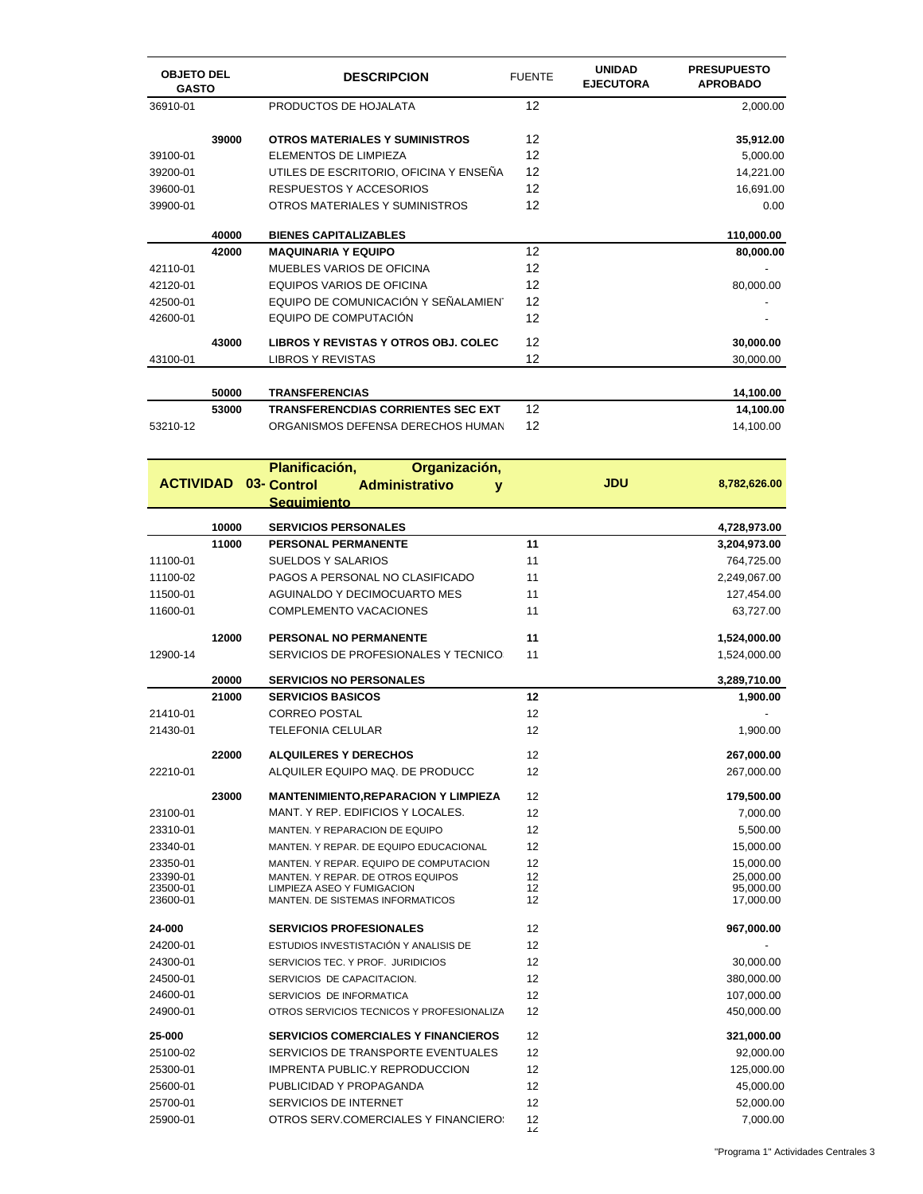| <b>OBJETO DEL</b><br><b>GASTO</b> |       | <b>DESCRIPCION</b>                                              | <b>FUENTE</b>  | <b>UNIDAD</b><br><b>EJECUTORA</b> | <b>PRESUPUESTO</b><br><b>APROBADO</b> |
|-----------------------------------|-------|-----------------------------------------------------------------|----------------|-----------------------------------|---------------------------------------|
| 36910-01                          |       | PRODUCTOS DE HOJALATA                                           | 12             |                                   | 2,000.00                              |
|                                   | 39000 | <b>OTROS MATERIALES Y SUMINISTROS</b>                           | 12             |                                   | 35,912.00                             |
| 39100-01                          |       | ELEMENTOS DE LIMPIEZA                                           | 12             |                                   | 5,000.00                              |
| 39200-01                          |       | UTILES DE ESCRITORIO, OFICINA Y ENSEÑA                          | 12             |                                   | 14,221.00                             |
| 39600-01                          |       | RESPUESTOS Y ACCESORIOS                                         | 12             |                                   | 16,691.00                             |
| 39900-01                          |       | OTROS MATERIALES Y SUMINISTROS                                  | 12             |                                   | 0.00                                  |
|                                   |       |                                                                 |                |                                   |                                       |
|                                   | 40000 | <b>BIENES CAPITALIZABLES</b>                                    |                |                                   | 110,000.00                            |
|                                   | 42000 | <b>MAQUINARIA Y EQUIPO</b>                                      | 12             |                                   | 80,000.00                             |
| 42110-01                          |       | <b>MUEBLES VARIOS DE OFICINA</b>                                | 12             |                                   |                                       |
| 42120-01                          |       | <b>EQUIPOS VARIOS DE OFICINA</b>                                | 12             |                                   | 80,000.00                             |
| 42500-01                          |       | EQUIPO DE COMUNICACIÓN Y SEÑALAMIENT                            | 12             |                                   |                                       |
| 42600-01                          |       | EQUIPO DE COMPUTACIÓN                                           | 12             |                                   |                                       |
|                                   | 43000 | LIBROS Y REVISTAS Y OTROS OBJ. COLEC                            | 12             |                                   | 30,000.00                             |
| 43100-01                          |       | <b>LIBROS Y REVISTAS</b>                                        | 12             |                                   | 30,000.00                             |
|                                   | 50000 | <b>TRANSFERENCIAS</b>                                           |                |                                   | 14,100.00                             |
|                                   | 53000 | <b>TRANSFERENCDIAS CORRIENTES SEC EXT</b>                       | 12             |                                   | 14,100.00                             |
| 53210-12                          |       | ORGANISMOS DEFENSA DERECHOS HUMAN                               | 12             |                                   | 14,100.00                             |
|                                   |       | Planificación,<br>Organización,                                 |                |                                   |                                       |
| <b>ACTIVIDAD</b>                  |       | 03- Control<br><b>Administrativo</b><br>v                       |                | <b>JDU</b>                        | 8,782,626.00                          |
|                                   |       | <b>Sequimiento</b>                                              |                |                                   |                                       |
|                                   | 10000 | <b>SERVICIOS PERSONALES</b>                                     |                |                                   | 4,728,973.00                          |
|                                   | 11000 | <b>PERSONAL PERMANENTE</b>                                      | 11             |                                   | 3,204,973.00                          |
| 11100-01                          |       | <b>SUELDOS Y SALARIOS</b>                                       | 11             |                                   | 764,725.00                            |
| 11100-02                          |       | PAGOS A PERSONAL NO CLASIFICADO                                 | 11             |                                   | 2,249,067.00                          |
| 11500-01                          |       | <b>AGUINALDO Y DECIMOCUARTO MES</b>                             | 11             |                                   | 127,454.00                            |
| 11600-01                          |       | <b>COMPLEMENTO VACACIONES</b>                                   | 11             |                                   | 63,727.00                             |
|                                   | 12000 | PERSONAL NO PERMANENTE                                          | 11             |                                   | 1,524,000.00                          |
| 12900-14                          |       | SERVICIOS DE PROFESIONALES Y TECNICO:                           | 11             |                                   | 1,524,000.00                          |
|                                   | 20000 | <b>SERVICIOS NO PERSONALES</b>                                  |                |                                   | 3,289,710.00                          |
|                                   | 21000 | <b>SERVICIOS BASICOS</b>                                        | 12             |                                   | 1,900.00                              |
| 21410-01                          |       | <b>CORREO POSTAL</b>                                            | 12             |                                   |                                       |
| 21430-01                          |       | TELEFONIA CELULAR                                               | 12             |                                   | 1,900.00                              |
|                                   | 22000 | <b>ALQUILERES Y DERECHOS</b>                                    | 12             |                                   | 267,000.00                            |
| 22210-01                          |       | ALQUILER EQUIPO MAQ. DE PRODUCC                                 | 12             |                                   | 267,000.00                            |
|                                   |       |                                                                 |                |                                   |                                       |
|                                   | 23000 | <b>MANTENIMIENTO, REPARACION Y LIMPIEZA</b>                     | 12             |                                   | 179,500.00                            |
| 23100-01                          |       | MANT. Y REP. EDIFICIOS Y LOCALES.                               | 12             |                                   | 7,000.00                              |
| 23310-01                          |       | MANTEN. Y REPARACION DE EQUIPO                                  | 12             |                                   | 5,500.00                              |
| 23340-01                          |       | MANTEN. Y REPAR. DE EQUIPO EDUCACIONAL                          | 12             |                                   | 15,000.00                             |
| 23350-01                          |       | MANTEN. Y REPAR. EQUIPO DE COMPUTACION                          | 12             |                                   | 15,000.00                             |
| 23390-01<br>23500-01              |       | MANTEN. Y REPAR. DE OTROS EQUIPOS<br>LIMPIEZA ASEO Y FUMIGACION | 12<br>12       |                                   | 25,000.00<br>95,000.00                |
| 23600-01                          |       | MANTEN. DE SISTEMAS INFORMATICOS                                | 12             |                                   | 17,000.00                             |
| 24-000                            |       | <b>SERVICIOS PROFESIONALES</b>                                  | 12             |                                   | 967,000.00                            |
| 24200-01                          |       | ESTUDIOS INVESTISTACIÓN Y ANALISIS DE                           | 12             |                                   |                                       |
| 24300-01                          |       | SERVICIOS TEC. Y PROF. JURIDICIOS                               | 12             |                                   | 30,000.00                             |
| 24500-01                          |       | SERVICIOS DE CAPACITACION.                                      | 12             |                                   | 380,000.00                            |
| 24600-01                          |       | SERVICIOS DE INFORMATICA                                        | 12             |                                   | 107,000.00                            |
| 24900-01                          |       | OTROS SERVICIOS TECNICOS Y PROFESIONALIZA                       | 12             |                                   | 450,000.00                            |
| 25-000                            |       | <b>SERVICIOS COMERCIALES Y FINANCIEROS</b>                      | 12             |                                   | 321,000.00                            |
| 25100-02                          |       | SERVICIOS DE TRANSPORTE EVENTUALES                              | 12             |                                   | 92,000.00                             |
| 25300-01                          |       | <b>IMPRENTA PUBLIC.Y REPRODUCCION</b>                           | 12             |                                   | 125,000.00                            |
| 25600-01                          |       | PUBLICIDAD Y PROPAGANDA                                         | 12             |                                   | 45,000.00                             |
| 25700-01                          |       | SERVICIOS DE INTERNET                                           | 12             |                                   | 52,000.00                             |
| 25900-01                          |       | OTROS SERV.COMERCIALES Y FINANCIERO:                            | 12             |                                   | 7,000.00                              |
|                                   |       |                                                                 | $\overline{2}$ |                                   |                                       |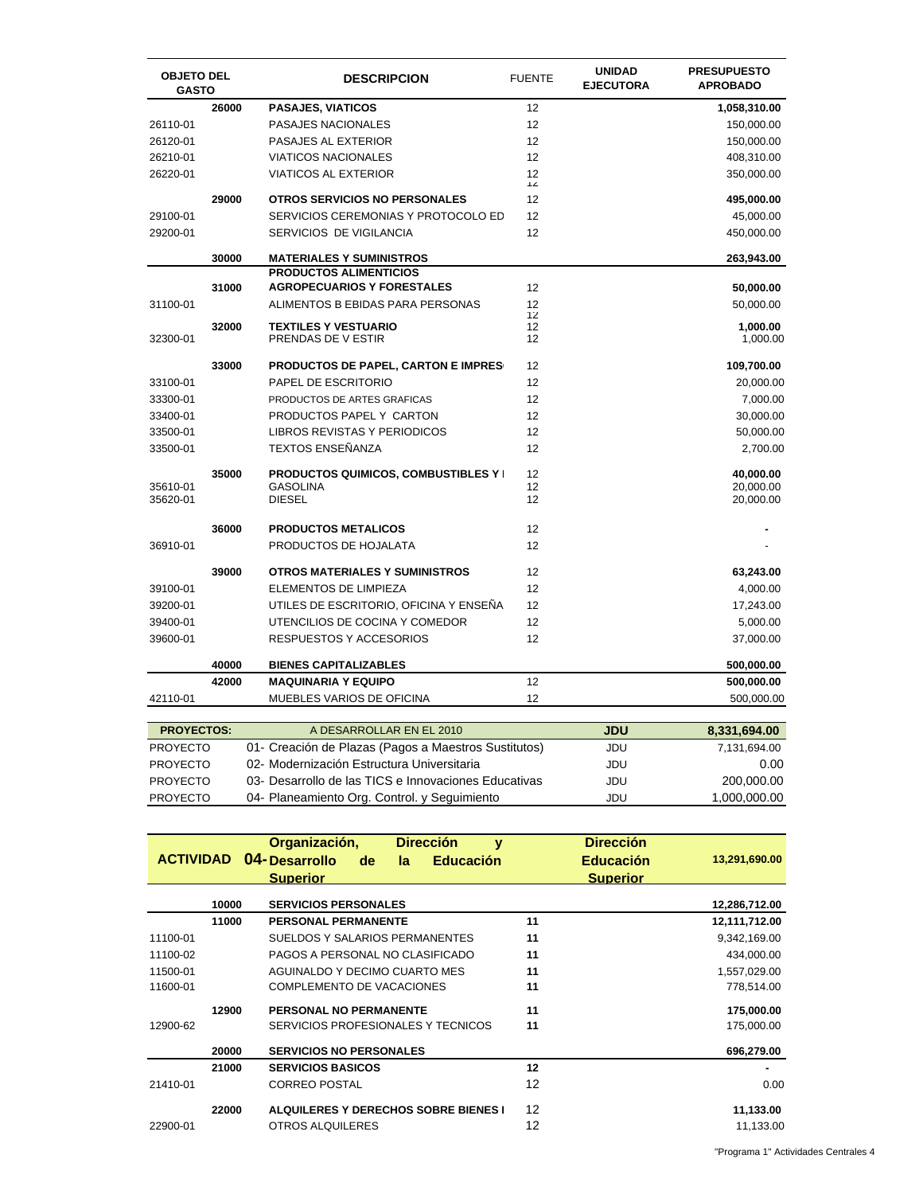| <b>OBJETO DEL</b><br><b>GASTO</b> |       | <b>DESCRIPCION</b>                          | <b>FUENTE</b> | <b>UNIDAD</b><br><b>EJECUTORA</b> | <b>PRESUPUESTO</b><br><b>APROBADO</b> |
|-----------------------------------|-------|---------------------------------------------|---------------|-----------------------------------|---------------------------------------|
|                                   | 26000 | <b>PASAJES, VIATICOS</b>                    | 12            |                                   | 1,058,310.00                          |
| 26110-01                          |       | <b>PASAJES NACIONALES</b>                   | 12            |                                   | 150,000.00                            |
| 26120-01                          |       | PASAJES AL EXTERIOR                         | 12            |                                   | 150,000.00                            |
| 26210-01                          |       | <b>VIATICOS NACIONALES</b>                  | 12            |                                   | 408,310.00                            |
| 26220-01                          |       | <b>VIATICOS AL EXTERIOR</b>                 | 12<br>ΊZ      |                                   | 350,000.00                            |
|                                   | 29000 | <b>OTROS SERVICIOS NO PERSONALES</b>        | 12            |                                   | 495,000.00                            |
| 29100-01                          |       | SERVICIOS CEREMONIAS Y PROTOCOLO ED         | 12            |                                   | 45,000.00                             |
| 29200-01                          |       | SERVICIOS DE VIGILANCIA                     | 12            |                                   | 450,000.00                            |
|                                   | 30000 | <b>MATERIALES Y SUMINISTROS</b>             |               |                                   | 263,943.00                            |
|                                   |       | <b>PRODUCTOS ALIMENTICIOS</b>               |               |                                   |                                       |
|                                   | 31000 | <b>AGROPECUARIOS Y FORESTALES</b>           | 12            |                                   | 50,000.00                             |
| 31100-01                          |       | ALIMENTOS B EBIDAS PARA PERSONAS            | 12            |                                   | 50,000.00                             |
|                                   | 32000 | <b>TEXTILES Y VESTUARIO</b>                 | 12<br>12      |                                   | 1,000.00                              |
| 32300-01                          |       | PRENDAS DE V ESTIR                          | 12            |                                   | 1,000.00                              |
|                                   | 33000 | <b>PRODUCTOS DE PAPEL, CARTON E IMPRES</b>  | 12            |                                   | 109,700.00                            |
| 33100-01                          |       | <b>PAPEL DE ESCRITORIO</b>                  | 12            |                                   | 20,000.00                             |
| 33300-01                          |       | PRODUCTOS DE ARTES GRAFICAS                 | 12            |                                   | 7,000.00                              |
| 33400-01                          |       | PRODUCTOS PAPEL Y CARTON                    | 12            |                                   | 30,000.00                             |
| 33500-01                          |       | LIBROS REVISTAS Y PERIODICOS                | 12            |                                   | 50,000.00                             |
| 33500-01                          |       | <b>TEXTOS ENSEÑANZA</b>                     | 12            |                                   | 2,700.00                              |
|                                   | 35000 | <b>PRODUCTOS QUIMICOS, COMBUSTIBLES Y I</b> | 12            |                                   | 40,000.00                             |
| 35610-01                          |       | <b>GASOLINA</b>                             | 12            |                                   | 20,000.00                             |
| 35620-01                          |       | <b>DIESEL</b>                               | 12            |                                   | 20,000.00                             |
|                                   | 36000 | <b>PRODUCTOS METALICOS</b>                  | 12            |                                   |                                       |
| 36910-01                          |       | PRODUCTOS DE HOJALATA                       | 12            |                                   |                                       |
|                                   | 39000 | OTROS MATERIALES Y SUMINISTROS              | 12            |                                   | 63,243.00                             |
| 39100-01                          |       | <b>ELEMENTOS DE LIMPIEZA</b>                | 12            |                                   | 4,000.00                              |
| 39200-01                          |       | UTILES DE ESCRITORIO, OFICINA Y ENSENA      | 12            |                                   | 17,243.00                             |
| 39400-01                          |       | UTENCILIOS DE COCINA Y COMEDOR              | 12            |                                   | 5,000.00                              |
| 39600-01                          |       | RESPUESTOS Y ACCESORIOS                     | 12            |                                   | 37,000.00                             |
|                                   | 40000 | <b>BIENES CAPITALIZABLES</b>                |               |                                   | 500,000.00                            |
|                                   | 42000 | <b>MAQUINARIA Y EQUIPO</b>                  | 12            |                                   | 500,000.00                            |
| 42110-01                          |       | MUEBLES VARIOS DE OFICINA                   | 12            |                                   | 500,000.00                            |
| <b>PROYECTOS:</b>                 |       | A DESARROLLAR EN EL 2010                    |               | JDU                               | 8.331.694.00                          |

| A DESARROLLAR EN EL 2010                              | JDU | 8,331,094.UU |
|-------------------------------------------------------|-----|--------------|
| 01 Creación de Plazas (Pagos a Maestros Sustitutos)   | JDU | 7.131.694.00 |
| 02- Modernización Estructura Universitaria            | JDU | 0.00         |
| 03 - Desarrollo de las TICS e Innovaciones Educativas | JDU | 200.000.00   |
| 04 Planeamiento Org. Control. y Seguimiento           | JDU | 1,000,000.00 |
|                                                       |     |              |

|          |       | <b>Dirección</b><br>Organización,<br>v<br><b>ACTIVIDAD 04- Desarrollo</b><br>de<br><b>Educación</b><br>la.<br><b>Superior</b> | <b>Dirección</b><br><b>Educación</b><br><b>Superior</b> | 13,291,690.00 |
|----------|-------|-------------------------------------------------------------------------------------------------------------------------------|---------------------------------------------------------|---------------|
|          | 10000 | <b>SERVICIOS PERSONALES</b>                                                                                                   |                                                         | 12,286,712.00 |
|          | 11000 | <b>PERSONAL PERMANENTE</b>                                                                                                    | 11                                                      | 12,111,712.00 |
| 11100-01 |       | SUELDOS Y SALARIOS PERMANENTES                                                                                                | 11                                                      | 9,342,169.00  |
| 11100-02 |       | PAGOS A PERSONAL NO CLASIFICADO                                                                                               | 11                                                      | 434,000.00    |
| 11500-01 |       | AGUINALDO Y DECIMO CUARTO MES                                                                                                 | 11                                                      | 1,557,029.00  |
| 11600-01 |       | <b>COMPLEMENTO DE VACACIONES</b>                                                                                              | 11                                                      | 778.514.00    |
|          | 12900 | PERSONAL NO PERMANENTE                                                                                                        | 11                                                      | 175,000.00    |
| 12900-62 |       | SERVICIOS PROFESIONALES Y TECNICOS                                                                                            | 11                                                      | 175,000.00    |
|          | 20000 | <b>SERVICIOS NO PERSONALES</b>                                                                                                |                                                         | 696,279.00    |
|          | 21000 | <b>SERVICIOS BASICOS</b>                                                                                                      | 12                                                      |               |
| 21410-01 |       | <b>CORREO POSTAL</b>                                                                                                          | 12                                                      | 0.00          |
|          | 22000 | <b>ALQUILERES Y DERECHOS SOBRE BIENES I</b>                                                                                   | $12 \overline{ }$                                       | 11,133.00     |
| 22900-01 |       | OTROS ALQUILERES                                                                                                              | 12                                                      | 11,133.00     |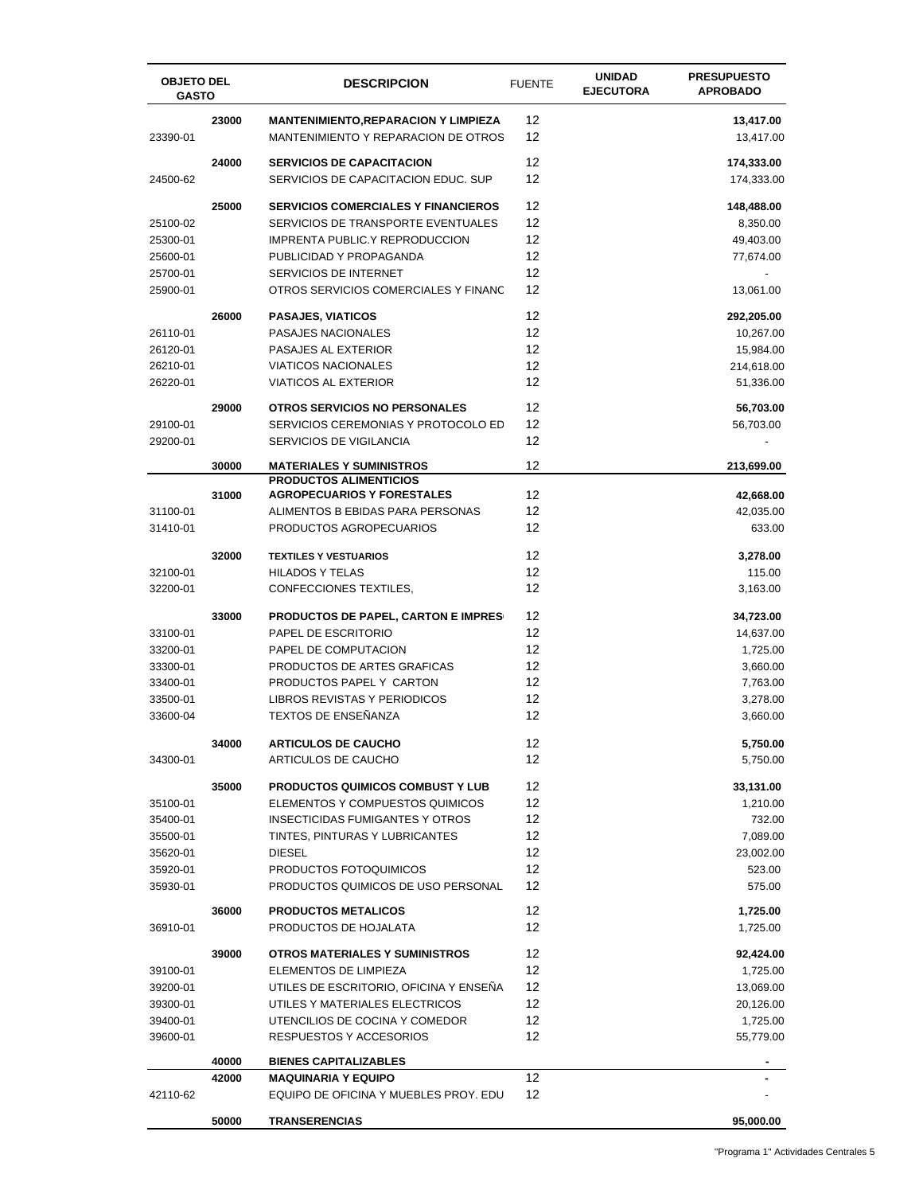| <b>OBJETO DEL</b><br><b>GASTO</b> |                | <b>DESCRIPCION</b>                                               | <b>FUENTE</b> | <b>UNIDAD</b><br><b>EJECUTORA</b> | <b>PRESUPUESTO</b><br><b>APROBADO</b> |
|-----------------------------------|----------------|------------------------------------------------------------------|---------------|-----------------------------------|---------------------------------------|
|                                   | 23000          | <b>MANTENIMIENTO,REPARACION Y LIMPIEZA</b>                       | 12            |                                   | 13,417.00                             |
| 23390-01                          |                | MANTENIMIENTO Y REPARACION DE OTROS                              | 12            |                                   | 13,417.00                             |
|                                   | 24000          | <b>SERVICIOS DE CAPACITACION</b>                                 | 12            |                                   | 174,333.00                            |
| 24500-62                          |                | SERVICIOS DE CAPACITACION EDUC. SUP                              | 12            |                                   | 174,333.00                            |
|                                   | 25000          | <b>SERVICIOS COMERCIALES Y FINANCIEROS</b>                       | 12            |                                   | 148,488.00                            |
| 25100-02                          |                | SERVICIOS DE TRANSPORTE EVENTUALES                               | 12            |                                   | 8,350.00                              |
| 25300-01                          |                | <b>IMPRENTA PUBLIC.Y REPRODUCCION</b>                            | 12            |                                   | 49,403.00                             |
| 25600-01                          |                | PUBLICIDAD Y PROPAGANDA                                          | 12            |                                   | 77,674.00                             |
| 25700-01                          |                | SERVICIOS DE INTERNET                                            | 12            |                                   |                                       |
| 25900-01                          |                | OTROS SERVICIOS COMERCIALES Y FINANC                             | 12            |                                   | 13,061.00                             |
|                                   | 26000          | <b>PASAJES, VIATICOS</b>                                         | 12            |                                   | 292,205.00                            |
| 26110-01                          |                | PASAJES NACIONALES                                               | 12            |                                   | 10,267.00                             |
| 26120-01                          |                | PASAJES AL EXTERIOR                                              | 12            |                                   | 15,984.00                             |
| 26210-01                          |                | <b>VIATICOS NACIONALES</b>                                       | 12            |                                   | 214,618.00                            |
| 26220-01                          |                | <b>VIATICOS AL EXTERIOR</b>                                      | 12            |                                   | 51,336.00                             |
|                                   | 29000          | <b>OTROS SERVICIOS NO PERSONALES</b>                             | 12            |                                   | 56,703.00                             |
| 29100-01                          |                | SERVICIOS CEREMONIAS Y PROTOCOLO ED                              | 12            |                                   | 56,703.00                             |
| 29200-01                          |                | SERVICIOS DE VIGILANCIA                                          | 12            |                                   |                                       |
|                                   | 30000          | <b>MATERIALES Y SUMINISTROS</b><br><b>PRODUCTOS ALIMENTICIOS</b> | 12            |                                   | 213,699.00                            |
|                                   | 31000          | <b>AGROPECUARIOS Y FORESTALES</b>                                | 12            |                                   | 42,668.00                             |
| 31100-01                          |                | ALIMENTOS B EBIDAS PARA PERSONAS                                 | 12            |                                   | 42,035.00                             |
| 31410-01                          |                | PRODUCTOS AGROPECUARIOS                                          | 12            |                                   | 633.00                                |
|                                   | 32000          | <b>TEXTILES Y VESTUARIOS</b>                                     | 12            |                                   | 3,278.00                              |
| 32100-01                          |                | <b>HILADOS Y TELAS</b>                                           | 12            |                                   | 115.00                                |
| 32200-01                          |                | CONFECCIONES TEXTILES,                                           | 12            |                                   | 3,163.00                              |
|                                   | 33000          | <b>PRODUCTOS DE PAPEL, CARTON E IMPRES</b>                       | 12            |                                   | 34,723.00                             |
| 33100-01                          |                | PAPEL DE ESCRITORIO                                              | 12            |                                   | 14,637.00                             |
| 33200-01                          |                | PAPEL DE COMPUTACION                                             | 12            |                                   | 1,725.00                              |
| 33300-01                          |                | PRODUCTOS DE ARTES GRAFICAS                                      | 12            |                                   | 3,660.00                              |
| 33400-01                          |                | PRODUCTOS PAPEL Y CARTON                                         | 12            |                                   | 7,763.00                              |
| 33500-01                          |                | LIBROS REVISTAS Y PERIODICOS                                     | 12            |                                   | 3,278.00                              |
| 33600-04                          |                | TEXTOS DE ENSEÑANZA                                              | 12            |                                   | 3,660.00                              |
|                                   | 34000          | <b>ARTICULOS DE CAUCHO</b>                                       | 12            |                                   | 5,750.00                              |
| 34300-01                          |                | ARTICULOS DE CAUCHO                                              | 12            |                                   | 5,750.00                              |
|                                   | 35000          | <b>PRODUCTOS QUIMICOS COMBUST Y LUB</b>                          | 12            |                                   | 33,131.00                             |
| 35100-01                          |                | ELEMENTOS Y COMPUESTOS QUIMICOS                                  | 12            |                                   | 1,210.00                              |
| 35400-01                          |                | <b>INSECTICIDAS FUMIGANTES Y OTROS</b>                           | 12            |                                   | 732.00                                |
| 35500-01                          |                | TINTES, PINTURAS Y LUBRICANTES                                   | 12            |                                   | 7,089.00                              |
| 35620-01                          |                | <b>DIESEL</b>                                                    | 12            |                                   | 23,002.00                             |
| 35920-01<br>35930-01              |                | PRODUCTOS FOTOQUIMICOS<br>PRODUCTOS QUIMICOS DE USO PERSONAL     | 12<br>12      |                                   | 523.00<br>575.00                      |
|                                   |                |                                                                  |               |                                   |                                       |
|                                   | 36000          | <b>PRODUCTOS METALICOS</b>                                       | 12            |                                   | 1,725.00                              |
| 36910-01                          |                | PRODUCTOS DE HOJALATA                                            | 12            |                                   | 1,725.00                              |
|                                   | 39000          | OTROS MATERIALES Y SUMINISTROS                                   | 12            |                                   | 92,424.00                             |
| 39100-01                          |                | ELEMENTOS DE LIMPIEZA                                            | 12            |                                   | 1,725.00                              |
| 39200-01                          |                | UTILES DE ESCRITORIO, OFICINA Y ENSEÑA                           | 12            |                                   | 13,069.00                             |
| 39300-01                          |                | UTILES Y MATERIALES ELECTRICOS                                   | 12<br>12      |                                   | 20,126.00                             |
| 39400-01<br>39600-01              |                | UTENCILIOS DE COCINA Y COMEDOR<br>RESPUESTOS Y ACCESORIOS        | 12            |                                   | 1,725.00<br>55,779.00                 |
|                                   |                |                                                                  |               |                                   |                                       |
|                                   | 40000<br>42000 | <b>BIENES CAPITALIZABLES</b><br><b>MAQUINARIA Y EQUIPO</b>       | 12            |                                   |                                       |
| 42110-62                          |                | EQUIPO DE OFICINA Y MUEBLES PROY. EDU                            | 12            |                                   |                                       |
|                                   | 50000          | <b>TRANSERENCIAS</b>                                             |               |                                   | 95,000.00                             |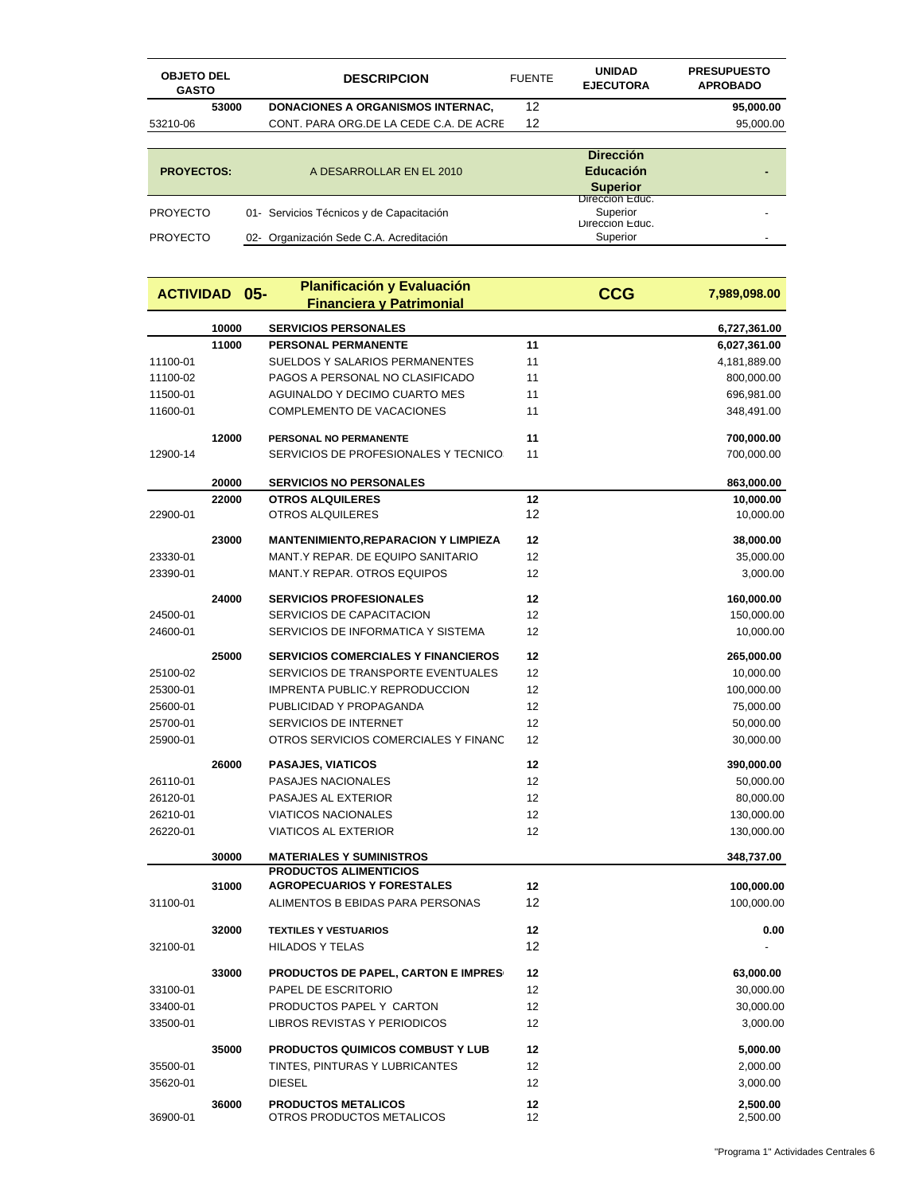| <b>OBJETO DEL</b><br><b>GASTO</b> |       | <b>DESCRIPCION</b>                       | <b>FUENTE</b> | <b>UNIDAD</b><br><b>EJECUTORA</b>              | <b>PRESUPUESTO</b><br><b>APROBADO</b> |
|-----------------------------------|-------|------------------------------------------|---------------|------------------------------------------------|---------------------------------------|
|                                   | 53000 | <b>DONACIONES A ORGANISMOS INTERNAC,</b> | 12            |                                                | 95,000.00                             |
| 53210-06                          |       | CONT. PARA ORG.DE LA CEDE C.A. DE ACRE   | 12            |                                                | 95,000.00                             |
|                                   |       |                                          |               |                                                |                                       |
|                                   |       |                                          |               | <b>Dirección</b>                               |                                       |
| <b>PROYECTOS:</b>                 |       | A DESARROLLAR EN EL 2010                 |               | <b>Educación</b>                               |                                       |
|                                   |       |                                          |               | <b>Superior</b>                                |                                       |
| <b>PROYECTO</b>                   |       | 01- Servicios Técnicos y de Capacitación |               | Direccion Educ.<br>Superior<br>Direccion Equc. |                                       |
| <b>PROYECTO</b>                   |       | 02- Organización Sede C.A. Acreditación  |               | Superior                                       |                                       |

| <b>ACTIVIDAD</b> |       | $05 -$ | <b>Planificación y Evaluación</b>                       |          | <b>CCG</b> |                      |
|------------------|-------|--------|---------------------------------------------------------|----------|------------|----------------------|
|                  |       |        | <b>Financiera y Patrimonial</b>                         |          |            | 7,989,098.00         |
|                  | 10000 |        | <b>SERVICIOS PERSONALES</b>                             |          |            | 6,727,361.00         |
|                  | 11000 |        | PERSONAL PERMANENTE                                     | 11       |            | 6,027,361.00         |
| 11100-01         |       |        | <b>SUELDOS Y SALARIOS PERMANENTES</b>                   | 11       |            | 4,181,889.00         |
| 11100-02         |       |        | PAGOS A PERSONAL NO CLASIFICADO                         | 11       |            | 800,000.00           |
| 11500-01         |       |        | <b>AGUINALDO Y DECIMO CUARTO MES</b>                    | 11       |            | 696,981.00           |
| 11600-01         |       |        | COMPLEMENTO DE VACACIONES                               | 11       |            | 348,491.00           |
|                  | 12000 |        | PERSONAL NO PERMANENTE                                  | 11       |            | 700,000.00           |
| 12900-14         |       |        | SERVICIOS DE PROFESIONALES Y TECNICO:                   | 11       |            | 700,000.00           |
|                  | 20000 |        | <b>SERVICIOS NO PERSONALES</b>                          |          |            | 863,000.00           |
|                  | 22000 |        | <b>OTROS ALQUILERES</b>                                 | 12       |            | 10,000.00            |
| 22900-01         |       |        | <b>OTROS ALQUILERES</b>                                 | 12       |            | 10,000.00            |
|                  | 23000 |        | <b>MANTENIMIENTO, REPARACION Y LIMPIEZA</b>             | 12       |            | 38,000.00            |
| 23330-01         |       |        | MANT.Y REPAR. DE EQUIPO SANITARIO                       | 12       |            | 35,000.00            |
| 23390-01         |       |        | MANT.Y REPAR. OTROS EQUIPOS                             | 12       |            | 3,000.00             |
|                  | 24000 |        | <b>SERVICIOS PROFESIONALES</b>                          | 12       |            | 160,000.00           |
| 24500-01         |       |        | SERVICIOS DE CAPACITACION                               | 12       |            | 150,000.00           |
| 24600-01         |       |        | SERVICIOS DE INFORMATICA Y SISTEMA                      | 12       |            | 10,000.00            |
|                  | 25000 |        | <b>SERVICIOS COMERCIALES Y FINANCIEROS</b>              | 12       |            | 265,000.00           |
| 25100-02         |       |        | SERVICIOS DE TRANSPORTE EVENTUALES                      | 12       |            | 10,000.00            |
| 25300-01         |       |        | IMPRENTA PUBLIC.Y REPRODUCCION                          | 12       |            | 100,000.00           |
| 25600-01         |       |        | PUBLICIDAD Y PROPAGANDA                                 | 12       |            | 75,000.00            |
| 25700-01         |       |        | SERVICIOS DE INTERNET                                   | 12       |            | 50,000.00            |
| 25900-01         |       |        | OTROS SERVICIOS COMERCIALES Y FINANC                    | 12       |            | 30,000.00            |
|                  | 26000 |        | <b>PASAJES, VIATICOS</b>                                | 12       |            | 390,000.00           |
| 26110-01         |       |        | PASAJES NACIONALES                                      | 12       |            | 50,000.00            |
| 26120-01         |       |        | PASAJES AL EXTERIOR                                     | 12       |            | 80,000.00            |
| 26210-01         |       |        | <b>VIATICOS NACIONALES</b>                              | 12       |            | 130,000.00           |
| 26220-01         |       |        | <b>VIATICOS AL EXTERIOR</b>                             | 12       |            | 130,000.00           |
|                  | 30000 |        | <b>MATERIALES Y SUMINISTROS</b>                         |          |            | 348,737.00           |
|                  |       |        | <b>PRODUCTOS ALIMENTICIOS</b>                           |          |            |                      |
|                  | 31000 |        | <b>AGROPECUARIOS Y FORESTALES</b>                       | 12       |            | 100,000.00           |
| 31100-01         |       |        | ALIMENTOS B EBIDAS PARA PERSONAS                        | 12       |            | 100,000.00           |
|                  | 32000 |        | <b>TEXTILES Y VESTUARIOS</b>                            | 12       |            | 0.00                 |
| 32100-01         |       |        | <b>HILADOS Y TELAS</b>                                  | 12       |            |                      |
|                  | 33000 |        | <b>PRODUCTOS DE PAPEL, CARTON E IMPRES</b>              | 12       |            | 63,000.00            |
| 33100-01         |       |        | PAPEL DE ESCRITORIO                                     | 12       |            | 30,000.00            |
| 33400-01         |       |        | PRODUCTOS PAPEL Y CARTON                                | 12       |            | 30,000.00            |
| 33500-01         |       |        | LIBROS REVISTAS Y PERIODICOS                            | 12       |            | 3,000.00             |
|                  | 35000 |        | <b>PRODUCTOS QUIMICOS COMBUST Y LUB</b>                 | 12       |            | 5,000.00             |
| 35500-01         |       |        | TINTES, PINTURAS Y LUBRICANTES                          | 12       |            | 2,000.00             |
| 35620-01         |       |        | <b>DIESEL</b>                                           | 12       |            | 3,000.00             |
|                  |       |        |                                                         |          |            |                      |
| 36900-01         | 36000 |        | <b>PRODUCTOS METALICOS</b><br>OTROS PRODUCTOS METALICOS | 12<br>12 |            | 2,500.00<br>2,500.00 |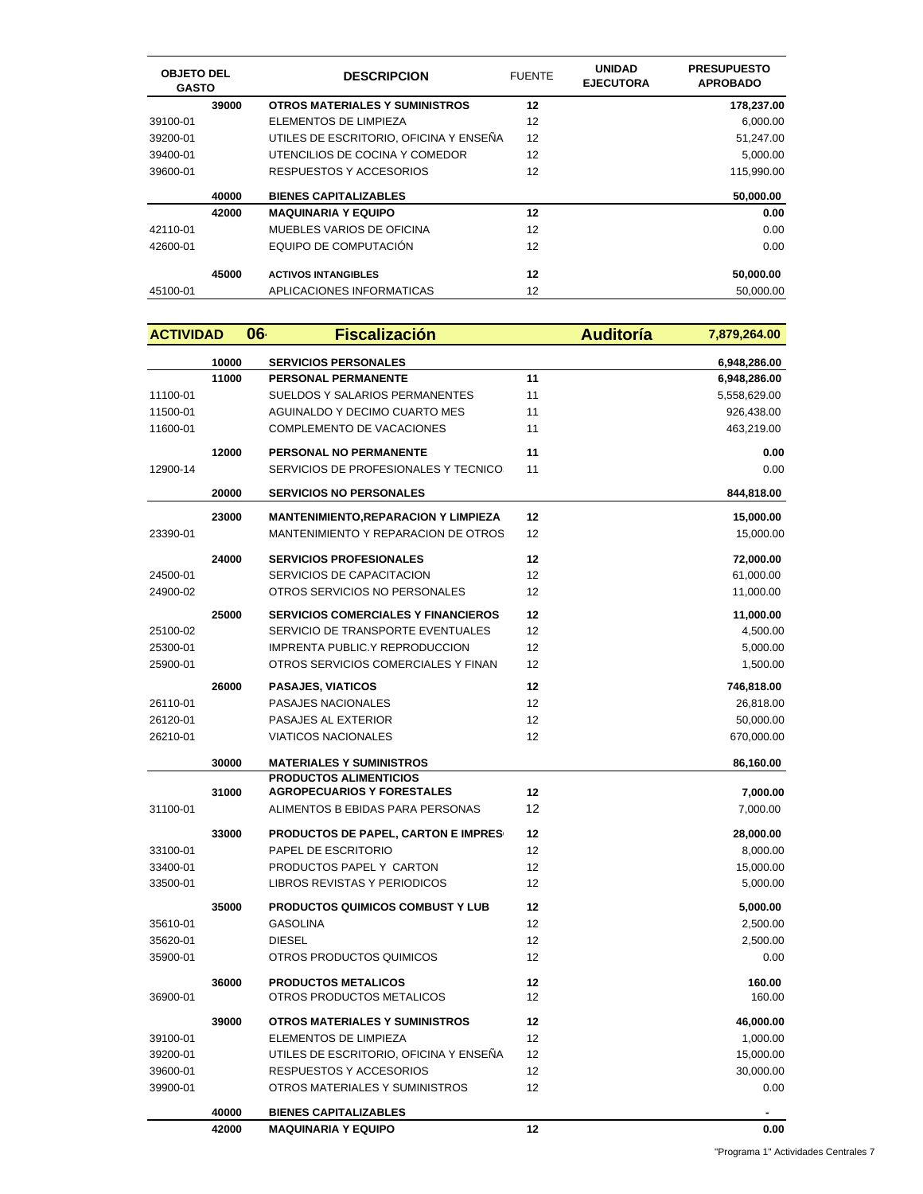| <b>OBJETO DEL</b><br><b>GASTO</b> |       | <b>DESCRIPCION</b>                     | <b>FUENTE</b> | <b>UNIDAD</b><br><b>EJECUTORA</b> | <b>PRESUPUESTO</b><br><b>APROBADO</b> |
|-----------------------------------|-------|----------------------------------------|---------------|-----------------------------------|---------------------------------------|
|                                   | 39000 | <b>OTROS MATERIALES Y SUMINISTROS</b>  | 12            |                                   | 178,237.00                            |
| 39100-01                          |       | ELEMENTOS DE LIMPIEZA                  | 12            |                                   | 6,000.00                              |
| 39200-01                          |       | UTILES DE ESCRITORIO. OFICINA Y ENSEÑA | 12            |                                   | 51,247.00                             |
| 39400-01                          |       | UTENCILIOS DE COCINA Y COMEDOR         | 12            |                                   | 5,000.00                              |
| 39600-01                          |       | RESPUESTOS Y ACCESORIOS                | 12            |                                   | 115.990.00                            |
|                                   | 40000 | <b>BIENES CAPITALIZABLES</b>           |               |                                   | 50,000.00                             |
|                                   | 42000 | <b>MAQUINARIA Y EQUIPO</b>             | 12            |                                   | 0.00                                  |
| 42110-01                          |       | MUEBLES VARIOS DE OFICINA              | 12            |                                   | 0.00                                  |
| 42600-01                          |       | EQUIPO DE COMPUTACIÓN                  | 12            |                                   | 0.00                                  |
|                                   | 45000 | <b>ACTIVOS INTANGIBLES</b>             | 12            |                                   | 50,000.00                             |
| 45100-01                          |       | APLICACIONES INFORMATICAS              | 12            |                                   | 50.000.00                             |

| <b>ACTIVIDAD</b> |       | 06<br><b>Fiscalización</b>                                         | <b>Auditoría</b> | 7,879,264.00 |
|------------------|-------|--------------------------------------------------------------------|------------------|--------------|
|                  | 10000 | <b>SERVICIOS PERSONALES</b>                                        |                  | 6,948,286.00 |
|                  | 11000 | PERSONAL PERMANENTE                                                | 11               | 6,948,286.00 |
| 11100-01         |       | SUELDOS Y SALARIOS PERMANENTES                                     | 11               | 5,558,629.00 |
| 11500-01         |       | AGUINALDO Y DECIMO CUARTO MES                                      | 11               | 926,438.00   |
| 11600-01         |       | COMPLEMENTO DE VACACIONES                                          | 11               | 463,219.00   |
|                  | 12000 | PERSONAL NO PERMANENTE                                             | 11               | 0.00         |
| 12900-14         |       | SERVICIOS DE PROFESIONALES Y TECNICO:                              | 11               | 0.00         |
|                  | 20000 | <b>SERVICIOS NO PERSONALES</b>                                     |                  | 844.818.00   |
|                  | 23000 | <b>MANTENIMIENTO, REPARACION Y LIMPIEZA</b>                        | 12               | 15,000.00    |
| 23390-01         |       | MANTENIMIENTO Y REPARACION DE OTROS                                | 12               | 15,000.00    |
|                  | 24000 | <b>SERVICIOS PROFESIONALES</b>                                     | 12               | 72,000.00    |
| 24500-01         |       | SERVICIOS DE CAPACITACION                                          | 12               | 61,000.00    |
| 24900-02         |       | OTROS SERVICIOS NO PERSONALES                                      | 12               | 11,000.00    |
|                  | 25000 | <b>SERVICIOS COMERCIALES Y FINANCIEROS</b>                         | 12               | 11,000.00    |
| 25100-02         |       | SERVICIO DE TRANSPORTE EVENTUALES                                  | 12               | 4,500.00     |
| 25300-01         |       | <b>IMPRENTA PUBLIC.Y REPRODUCCION</b>                              | 12               | 5,000.00     |
| 25900-01         |       | OTROS SERVICIOS COMERCIALES Y FINAN                                | 12               | 1,500.00     |
|                  | 26000 | <b>PASAJES, VIATICOS</b>                                           | 12               | 746,818.00   |
| 26110-01         |       | PASAJES NACIONALES                                                 | 12               | 26,818.00    |
| 26120-01         |       | PASAJES AL EXTERIOR                                                | 12               | 50,000.00    |
| 26210-01         |       | <b>VIATICOS NACIONALES</b>                                         | 12               | 670,000.00   |
|                  | 30000 | <b>MATERIALES Y SUMINISTROS</b>                                    |                  | 86,160.00    |
|                  | 31000 | <b>PRODUCTOS ALIMENTICIOS</b><br><b>AGROPECUARIOS Y FORESTALES</b> | 12               | 7,000.00     |
| 31100-01         |       | ALIMENTOS B EBIDAS PARA PERSONAS                                   | 12               | 7,000.00     |
|                  | 33000 | <b>PRODUCTOS DE PAPEL, CARTON E IMPRES</b>                         | 12               | 28,000.00    |
| 33100-01         |       | PAPEL DE ESCRITORIO                                                | 12               | 8,000.00     |
| 33400-01         |       | PRODUCTOS PAPEL Y CARTON                                           | 12               | 15,000.00    |
| 33500-01         |       | LIBROS REVISTAS Y PERIODICOS                                       | 12               | 5,000.00     |
|                  | 35000 | <b>PRODUCTOS QUIMICOS COMBUST Y LUB</b>                            | 12               | 5,000.00     |
| 35610-01         |       | <b>GASOLINA</b>                                                    | 12               | 2,500.00     |
| 35620-01         |       | <b>DIESEL</b>                                                      | 12               | 2,500.00     |
| 35900-01         |       | OTROS PRODUCTOS QUIMICOS                                           | 12               | 0.00         |
|                  | 36000 | <b>PRODUCTOS METALICOS</b>                                         | 12               | 160.00       |
| 36900-01         |       | OTROS PRODUCTOS METALICOS                                          | 12               | 160.00       |
|                  | 39000 | <b>OTROS MATERIALES Y SUMINISTROS</b>                              | 12               | 46,000.00    |
| 39100-01         |       | ELEMENTOS DE LIMPIEZA                                              | 12               | 1,000.00     |
| 39200-01         |       | UTILES DE ESCRITORIO, OFICINA Y ENSEÑA                             | 12               | 15,000.00    |
| 39600-01         |       | RESPUESTOS Y ACCESORIOS                                            | 12               | 30,000.00    |
| 39900-01         |       | OTROS MATERIALES Y SUMINISTROS                                     | 12               | 0.00         |
|                  | 40000 | <b>BIENES CAPITALIZABLES</b>                                       |                  |              |
|                  | 42000 | <b>MAQUINARIA Y EQUIPO</b>                                         | 12               | 0.00         |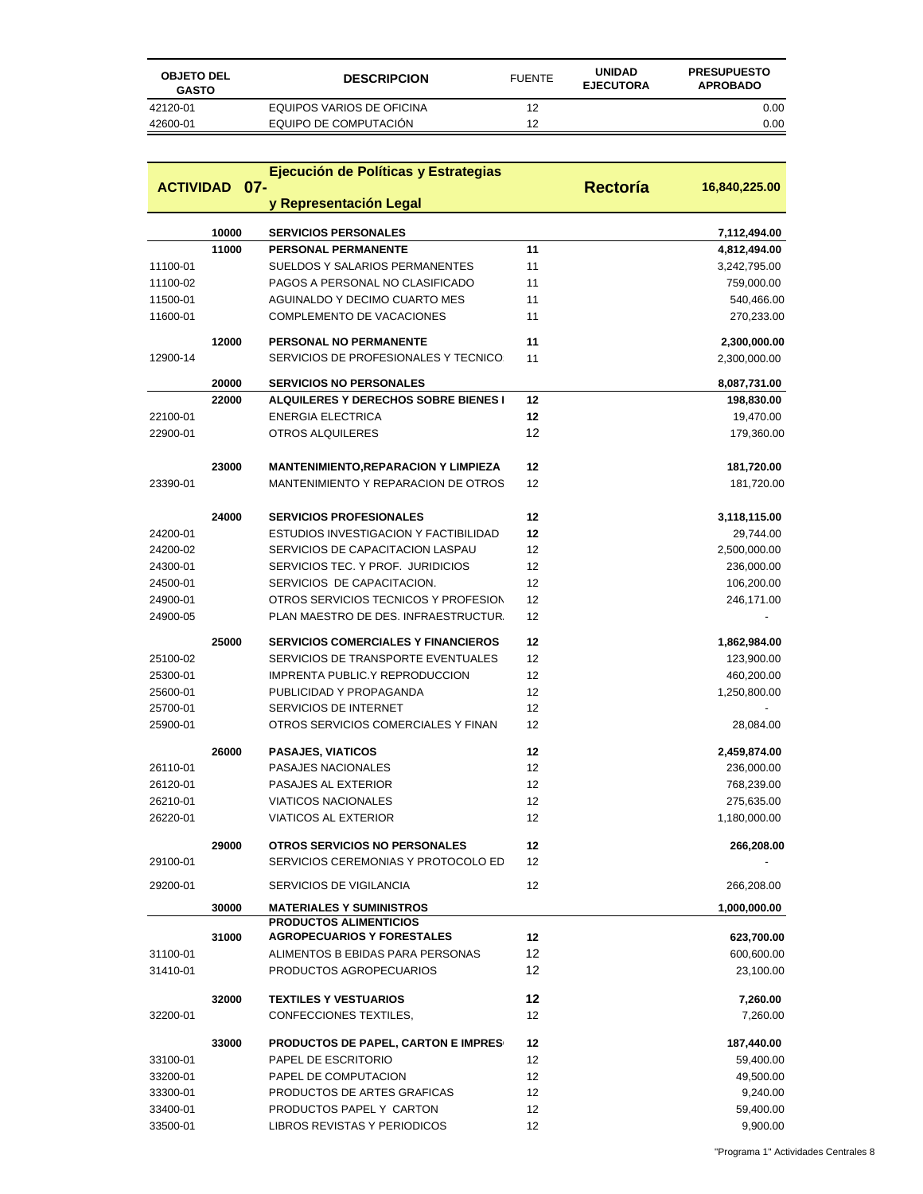| <b>OBJETO DEL</b><br><b>GASTO</b> | <b>DESCRIPCION</b>        | <b>FUENTE</b> | <b>UNIDAD</b><br><b>EJECUTORA</b> | <b>PRESUPUESTO</b><br><b>APROBADO</b> |
|-----------------------------------|---------------------------|---------------|-----------------------------------|---------------------------------------|
| 42120-01                          | EQUIPOS VARIOS DE OFICINA | 12            |                                   | 0.00                                  |
| 42600-01                          | EQUIPO DE COMPUTACIÓN     | 12            |                                   | 0.00                                  |

|          |                      | Ejecución de Políticas y Estrategias                               |          |               |
|----------|----------------------|--------------------------------------------------------------------|----------|---------------|
|          | <b>ACTIVIDAD 07-</b> |                                                                    | Rectoría | 16,840,225.00 |
|          |                      | y Representación Legal                                             |          |               |
|          | 10000                | <b>SERVICIOS PERSONALES</b>                                        |          | 7,112,494.00  |
|          | 11000                | <b>PERSONAL PERMANENTE</b>                                         | 11       | 4,812,494.00  |
| 11100-01 |                      | SUELDOS Y SALARIOS PERMANENTES                                     | 11       | 3,242,795.00  |
| 11100-02 |                      | PAGOS A PERSONAL NO CLASIFICADO                                    | 11       | 759,000.00    |
| 11500-01 |                      | <b>AGUINALDO Y DECIMO CUARTO MES</b>                               | 11       | 540,466.00    |
| 11600-01 |                      | <b>COMPLEMENTO DE VACACIONES</b>                                   | 11       | 270,233.00    |
|          | 12000                | PERSONAL NO PERMANENTE                                             | 11       | 2,300,000.00  |
| 12900-14 |                      | SERVICIOS DE PROFESIONALES Y TECNICO:                              | 11       | 2,300,000.00  |
|          | 20000                | <b>SERVICIOS NO PERSONALES</b>                                     |          | 8,087,731.00  |
|          | 22000                | <b>ALQUILERES Y DERECHOS SOBRE BIENES I</b>                        | 12       | 198,830.00    |
| 22100-01 |                      | <b>ENERGIA ELECTRICA</b>                                           | 12       | 19,470.00     |
| 22900-01 |                      | OTROS ALQUILERES                                                   | 12       | 179,360.00    |
|          | 23000                | <b>MANTENIMIENTO,REPARACION Y LIMPIEZA</b>                         | 12       | 181,720.00    |
| 23390-01 |                      | MANTENIMIENTO Y REPARACION DE OTROS                                | 12       | 181,720.00    |
|          |                      |                                                                    |          |               |
|          | 24000                | <b>SERVICIOS PROFESIONALES</b>                                     | 12       | 3,118,115.00  |
| 24200-01 |                      | ESTUDIOS INVESTIGACION Y FACTIBILIDAD                              | 12       | 29,744.00     |
| 24200-02 |                      | SERVICIOS DE CAPACITACION LASPAU                                   | 12       | 2,500,000.00  |
| 24300-01 |                      | SERVICIOS TEC. Y PROF. JURIDICIOS                                  | 12       | 236,000.00    |
| 24500-01 |                      | SERVICIOS DE CAPACITACION.                                         | 12       | 106,200.00    |
| 24900-01 |                      | OTROS SERVICIOS TECNICOS Y PROFESION                               | 12       | 246,171.00    |
| 24900-05 |                      | PLAN MAESTRO DE DES. INFRAESTRUCTUR.                               | 12       |               |
|          | 25000                | <b>SERVICIOS COMERCIALES Y FINANCIEROS</b>                         | 12       | 1,862,984.00  |
| 25100-02 |                      | SERVICIOS DE TRANSPORTE EVENTUALES                                 | 12       | 123,900.00    |
| 25300-01 |                      | <b>IMPRENTA PUBLIC.Y REPRODUCCION</b>                              | 12       | 460,200.00    |
| 25600-01 |                      | PUBLICIDAD Y PROPAGANDA                                            | 12       | 1,250,800.00  |
| 25700-01 |                      | SERVICIOS DE INTERNET                                              | 12       |               |
| 25900-01 |                      | OTROS SERVICIOS COMERCIALES Y FINAN                                | 12       | 28,084.00     |
|          | 26000                | <b>PASAJES, VIATICOS</b>                                           | 12       | 2,459,874.00  |
| 26110-01 |                      | PASAJES NACIONALES                                                 | 12       | 236,000.00    |
| 26120-01 |                      | PASAJES AL EXTERIOR                                                | 12       | 768,239.00    |
| 26210-01 |                      | <b>VIATICOS NACIONALES</b>                                         | 12       | 275,635.00    |
| 26220-01 |                      | <b>VIATICOS AL EXTERIOR</b>                                        | 12       | 1,180,000.00  |
|          | 29000                | <b>OTROS SERVICIOS NO PERSONALES</b>                               | 12       | 266,208.00    |
| 29100-01 |                      | SERVICIOS CEREMONIAS Y PROTOCOLO ED                                | 12       |               |
| 29200-01 |                      | SERVICIOS DE VIGILANCIA                                            | 12       | 266,208.00    |
|          | 30000                | <b>MATERIALES Y SUMINISTROS</b>                                    |          | 1,000,000.00  |
|          |                      | <b>PRODUCTOS ALIMENTICIOS</b><br><b>AGROPECUARIOS Y FORESTALES</b> |          |               |
|          | 31000                |                                                                    | 12       | 623,700.00    |
| 31100-01 |                      | ALIMENTOS B EBIDAS PARA PERSONAS                                   | 12       | 600,600.00    |
| 31410-01 |                      | PRODUCTOS AGROPECUARIOS                                            | 12       | 23,100.00     |
|          | 32000                | <b>TEXTILES Y VESTUARIOS</b>                                       | 12       | 7,260.00      |
| 32200-01 |                      | CONFECCIONES TEXTILES,                                             | 12       | 7,260.00      |
|          | 33000                | <b>PRODUCTOS DE PAPEL, CARTON E IMPRES</b>                         | 12       | 187,440.00    |
| 33100-01 |                      | PAPEL DE ESCRITORIO                                                | 12       | 59,400.00     |
| 33200-01 |                      | PAPEL DE COMPUTACION                                               | 12       | 49,500.00     |
| 33300-01 |                      | PRODUCTOS DE ARTES GRAFICAS                                        | 12       | 9,240.00      |
| 33400-01 |                      | PRODUCTOS PAPEL Y CARTON                                           | 12       | 59,400.00     |
| 33500-01 |                      | LIBROS REVISTAS Y PERIODICOS                                       | 12       | 9,900.00      |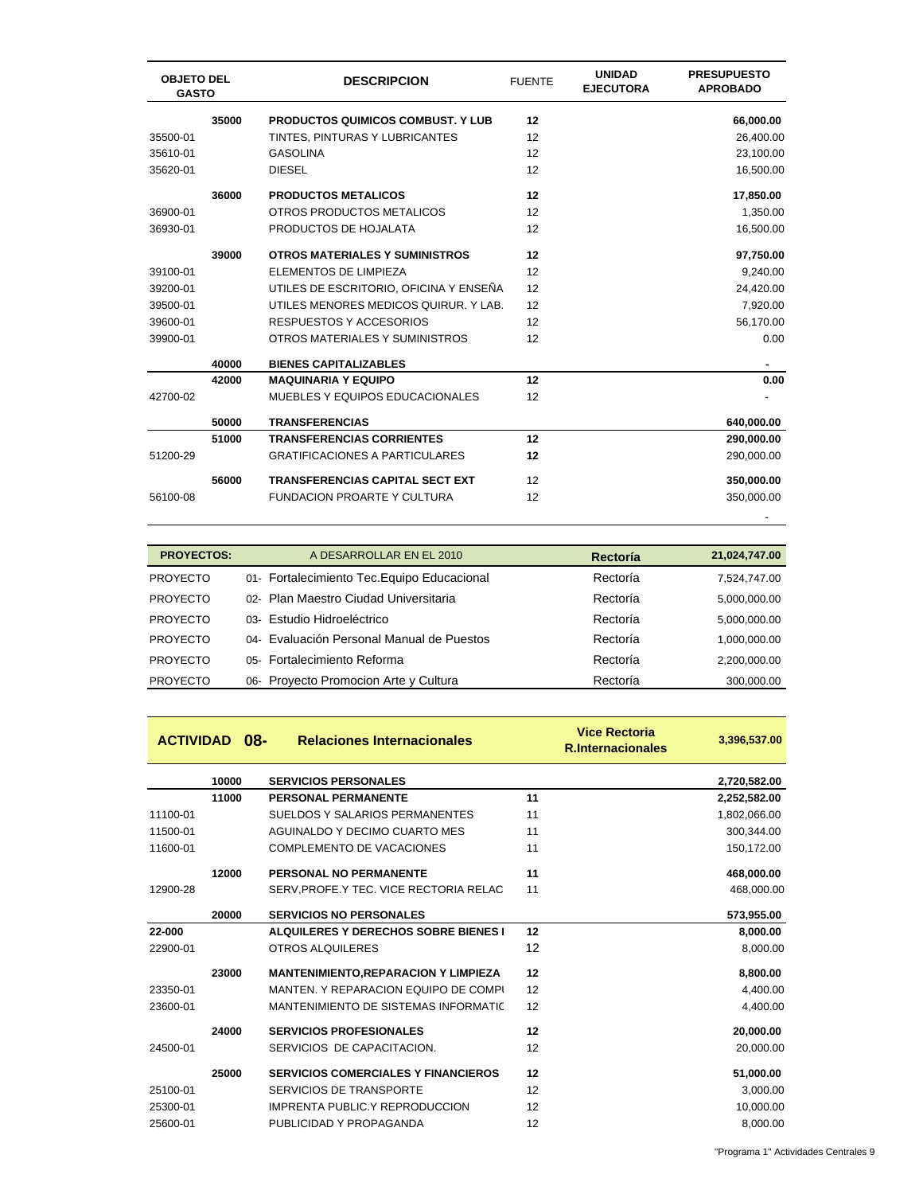| <b>OBJETO DEL</b><br><b>GASTO</b> |       | <b>DESCRIPCION</b>                       | <b>FUENTE</b> | <b>UNIDAD</b><br><b>EJECUTORA</b> | <b>PRESUPUESTO</b><br><b>APROBADO</b> |
|-----------------------------------|-------|------------------------------------------|---------------|-----------------------------------|---------------------------------------|
|                                   | 35000 | <b>PRODUCTOS QUIMICOS COMBUST. Y LUB</b> | 12            |                                   | 66,000.00                             |
| 35500-01                          |       | TINTES, PINTURAS Y LUBRICANTES           | 12            |                                   | 26,400.00                             |
| 35610-01                          |       | <b>GASOLINA</b>                          | 12            |                                   | 23,100.00                             |
| 35620-01                          |       | <b>DIESEL</b>                            | 12            |                                   | 16,500.00                             |
|                                   | 36000 | <b>PRODUCTOS METALICOS</b>               | 12            |                                   | 17,850.00                             |
| 36900-01                          |       | OTROS PRODUCTOS METALICOS                | 12            |                                   | 1,350.00                              |
| 36930-01                          |       | PRODUCTOS DE HOJALATA                    | 12            |                                   | 16,500.00                             |
|                                   | 39000 | <b>OTROS MATERIALES Y SUMINISTROS</b>    | 12            |                                   | 97,750.00                             |
| 39100-01                          |       | ELEMENTOS DE LIMPIEZA                    | 12            |                                   | 9,240.00                              |
| 39200-01                          |       | UTILES DE ESCRITORIO, OFICINA Y ENSEÑA   | 12            |                                   | 24,420.00                             |
| 39500-01                          |       | UTILES MENORES MEDICOS QUIRUR, Y LAB.    | 12            |                                   | 7,920.00                              |
| 39600-01                          |       | RESPUESTOS Y ACCESORIOS                  | 12            |                                   | 56,170.00                             |
| 39900-01                          |       | OTROS MATERIALES Y SUMINISTROS           | 12            |                                   | 0.00                                  |
|                                   | 40000 | <b>BIENES CAPITALIZABLES</b>             |               |                                   |                                       |
|                                   | 42000 | <b>MAQUINARIA Y EQUIPO</b>               | 12            |                                   | 0.00                                  |
| 42700-02                          |       | MUEBLES Y EQUIPOS EDUCACIONALES          | 12            |                                   |                                       |
|                                   | 50000 | <b>TRANSFERENCIAS</b>                    |               |                                   | 640,000.00                            |
|                                   | 51000 | <b>TRANSFERENCIAS CORRIENTES</b>         | 12            |                                   | 290,000.00                            |
| 51200-29                          |       | <b>GRATIFICACIONES A PARTICULARES</b>    | 12            |                                   | 290,000.00                            |
|                                   | 56000 | <b>TRANSFERENCIAS CAPITAL SECT EXT</b>   | 12            |                                   | 350,000.00                            |
| 56100-08                          |       | <b>FUNDACION PROARTE Y CULTURA</b>       | 12            |                                   | 350,000.00                            |

| <b>PROYECTOS:</b> | A DESARROLLAR EN EL 2010                    | Rectoría | 21,024,747.00 |
|-------------------|---------------------------------------------|----------|---------------|
| <b>PROYECTO</b>   | 01- Fortalecimiento Tec. Equipo Educacional | Rectoría | 7,524,747.00  |
| <b>PROYECTO</b>   | 02- Plan Maestro Ciudad Universitaria       | Rectoría | 5,000,000.00  |
| <b>PROYECTO</b>   | 03- Estudio Hidroeléctrico                  | Rectoría | 5,000,000.00  |
| <b>PROYECTO</b>   | 04- Evaluación Personal Manual de Puestos   | Rectoría | 1,000,000.00  |
| <b>PROYECTO</b>   | 05- Fortalecimiento Reforma                 | Rectoría | 2,200,000.00  |
| <b>PROYECTO</b>   | 06- Proyecto Promocion Arte y Cultura       | Rectoría | 300.000.00    |

the contract of the contract of the contract of the contract of the contract of the contract of the contract o

|          | <b>ACTIVIDAD 08-</b> | <b>Relaciones Internacionales</b>           |    | <b>Vice Rectoria</b><br><b>R.Internacionales</b> | 3,396,537.00 |
|----------|----------------------|---------------------------------------------|----|--------------------------------------------------|--------------|
|          | 10000                | <b>SERVICIOS PERSONALES</b>                 |    |                                                  | 2,720,582.00 |
|          | 11000                | <b>PERSONAL PERMANENTE</b>                  | 11 |                                                  | 2,252,582.00 |
| 11100-01 |                      | SUELDOS Y SALARIOS PERMANENTES              | 11 |                                                  | 1,802,066.00 |
| 11500-01 |                      | AGUINALDO Y DECIMO CUARTO MES               | 11 |                                                  | 300,344.00   |
| 11600-01 |                      | <b>COMPLEMENTO DE VACACIONES</b>            | 11 |                                                  | 150,172.00   |
|          | 12000                | PERSONAL NO PERMANENTE                      | 11 |                                                  | 468,000.00   |
| 12900-28 |                      | SERV, PROFE Y TEC. VICE RECTORIA RELAC      | 11 |                                                  | 468,000.00   |
|          | 20000                | <b>SERVICIOS NO PERSONALES</b>              |    |                                                  | 573,955.00   |
| 22-000   |                      | ALQUILERES Y DERECHOS SOBRE BIENES I        | 12 |                                                  | 8,000.00     |
| 22900-01 |                      | OTROS ALQUILERES                            | 12 |                                                  | 8,000.00     |
|          | 23000                | <b>MANTENIMIENTO, REPARACION Y LIMPIEZA</b> | 12 |                                                  | 8,800.00     |
| 23350-01 |                      | MANTEN. Y REPARACION EQUIPO DE COMPI        | 12 |                                                  | 4,400.00     |
| 23600-01 |                      | MANTENIMIENTO DE SISTEMAS INFORMATIC        | 12 |                                                  | 4,400.00     |
|          | 24000                | <b>SERVICIOS PROFESIONALES</b>              | 12 |                                                  | 20,000.00    |
| 24500-01 |                      | SERVICIOS DE CAPACITACION.                  | 12 |                                                  | 20,000.00    |
|          | 25000                | <b>SERVICIOS COMERCIALES Y FINANCIEROS</b>  | 12 |                                                  | 51,000.00    |
| 25100-01 |                      | SERVICIOS DE TRANSPORTE                     | 12 |                                                  | 3,000.00     |
| 25300-01 |                      | IMPRENTA PUBLIC.Y REPRODUCCION              | 12 |                                                  | 10,000.00    |
| 25600-01 |                      | PUBLICIDAD Y PROPAGANDA                     | 12 |                                                  | 8,000.00     |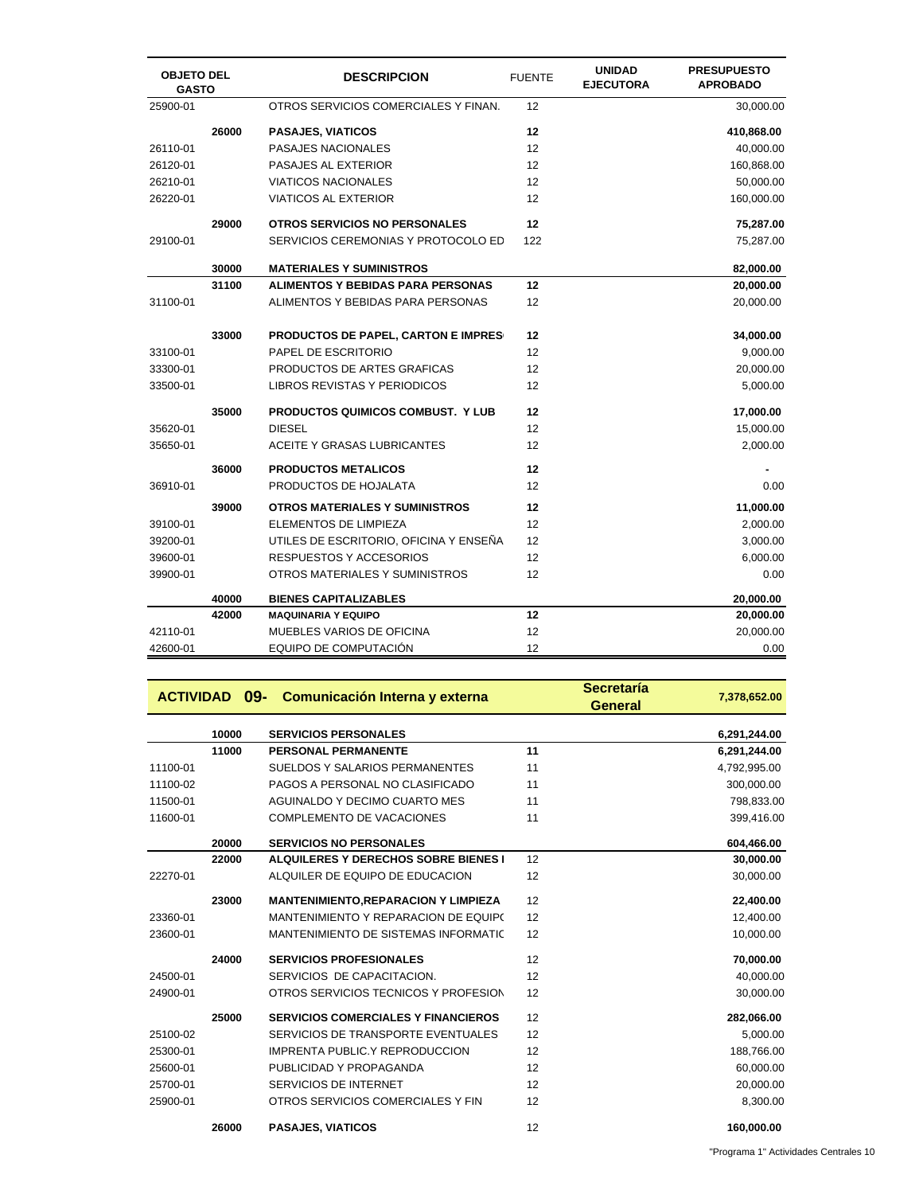| <b>OBJETO DEL</b><br><b>GASTO</b> |       | <b>DESCRIPCION</b>                         | <b>FUENTE</b> | <b>UNIDAD</b><br><b>EJECUTORA</b> | <b>PRESUPUESTO</b><br><b>APROBADO</b> |
|-----------------------------------|-------|--------------------------------------------|---------------|-----------------------------------|---------------------------------------|
| 25900-01                          |       | OTROS SERVICIOS COMERCIALES Y FINAN.       | 12            |                                   | 30,000.00                             |
|                                   | 26000 | <b>PASAJES, VIATICOS</b>                   | 12            |                                   | 410,868.00                            |
| 26110-01                          |       | <b>PASAJES NACIONALES</b>                  | 12            |                                   | 40,000.00                             |
| 26120-01                          |       | PASAJES AL EXTERIOR                        | 12            |                                   | 160,868.00                            |
| 26210-01                          |       | <b>VIATICOS NACIONALES</b>                 | 12            |                                   | 50,000.00                             |
| 26220-01                          |       | <b>VIATICOS AL EXTERIOR</b>                | 12            |                                   | 160,000.00                            |
|                                   | 29000 | OTROS SERVICIOS NO PERSONALES              | 12            |                                   | 75,287.00                             |
| 29100-01                          |       | SERVICIOS CEREMONIAS Y PROTOCOLO ED        | 122           |                                   | 75,287.00                             |
|                                   | 30000 | <b>MATERIALES Y SUMINISTROS</b>            |               |                                   | 82,000.00                             |
|                                   | 31100 | <b>ALIMENTOS Y BEBIDAS PARA PERSONAS</b>   | 12            |                                   | 20,000.00                             |
| 31100-01                          |       | ALIMENTOS Y BEBIDAS PARA PERSONAS          | 12            |                                   | 20,000.00                             |
|                                   | 33000 | <b>PRODUCTOS DE PAPEL, CARTON E IMPRES</b> | 12            |                                   | 34,000.00                             |
| 33100-01                          |       | PAPEL DE ESCRITORIO                        | 12            |                                   | 9,000.00                              |
| 33300-01                          |       | PRODUCTOS DE ARTES GRAFICAS                | 12            |                                   | 20,000.00                             |
| 33500-01                          |       | LIBROS REVISTAS Y PERIODICOS               | 12            |                                   | 5,000.00                              |
|                                   | 35000 | <b>PRODUCTOS QUIMICOS COMBUST. Y LUB</b>   | 12            |                                   | 17,000.00                             |
| 35620-01                          |       | <b>DIESEL</b>                              | 12            |                                   | 15,000.00                             |
| 35650-01                          |       | ACEITE Y GRASAS LUBRICANTES                | 12            |                                   | 2,000.00                              |
|                                   | 36000 | <b>PRODUCTOS METALICOS</b>                 | 12            |                                   |                                       |
| 36910-01                          |       | PRODUCTOS DE HOJALATA                      | 12            |                                   | 0.00                                  |
|                                   | 39000 | <b>OTROS MATERIALES Y SUMINISTROS</b>      | 12            |                                   | 11,000.00                             |
| 39100-01                          |       | ELEMENTOS DE LIMPIEZA                      | 12            |                                   | 2,000.00                              |
| 39200-01                          |       | UTILES DE ESCRITORIO, OFICINA Y ENSEÑA     | 12            |                                   | 3,000.00                              |
| 39600-01                          |       | RESPUESTOS Y ACCESORIOS                    | 12            |                                   | 6,000.00                              |
| 39900-01                          |       | OTROS MATERIALES Y SUMINISTROS             | 12            |                                   | 0.00                                  |
|                                   | 40000 | <b>BIENES CAPITALIZABLES</b>               |               |                                   | 20,000.00                             |
|                                   | 42000 | <b>MAQUINARIA Y EQUIPO</b>                 | 12            |                                   | 20,000.00                             |
| 42110-01                          |       | MUEBLES VARIOS DE OFICINA                  | 12            |                                   | 20,000.00                             |
| 42600-01                          |       | EQUIPO DE COMPUTACIÓN                      | 12            |                                   | 0.00                                  |

|          |       | <b>ACTIVIDAD 09- Comunicación Interna y externa</b> | <b>Secretaría</b><br><b>General</b> | 7,378,652.00 |
|----------|-------|-----------------------------------------------------|-------------------------------------|--------------|
|          | 10000 | <b>SERVICIOS PERSONALES</b>                         |                                     | 6,291,244.00 |
|          | 11000 | <b>PERSONAL PERMANENTE</b>                          | 11                                  | 6,291,244.00 |
| 11100-01 |       | SUELDOS Y SALARIOS PERMANENTES                      | 11                                  | 4,792,995.00 |
| 11100-02 |       | PAGOS A PERSONAL NO CLASIFICADO                     | 11                                  | 300,000.00   |
| 11500-01 |       | AGUINALDO Y DECIMO CUARTO MES                       | 11                                  | 798,833.00   |
| 11600-01 |       | <b>COMPLEMENTO DE VACACIONES</b>                    | 11                                  | 399,416.00   |
|          | 20000 | <b>SERVICIOS NO PERSONALES</b>                      |                                     | 604,466.00   |
|          | 22000 | ALQUILERES Y DERECHOS SOBRE BIENES I                | 12                                  | 30,000.00    |
| 22270-01 |       | ALQUILER DE EQUIPO DE EDUCACION                     | 12                                  | 30,000.00    |
|          | 23000 | <b>MANTENIMIENTO, REPARACION Y LIMPIEZA</b>         | 12                                  | 22,400.00    |
| 23360-01 |       | MANTENIMIENTO Y REPARACION DE EQUIPO                | 12                                  | 12,400.00    |
| 23600-01 |       | MANTENIMIENTO DE SISTEMAS INFORMATIC                | 12                                  | 10,000.00    |
|          | 24000 | <b>SERVICIOS PROFESIONALES</b>                      | 12                                  | 70,000.00    |
| 24500-01 |       | SERVICIOS DE CAPACITACION.                          | 12                                  | 40,000.00    |
| 24900-01 |       | OTROS SERVICIOS TECNICOS Y PROFESION                | 12                                  | 30,000.00    |
|          | 25000 | <b>SERVICIOS COMERCIALES Y FINANCIEROS</b>          | 12                                  | 282,066.00   |
| 25100-02 |       | SERVICIOS DE TRANSPORTE EVENTUALES                  | 12                                  | 5,000.00     |
| 25300-01 |       | IMPRENTA PUBLIC.Y REPRODUCCION                      | 12                                  | 188,766.00   |
| 25600-01 |       | PUBLICIDAD Y PROPAGANDA                             | 12                                  | 60,000.00    |
| 25700-01 |       | SERVICIOS DE INTERNET                               | 12                                  | 20,000.00    |
| 25900-01 |       | OTROS SERVICIOS COMERCIALES Y FIN                   | 12                                  | 8.300.00     |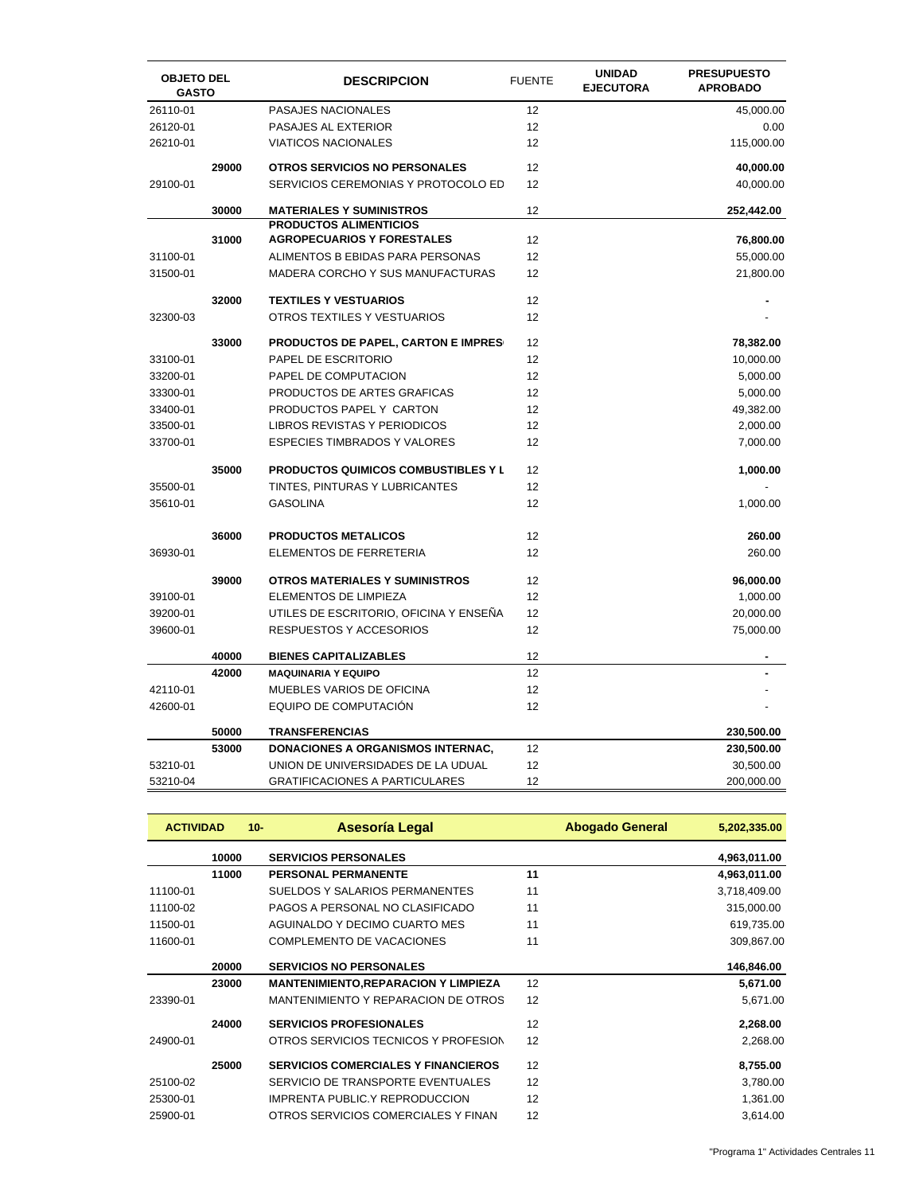| <b>OBJETO DEL</b><br><b>GASTO</b> |       | <b>DESCRIPCION</b>                         | <b>FUENTE</b> | <b>UNIDAD</b><br><b>EJECUTORA</b> | <b>PRESUPUESTO</b><br><b>APROBADO</b> |
|-----------------------------------|-------|--------------------------------------------|---------------|-----------------------------------|---------------------------------------|
| 26110-01                          |       | PASAJES NACIONALES                         | 12            |                                   | 45,000.00                             |
| 26120-01                          |       | PASAJES AL EXTERIOR                        | 12            |                                   | 0.00                                  |
| 26210-01                          |       | <b>VIATICOS NACIONALES</b>                 | 12            |                                   | 115,000.00                            |
|                                   | 29000 | OTROS SERVICIOS NO PERSONALES              | 12            |                                   | 40,000.00                             |
| 29100-01                          |       | SERVICIOS CEREMONIAS Y PROTOCOLO ED        | 12            |                                   | 40,000.00                             |
|                                   | 30000 | <b>MATERIALES Y SUMINISTROS</b>            | 12            |                                   | 252,442.00                            |
|                                   |       | <b>PRODUCTOS ALIMENTICIOS</b>              |               |                                   |                                       |
|                                   | 31000 | <b>AGROPECUARIOS Y FORESTALES</b>          | 12            |                                   | 76,800.00                             |
| 31100-01                          |       | ALIMENTOS B EBIDAS PARA PERSONAS           | 12            |                                   | 55,000.00                             |
| 31500-01                          |       | MADERA CORCHO Y SUS MANUFACTURAS           | 12            |                                   | 21,800.00                             |
|                                   | 32000 | <b>TEXTILES Y VESTUARIOS</b>               | 12            |                                   |                                       |
| 32300-03                          |       | OTROS TEXTILES Y VESTUARIOS                | 12            |                                   |                                       |
|                                   | 33000 | PRODUCTOS DE PAPEL, CARTON E IMPRES        | 12            |                                   | 78,382.00                             |
| 33100-01                          |       | PAPEL DE ESCRITORIO                        | 12            |                                   | 10,000.00                             |
| 33200-01                          |       | PAPEL DE COMPUTACION                       | 12            |                                   | 5,000.00                              |
| 33300-01                          |       | PRODUCTOS DE ARTES GRAFICAS                | 12            |                                   | 5,000.00                              |
| 33400-01                          |       | PRODUCTOS PAPEL Y CARTON                   | 12            |                                   | 49,382.00                             |
| 33500-01                          |       | LIBROS REVISTAS Y PERIODICOS               | 12            |                                   | 2,000.00                              |
| 33700-01                          |       | <b>ESPECIES TIMBRADOS Y VALORES</b>        | 12            |                                   | 7,000.00                              |
|                                   | 35000 | <b>PRODUCTOS QUIMICOS COMBUSTIBLES Y L</b> | 12            |                                   | 1,000.00                              |
| 35500-01                          |       | TINTES, PINTURAS Y LUBRICANTES             | 12            |                                   |                                       |
| 35610-01                          |       | <b>GASOLINA</b>                            | 12            |                                   | 1,000.00                              |
|                                   | 36000 | <b>PRODUCTOS METALICOS</b>                 | 12            |                                   | 260.00                                |
| 36930-01                          |       | ELEMENTOS DE FERRETERIA                    | 12            |                                   | 260.00                                |
|                                   | 39000 | <b>OTROS MATERIALES Y SUMINISTROS</b>      | 12            |                                   | 96,000.00                             |
| 39100-01                          |       | ELEMENTOS DE LIMPIEZA                      | 12            |                                   | 1,000.00                              |
| 39200-01                          |       | UTILES DE ESCRITORIO, OFICINA Y ENSENA     | 12            |                                   | 20,000.00                             |
| 39600-01                          |       | RESPUESTOS Y ACCESORIOS                    | 12            |                                   | 75,000.00                             |
|                                   | 40000 | <b>BIENES CAPITALIZABLES</b>               | 12            |                                   |                                       |
|                                   | 42000 | <b>MAQUINARIA Y EQUIPO</b>                 | 12            |                                   |                                       |
| 42110-01                          |       | MUEBLES VARIOS DE OFICINA                  | 12            |                                   |                                       |
| 42600-01                          |       | EQUIPO DE COMPUTACIÓN                      | 12            |                                   |                                       |
|                                   | 50000 | <b>TRANSFERENCIAS</b>                      |               |                                   | 230,500.00                            |
|                                   | 53000 | DONACIONES A ORGANISMOS INTERNAC,          | 12            |                                   | 230,500.00                            |
| 53210-01                          |       | UNION DE UNIVERSIDADES DE LA UDUAL         | 12            |                                   | 30,500.00                             |
| 53210-04                          |       | <b>GRATIFICACIONES A PARTICULARES</b>      | 12            |                                   | 200,000.00                            |

| <b>ACTIVIDAD</b> |       | Asesoría Legal<br>$10 -$                    | <b>Abogado General</b> | 5,202,335.00 |
|------------------|-------|---------------------------------------------|------------------------|--------------|
|                  | 10000 | <b>SERVICIOS PERSONALES</b>                 |                        | 4,963,011.00 |
|                  | 11000 | <b>PERSONAL PERMANENTE</b>                  | 11                     | 4,963,011.00 |
| 11100-01         |       | SUELDOS Y SALARIOS PERMANENTES              | 11                     | 3,718,409.00 |
| 11100-02         |       | PAGOS A PERSONAL NO CLASIFICADO             | 11                     | 315,000.00   |
| 11500-01         |       | AGUINALDO Y DECIMO CUARTO MES               | 11                     | 619,735.00   |
| 11600-01         |       | COMPLEMENTO DE VACACIONES                   | 11                     | 309,867.00   |
|                  | 20000 | <b>SERVICIOS NO PERSONALES</b>              |                        | 146,846.00   |
|                  | 23000 | <b>MANTENIMIENTO, REPARACION Y LIMPIEZA</b> | 12                     | 5,671.00     |
| 23390-01         |       | MANTENIMIENTO Y REPARACION DE OTROS         | 12                     | 5,671.00     |
|                  | 24000 | <b>SERVICIOS PROFESIONALES</b>              | 12                     | 2,268.00     |
| 24900-01         |       | OTROS SERVICIOS TECNICOS Y PROFESION        | 12                     | 2,268.00     |
|                  | 25000 | <b>SERVICIOS COMERCIALES Y FINANCIEROS</b>  | 12                     | 8,755.00     |
| 25100-02         |       | SERVICIO DE TRANSPORTE EVENTUALES           | 12                     | 3,780.00     |
| 25300-01         |       | <b>IMPRENTA PUBLIC.Y REPRODUCCION</b>       | 12                     | 1,361.00     |
| 25900-01         |       | OTROS SERVICIOS COMERCIALES Y FINAN         | 12                     | 3,614.00     |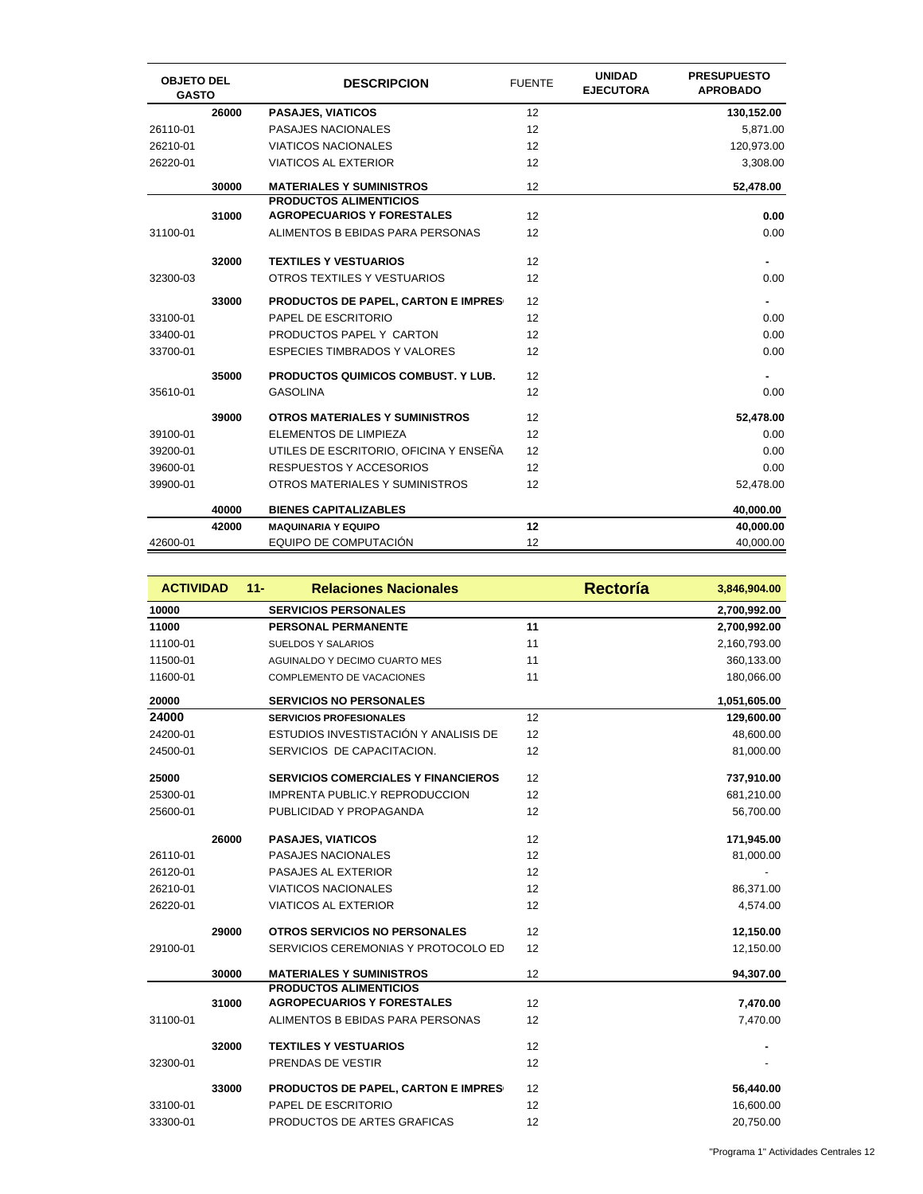| <b>OBJETO DEL</b><br><b>GASTO</b> |       | <b>DESCRIPCION</b>                         | <b>FUENTE</b> | <b>UNIDAD</b><br><b>EJECUTORA</b> | <b>PRESUPUESTO</b><br><b>APROBADO</b> |
|-----------------------------------|-------|--------------------------------------------|---------------|-----------------------------------|---------------------------------------|
|                                   | 26000 | <b>PASAJES, VIATICOS</b>                   | 12            |                                   | 130,152.00                            |
| 26110-01                          |       | <b>PASAJES NACIONALES</b>                  | 12            |                                   | 5,871.00                              |
| 26210-01                          |       | <b>VIATICOS NACIONALES</b>                 | 12            |                                   | 120,973.00                            |
| 26220-01                          |       | <b>VIATICOS AL EXTERIOR</b>                | 12            |                                   | 3,308.00                              |
|                                   | 30000 | <b>MATERIALES Y SUMINISTROS</b>            | 12            |                                   | 52,478.00                             |
|                                   |       | <b>PRODUCTOS ALIMENTICIOS</b>              |               |                                   |                                       |
|                                   | 31000 | <b>AGROPECUARIOS Y FORESTALES</b>          | 12            |                                   | 0.00                                  |
| 31100-01                          |       | ALIMENTOS B EBIDAS PARA PERSONAS           | 12            |                                   | 0.00                                  |
|                                   | 32000 | <b>TEXTILES Y VESTUARIOS</b>               | 12            |                                   |                                       |
| 32300-03                          |       | OTROS TEXTILES Y VESTUARIOS                | 12            |                                   | 0.00                                  |
|                                   | 33000 | <b>PRODUCTOS DE PAPEL, CARTON E IMPRES</b> | 12            |                                   | $\blacksquare$                        |
| 33100-01                          |       | PAPEL DE ESCRITORIO                        | 12            |                                   | 0.00                                  |
| 33400-01                          |       | PRODUCTOS PAPEL Y CARTON                   | 12            |                                   | 0.00                                  |
| 33700-01                          |       | <b>ESPECIES TIMBRADOS Y VALORES</b>        | 12            |                                   | 0.00                                  |
|                                   | 35000 | <b>PRODUCTOS QUIMICOS COMBUST. Y LUB.</b>  | 12            |                                   |                                       |
| 35610-01                          |       | <b>GASOLINA</b>                            | 12            |                                   | 0.00                                  |
|                                   | 39000 | <b>OTROS MATERIALES Y SUMINISTROS</b>      | 12            |                                   | 52,478.00                             |
| 39100-01                          |       | ELEMENTOS DE LIMPIEZA                      | 12            |                                   | 0.00                                  |
| 39200-01                          |       | UTILES DE ESCRITORIO, OFICINA Y ENSEÑA     | 12            |                                   | 0.00                                  |
| 39600-01                          |       | <b>RESPUESTOS Y ACCESORIOS</b>             | 12            |                                   | 0.00                                  |
| 39900-01                          |       | OTROS MATERIALES Y SUMINISTROS             | 12            |                                   | 52,478.00                             |
|                                   | 40000 | <b>BIENES CAPITALIZABLES</b>               |               |                                   | 40,000.00                             |
|                                   | 42000 | <b>MAQUINARIA Y EQUIPO</b>                 | 12            |                                   | 40,000.00                             |
| 42600-01                          |       | EQUIPO DE COMPUTACIÓN                      | 12            |                                   | 40,000.00                             |

| <b>ACTIVIDAD</b> |       | <b>Relaciones Nacionales</b><br>$11 -$     | Rectoría | 3,846,904.00 |
|------------------|-------|--------------------------------------------|----------|--------------|
| 10000            |       | <b>SERVICIOS PERSONALES</b>                |          | 2,700,992.00 |
| 11000            |       | <b>PERSONAL PERMANENTE</b>                 | 11       | 2,700,992.00 |
| 11100-01         |       | <b>SUELDOS Y SALARIOS</b>                  | 11       | 2,160,793.00 |
| 11500-01         |       | AGUINALDO Y DECIMO CUARTO MES              | 11       | 360,133.00   |
| 11600-01         |       | COMPLEMENTO DE VACACIONES                  | 11       | 180,066.00   |
| 20000            |       | <b>SERVICIOS NO PERSONALES</b>             |          | 1,051,605.00 |
| 24000            |       | <b>SERVICIOS PROFESIONALES</b>             | 12       | 129,600.00   |
| 24200-01         |       | ESTUDIOS INVESTISTACIÓN Y ANALISIS DE      | 12       | 48,600.00    |
| 24500-01         |       | SERVICIOS DE CAPACITACION.                 | 12       | 81,000.00    |
| 25000            |       | <b>SERVICIOS COMERCIALES Y FINANCIEROS</b> | 12       | 737,910.00   |
| 25300-01         |       | IMPRENTA PUBLIC.Y REPRODUCCION             | 12       | 681,210.00   |
| 25600-01         |       | PUBLICIDAD Y PROPAGANDA                    | 12       | 56,700.00    |
|                  | 26000 | <b>PASAJES, VIATICOS</b>                   | 12       | 171,945.00   |
| 26110-01         |       | PASAJES NACIONALES                         | 12       | 81,000.00    |
| 26120-01         |       | PASAJES AL EXTERIOR                        | 12       |              |
| 26210-01         |       | <b>VIATICOS NACIONALES</b>                 | 12       | 86,371.00    |
| 26220-01         |       | <b>VIATICOS AL EXTERIOR</b>                | 12       | 4,574.00     |
|                  | 29000 | <b>OTROS SERVICIOS NO PERSONALES</b>       | 12       | 12,150.00    |
| 29100-01         |       | SERVICIOS CEREMONIAS Y PROTOCOLO ED        | 12       | 12,150.00    |
|                  | 30000 | <b>MATERIALES Y SUMINISTROS</b>            | 12       | 94,307.00    |
|                  |       | <b>PRODUCTOS ALIMENTICIOS</b>              |          |              |
|                  | 31000 | <b>AGROPECUARIOS Y FORESTALES</b>          | 12       | 7,470.00     |
| 31100-01         |       | ALIMENTOS B EBIDAS PARA PERSONAS           | 12       | 7,470.00     |
|                  | 32000 | <b>TEXTILES Y VESTUARIOS</b>               | 12       |              |
| 32300-01         |       | PRENDAS DE VESTIR                          | 12       |              |
|                  | 33000 | PRODUCTOS DE PAPEL, CARTON E IMPRES        | 12       | 56,440.00    |
| 33100-01         |       | PAPEL DE ESCRITORIO                        | 12       | 16,600.00    |
| 33300-01         |       | PRODUCTOS DE ARTES GRAFICAS                | 12       | 20,750.00    |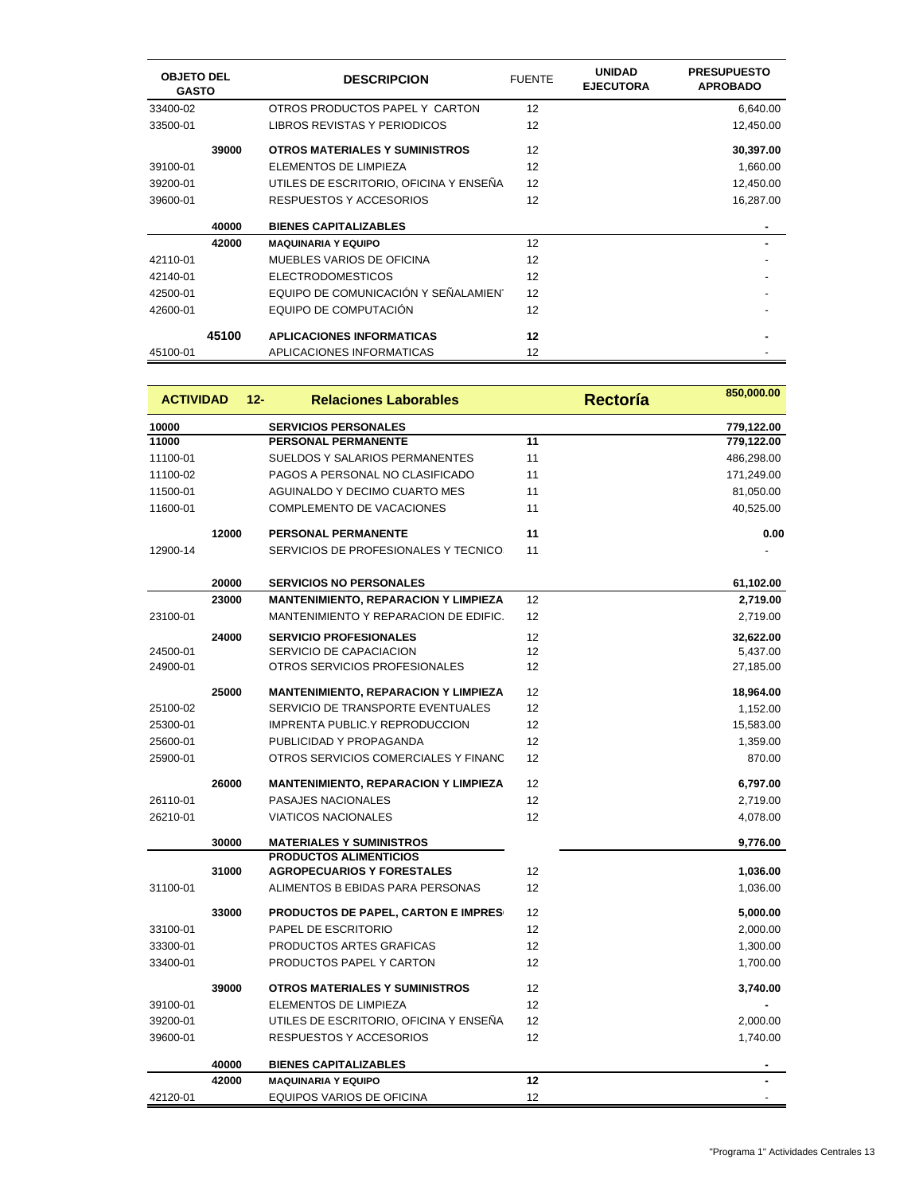| <b>OBJETO DEL</b><br><b>GASTO</b> |       | <b>DESCRIPCION</b>                     | <b>FUENTE</b> | <b>UNIDAD</b><br><b>EJECUTORA</b> | <b>PRESUPUESTO</b><br><b>APROBADO</b> |
|-----------------------------------|-------|----------------------------------------|---------------|-----------------------------------|---------------------------------------|
| 33400-02                          |       | OTROS PRODUCTOS PAPEL Y CARTON         | 12            |                                   | 6,640.00                              |
| 33500-01                          |       | LIBROS REVISTAS Y PERIODICOS           | 12            |                                   | 12,450.00                             |
|                                   | 39000 | <b>OTROS MATERIALES Y SUMINISTROS</b>  | 12            |                                   | 30,397.00                             |
| 39100-01                          |       | ELEMENTOS DE LIMPIEZA                  | 12            |                                   | 1,660.00                              |
| 39200-01                          |       | UTILES DE ESCRITORIO, OFICINA Y ENSEÑA | 12            |                                   | 12,450.00                             |
| 39600-01                          |       | <b>RESPUESTOS Y ACCESORIOS</b>         | 12            |                                   | 16,287.00                             |
|                                   | 40000 | <b>BIENES CAPITALIZABLES</b>           |               |                                   |                                       |
|                                   | 42000 | <b>MAQUINARIA Y EQUIPO</b>             | 12            |                                   |                                       |
| 42110-01                          |       | MUEBLES VARIOS DE OFICINA              | 12            |                                   |                                       |
| 42140-01                          |       | <b>ELECTRODOMESTICOS</b>               | 12            |                                   |                                       |
| 42500-01                          |       | EQUIPO DE COMUNICACIÓN Y SEÑALAMIENT   | 12            |                                   |                                       |
| 42600-01                          |       | EQUIPO DE COMPUTACIÓN                  | 12            |                                   |                                       |
|                                   | 45100 | <b>APLICACIONES INFORMATICAS</b>       | 12            |                                   |                                       |
| 45100-01                          |       | APLICACIONES INFORMATICAS              | 12            |                                   |                                       |

| <b>ACTIVIDAD</b> |       | $12 -$ | <b>Relaciones Laborables</b>                |    | <b>Rectoría</b> | 850,000.00 |
|------------------|-------|--------|---------------------------------------------|----|-----------------|------------|
| 10000            |       |        | <b>SERVICIOS PERSONALES</b>                 |    |                 | 779,122.00 |
| 11000            |       |        | <b>PERSONAL PERMANENTE</b>                  | 11 |                 | 779,122.00 |
| 11100-01         |       |        | SUELDOS Y SALARIOS PERMANENTES              | 11 |                 | 486,298.00 |
| 11100-02         |       |        | PAGOS A PERSONAL NO CLASIFICADO             | 11 |                 | 171,249.00 |
| 11500-01         |       |        | AGUINALDO Y DECIMO CUARTO MES               | 11 |                 | 81,050.00  |
| 11600-01         |       |        | COMPLEMENTO DE VACACIONES                   | 11 |                 | 40,525.00  |
|                  | 12000 |        | PERSONAL PERMANENTE                         | 11 |                 | 0.00       |
| 12900-14         |       |        | SERVICIOS DE PROFESIONALES Y TECNICO:       | 11 |                 |            |
|                  | 20000 |        | <b>SERVICIOS NO PERSONALES</b>              |    |                 | 61,102.00  |
|                  | 23000 |        | <b>MANTENIMIENTO, REPARACION Y LIMPIEZA</b> | 12 |                 | 2,719.00   |
| 23100-01         |       |        | MANTENIMIENTO Y REPARACION DE EDIFIC.       | 12 |                 | 2,719.00   |
|                  | 24000 |        | <b>SERVICIO PROFESIONALES</b>               | 12 |                 | 32,622.00  |
| 24500-01         |       |        | SERVICIO DE CAPACIACION                     | 12 |                 | 5,437.00   |
| 24900-01         |       |        | OTROS SERVICIOS PROFESIONALES               | 12 |                 | 27,185.00  |
|                  | 25000 |        | <b>MANTENIMIENTO, REPARACION Y LIMPIEZA</b> | 12 |                 | 18,964.00  |
| 25100-02         |       |        | SERVICIO DE TRANSPORTE EVENTUALES           | 12 |                 | 1,152.00   |
| 25300-01         |       |        | <b>IMPRENTA PUBLIC.Y REPRODUCCION</b>       | 12 |                 | 15,583.00  |
| 25600-01         |       |        | PUBLICIDAD Y PROPAGANDA                     | 12 |                 | 1,359.00   |
| 25900-01         |       |        | OTROS SERVICIOS COMERCIALES Y FINANC        | 12 |                 | 870.00     |
|                  | 26000 |        | <b>MANTENIMIENTO, REPARACION Y LIMPIEZA</b> | 12 |                 | 6,797.00   |
| 26110-01         |       |        | PASAJES NACIONALES                          | 12 |                 | 2,719.00   |
| 26210-01         |       |        | <b>VIATICOS NACIONALES</b>                  | 12 |                 | 4,078.00   |
|                  | 30000 |        | <b>MATERIALES Y SUMINISTROS</b>             |    |                 | 9,776.00   |
|                  |       |        | <b>PRODUCTOS ALIMENTICIOS</b>               |    |                 |            |
|                  | 31000 |        | <b>AGROPECUARIOS Y FORESTALES</b>           | 12 |                 | 1,036.00   |
| 31100-01         |       |        | ALIMENTOS B EBIDAS PARA PERSONAS            | 12 |                 | 1,036.00   |
|                  | 33000 |        | PRODUCTOS DE PAPEL, CARTON E IMPRES         | 12 |                 | 5,000.00   |
| 33100-01         |       |        | PAPEL DE ESCRITORIO                         | 12 |                 | 2,000.00   |
| 33300-01         |       |        | PRODUCTOS ARTES GRAFICAS                    | 12 |                 | 1,300.00   |
| 33400-01         |       |        | PRODUCTOS PAPEL Y CARTON                    | 12 |                 | 1,700.00   |
|                  | 39000 |        | <b>OTROS MATERIALES Y SUMINISTROS</b>       | 12 |                 | 3,740.00   |
| 39100-01         |       |        | ELEMENTOS DE LIMPIEZA                       | 12 |                 |            |
| 39200-01         |       |        | UTILES DE ESCRITORIO, OFICINA Y ENSENA      | 12 |                 | 2,000.00   |
| 39600-01         |       |        | RESPUESTOS Y ACCESORIOS                     | 12 |                 | 1,740.00   |
|                  | 40000 |        | <b>BIENES CAPITALIZABLES</b>                |    |                 |            |
|                  | 42000 |        | <b>MAQUINARIA Y EQUIPO</b>                  | 12 |                 |            |
| 42120-01         |       |        | EQUIPOS VARIOS DE OFICINA                   | 12 |                 |            |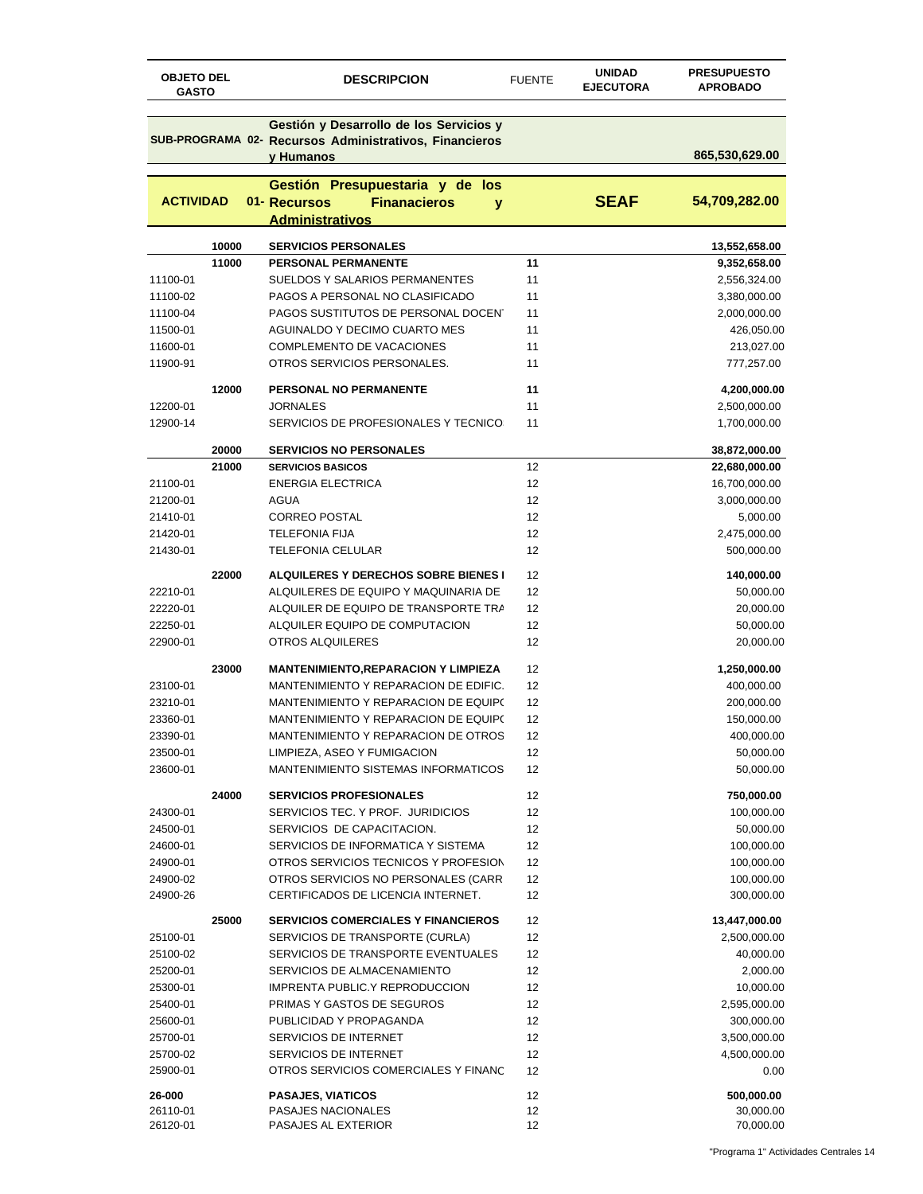| <b>OBJETO DEL</b><br><b>GASTO</b> |       | <b>DESCRIPCION</b>                                                                                             | <b>FUENTE</b> | <b>UNIDAD</b><br><b>EJECUTORA</b> | <b>PRESUPUESTO</b><br><b>APROBADO</b> |
|-----------------------------------|-------|----------------------------------------------------------------------------------------------------------------|---------------|-----------------------------------|---------------------------------------|
|                                   |       | Gestión y Desarrollo de los Servicios y<br>SUB-PROGRAMA 02- Recursos Administrativos, Financieros<br>y Humanos |               |                                   | 865,530,629.00                        |
|                                   |       |                                                                                                                |               |                                   |                                       |
| <b>ACTIVIDAD</b>                  |       | Gestión Presupuestaria y de los<br>01- Recursos<br><b>Finanacieros</b><br>y<br><b>Administrativos</b>          |               | <b>SEAF</b>                       | 54,709,282.00                         |
|                                   | 10000 | <b>SERVICIOS PERSONALES</b>                                                                                    |               |                                   | 13,552,658.00                         |
|                                   | 11000 | PERSONAL PERMANENTE                                                                                            | 11            |                                   |                                       |
| 11100-01                          |       | <b>SUELDOS Y SALARIOS PERMANENTES</b>                                                                          | 11            |                                   | 9,352,658.00<br>2,556,324.00          |
| 11100-02                          |       | PAGOS A PERSONAL NO CLASIFICADO                                                                                | 11            |                                   | 3,380,000.00                          |
| 11100-04                          |       | PAGOS SUSTITUTOS DE PERSONAL DOCENT                                                                            | 11            |                                   | 2,000,000.00                          |
| 11500-01                          |       | <b>AGUINALDO Y DECIMO CUARTO MES</b>                                                                           | 11            |                                   | 426,050.00                            |
| 11600-01                          |       | COMPLEMENTO DE VACACIONES                                                                                      | 11            |                                   | 213,027.00                            |
| 11900-91                          |       | OTROS SERVICIOS PERSONALES.                                                                                    | 11            |                                   | 777,257.00                            |
|                                   |       |                                                                                                                |               |                                   |                                       |
|                                   | 12000 | PERSONAL NO PERMANENTE                                                                                         | 11            |                                   | 4,200,000.00                          |
| 12200-01                          |       | <b>JORNALES</b>                                                                                                | 11            |                                   | 2,500,000.00                          |
| 12900-14                          |       | SERVICIOS DE PROFESIONALES Y TECNICO:                                                                          | 11            |                                   | 1,700,000.00                          |
|                                   |       |                                                                                                                |               |                                   |                                       |
|                                   | 20000 | <b>SERVICIOS NO PERSONALES</b>                                                                                 |               |                                   | 38,872,000.00                         |
|                                   | 21000 | <b>SERVICIOS BASICOS</b>                                                                                       | 12<br>12      |                                   | 22,680,000.00                         |
| 21100-01                          |       | <b>ENERGIA ELECTRICA</b>                                                                                       |               |                                   | 16,700,000.00                         |
| 21200-01                          |       | <b>AGUA</b>                                                                                                    | 12            |                                   | 3,000,000.00                          |
| 21410-01                          |       | <b>CORREO POSTAL</b>                                                                                           | 12            |                                   | 5,000.00                              |
| 21420-01                          |       | <b>TELEFONIA FIJA</b>                                                                                          | 12            |                                   | 2,475,000.00                          |
| 21430-01                          |       | <b>TELEFONIA CELULAR</b>                                                                                       | 12            |                                   | 500,000.00                            |
|                                   | 22000 | <b>ALQUILERES Y DERECHOS SOBRE BIENES I</b>                                                                    | 12            |                                   | 140,000.00                            |
| 22210-01                          |       | ALQUILERES DE EQUIPO Y MAQUINARIA DE                                                                           | 12            |                                   | 50,000.00                             |
| 22220-01                          |       | ALQUILER DE EQUIPO DE TRANSPORTE TRA                                                                           | 12            |                                   | 20,000.00                             |
| 22250-01                          |       | ALQUILER EQUIPO DE COMPUTACION                                                                                 | 12            |                                   | 50,000.00                             |
| 22900-01                          |       | <b>OTROS ALQUILERES</b>                                                                                        | 12            |                                   | 20,000.00                             |
|                                   |       |                                                                                                                |               |                                   |                                       |
|                                   | 23000 | <b>MANTENIMIENTO, REPARACION Y LIMPIEZA</b>                                                                    | 12            |                                   | 1,250,000.00                          |
| 23100-01                          |       | MANTENIMIENTO Y REPARACION DE EDIFIC.                                                                          | 12            |                                   | 400,000.00                            |
| 23210-01                          |       | MANTENIMIENTO Y REPARACION DE EQUIP(                                                                           | 12            |                                   | 200,000.00                            |
| 23360-01                          |       | MANTENIMIENTO Y REPARACION DE EQUIP(                                                                           | 12            |                                   | 150,000.00                            |
| 23390-01                          |       | MANTENIMIENTO Y REPARACION DE OTROS                                                                            | 12            |                                   | 400,000.00                            |
| 23500-01                          |       | LIMPIEZA, ASEO Y FUMIGACION                                                                                    | 12            |                                   | 50,000.00                             |
| 23600-01                          |       | <b>MANTENIMIENTO SISTEMAS INFORMATICOS</b>                                                                     | 12            |                                   | 50,000.00                             |
|                                   | 24000 | <b>SERVICIOS PROFESIONALES</b>                                                                                 | 12            |                                   | 750,000.00                            |
| 24300-01                          |       | SERVICIOS TEC. Y PROF. JURIDICIOS                                                                              | 12            |                                   | 100,000.00                            |
| 24500-01                          |       | SERVICIOS DE CAPACITACION.                                                                                     | 12            |                                   | 50,000.00                             |
| 24600-01                          |       | SERVICIOS DE INFORMATICA Y SISTEMA                                                                             | 12            |                                   | 100,000.00                            |
| 24900-01                          |       | OTROS SERVICIOS TECNICOS Y PROFESION                                                                           | 12            |                                   | 100,000.00                            |
| 24900-02                          |       | OTROS SERVICIOS NO PERSONALES (CARR                                                                            | 12            |                                   | 100,000.00                            |
| 24900-26                          |       | CERTIFICADOS DE LICENCIA INTERNET.                                                                             | 12            |                                   | 300,000.00                            |
|                                   |       |                                                                                                                |               |                                   |                                       |
|                                   | 25000 | <b>SERVICIOS COMERCIALES Y FINANCIEROS</b>                                                                     | 12            |                                   | 13,447,000.00                         |
| 25100-01                          |       | SERVICIOS DE TRANSPORTE (CURLA)                                                                                | 12            |                                   | 2,500,000.00                          |
| 25100-02                          |       | SERVICIOS DE TRANSPORTE EVENTUALES                                                                             | 12            |                                   | 40,000.00                             |
| 25200-01                          |       | SERVICIOS DE ALMACENAMIENTO                                                                                    | 12            |                                   | 2,000.00                              |
| 25300-01<br>25400-01              |       | IMPRENTA PUBLIC.Y REPRODUCCION<br>PRIMAS Y GASTOS DE SEGUROS                                                   | 12<br>12      |                                   | 10,000.00<br>2,595,000.00             |
| 25600-01                          |       | PUBLICIDAD Y PROPAGANDA                                                                                        | 12            |                                   | 300,000.00                            |
| 25700-01                          |       | SERVICIOS DE INTERNET                                                                                          | 12            |                                   | 3,500,000.00                          |
| 25700-02                          |       | SERVICIOS DE INTERNET                                                                                          | 12            |                                   | 4,500,000.00                          |
| 25900-01                          |       | OTROS SERVICIOS COMERCIALES Y FINANC                                                                           | 12            |                                   | 0.00                                  |
|                                   |       |                                                                                                                |               |                                   |                                       |
| 26-000                            |       | <b>PASAJES, VIATICOS</b>                                                                                       | 12            |                                   | 500,000.00                            |
| 26110-01                          |       | PASAJES NACIONALES                                                                                             | 12            |                                   | 30,000.00                             |
| 26120-01                          |       | PASAJES AL EXTERIOR                                                                                            | 12            |                                   | 70,000.00                             |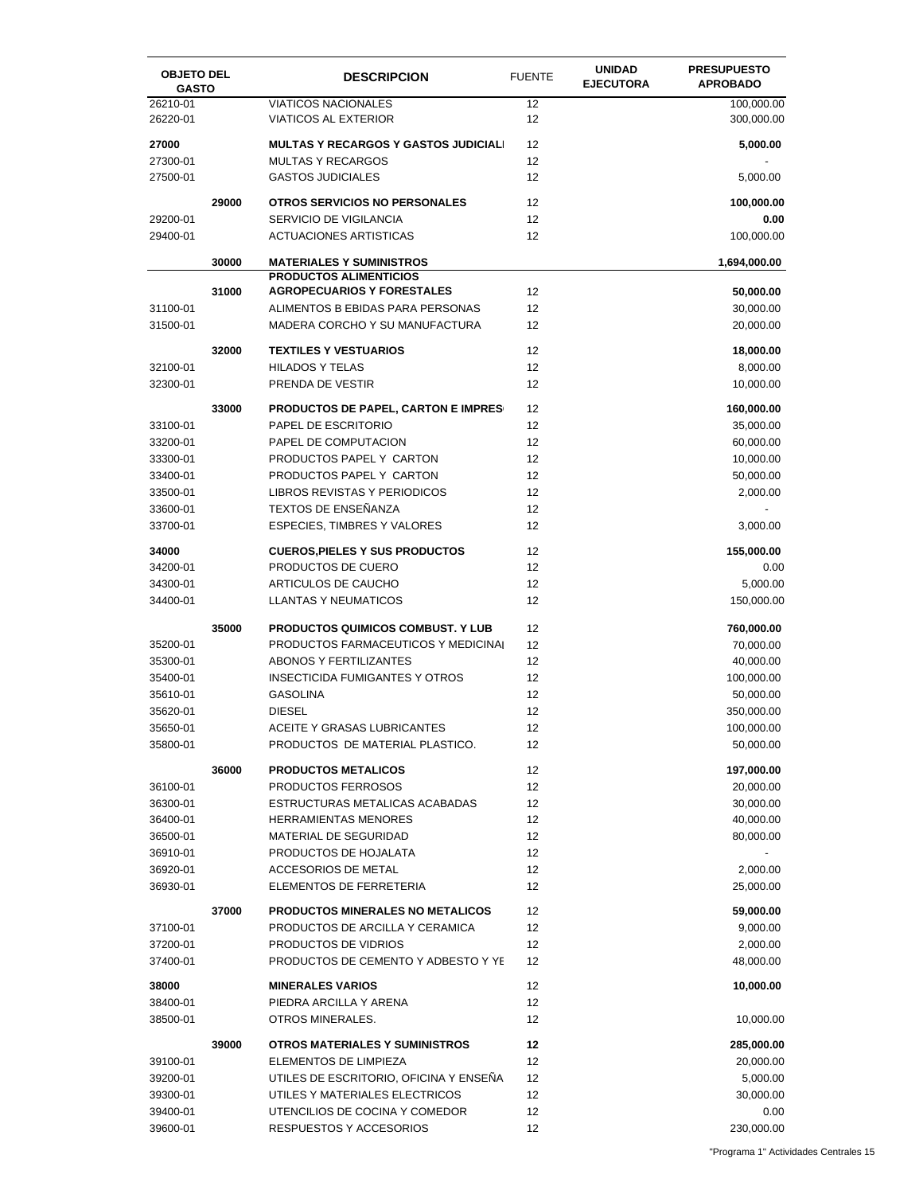| <b>OBJETO DEL</b><br><b>GASTO</b> |       | <b>DESCRIPCION</b>                                                 | <b>FUENTE</b> | <b>UNIDAD</b><br><b>EJECUTORA</b> | <b>PRESUPUESTO</b><br><b>APROBADO</b> |
|-----------------------------------|-------|--------------------------------------------------------------------|---------------|-----------------------------------|---------------------------------------|
| 26210-01<br>26220-01              |       | <b>VIATICOS NACIONALES</b><br><b>VIATICOS AL EXTERIOR</b>          | 12<br>12      |                                   | 100,000.00<br>300,000.00              |
| 27000                             |       | <b>MULTAS Y RECARGOS Y GASTOS JUDICIALI</b>                        | 12            |                                   | 5,000.00                              |
| 27300-01                          |       | <b>MULTAS Y RECARGOS</b>                                           | 12            |                                   |                                       |
| 27500-01                          |       | <b>GASTOS JUDICIALES</b>                                           | 12            |                                   | 5,000.00                              |
|                                   | 29000 | <b>OTROS SERVICIOS NO PERSONALES</b>                               | 12            |                                   | 100,000.00                            |
| 29200-01                          |       | SERVICIO DE VIGILANCIA                                             | 12            |                                   | 0.00                                  |
| 29400-01                          |       | <b>ACTUACIONES ARTISTICAS</b>                                      | 12            |                                   | 100,000.00                            |
|                                   | 30000 | <b>MATERIALES Y SUMINISTROS</b>                                    |               |                                   | 1,694,000.00                          |
|                                   | 31000 | <b>PRODUCTOS ALIMENTICIOS</b><br><b>AGROPECUARIOS Y FORESTALES</b> | 12            |                                   | 50,000.00                             |
| 31100-01                          |       | ALIMENTOS B EBIDAS PARA PERSONAS                                   | 12            |                                   | 30,000.00                             |
| 31500-01                          |       | MADERA CORCHO Y SU MANUFACTURA                                     | 12            |                                   | 20,000.00                             |
|                                   | 32000 | <b>TEXTILES Y VESTUARIOS</b>                                       | 12            |                                   | 18,000.00                             |
| 32100-01                          |       | <b>HILADOS Y TELAS</b>                                             | 12            |                                   | 8,000.00                              |
| 32300-01                          |       | PRENDA DE VESTIR                                                   | 12            |                                   | 10,000.00                             |
|                                   | 33000 | <b>PRODUCTOS DE PAPEL, CARTON E IMPRES</b>                         | 12            |                                   | 160,000.00                            |
| 33100-01                          |       | PAPEL DE ESCRITORIO                                                | 12            |                                   | 35,000.00                             |
| 33200-01                          |       | PAPEL DE COMPUTACION                                               | 12            |                                   | 60,000.00                             |
| 33300-01                          |       | PRODUCTOS PAPEL Y CARTON                                           | 12            |                                   | 10,000.00                             |
| 33400-01                          |       | PRODUCTOS PAPEL Y CARTON                                           | 12            |                                   | 50,000.00                             |
| 33500-01                          |       | LIBROS REVISTAS Y PERIODICOS                                       | 12            |                                   | 2,000.00                              |
| 33600-01                          |       | TEXTOS DE ENSEÑANZA                                                | 12            |                                   |                                       |
| 33700-01                          |       | ESPECIES, TIMBRES Y VALORES                                        | 12            |                                   | 3,000.00                              |
| 34000                             |       | <b>CUEROS, PIELES Y SUS PRODUCTOS</b>                              | 12            |                                   | 155,000.00                            |
| 34200-01                          |       | PRODUCTOS DE CUERO                                                 | 12            |                                   | 0.00                                  |
| 34300-01                          |       | ARTICULOS DE CAUCHO                                                | 12            |                                   | 5,000.00                              |
| 34400-01                          |       | <b>LLANTAS Y NEUMATICOS</b>                                        | 12            |                                   | 150,000.00                            |
|                                   | 35000 | <b>PRODUCTOS QUIMICOS COMBUST. Y LUB</b>                           | 12            |                                   | 760,000.00                            |
| 35200-01                          |       | PRODUCTOS FARMACEUTICOS Y MEDICINAL                                | 12            |                                   | 70,000.00                             |
| 35300-01                          |       | <b>ABONOS Y FERTILIZANTES</b>                                      | 12            |                                   | 40,000.00                             |
| 35400-01                          |       | <b>INSECTICIDA FUMIGANTES Y OTROS</b>                              | 12            |                                   | 100,000.00                            |
| 35610-01                          |       | <b>GASOLINA</b>                                                    | 12            |                                   | 50,000.00                             |
| 35620-01                          |       | <b>DIESEL</b>                                                      | 12            |                                   | 350,000.00                            |
| 35650-01                          |       | <b>ACEITE Y GRASAS LUBRICANTES</b>                                 | 12            |                                   | 100,000.00                            |
| 35800-01                          |       | PRODUCTOS DE MATERIAL PLASTICO.                                    | 12            |                                   | 50,000.00                             |
|                                   | 36000 | <b>PRODUCTOS METALICOS</b>                                         | 12            |                                   | 197,000.00                            |
| 36100-01                          |       | PRODUCTOS FERROSOS                                                 | 12            |                                   | 20,000.00                             |
| 36300-01                          |       | ESTRUCTURAS METALICAS ACABADAS                                     | 12            |                                   | 30,000.00                             |
| 36400-01                          |       | <b>HERRAMIENTAS MENORES</b>                                        | 12            |                                   | 40,000.00                             |
| 36500-01                          |       | MATERIAL DE SEGURIDAD                                              | 12            |                                   | 80,000.00                             |
| 36910-01                          |       | PRODUCTOS DE HOJALATA                                              | 12            |                                   |                                       |
| 36920-01                          |       | ACCESORIOS DE METAL                                                | 12            |                                   | 2,000.00                              |
| 36930-01                          |       | ELEMENTOS DE FERRETERIA                                            | 12            |                                   | 25,000.00                             |
|                                   | 37000 | <b>PRODUCTOS MINERALES NO METALICOS</b>                            | 12            |                                   | 59,000.00                             |
| 37100-01                          |       | PRODUCTOS DE ARCILLA Y CERAMICA                                    | 12            |                                   | 9,000.00                              |
| 37200-01                          |       | PRODUCTOS DE VIDRIOS                                               | 12            |                                   | 2,000.00                              |
| 37400-01                          |       | PRODUCTOS DE CEMENTO Y ADBESTO Y YE                                | 12            |                                   | 48,000.00                             |
| 38000                             |       | <b>MINERALES VARIOS</b>                                            | 12            |                                   | 10,000.00                             |
| 38400-01                          |       | PIEDRA ARCILLA Y ARENA                                             | 12            |                                   |                                       |
| 38500-01                          |       | OTROS MINERALES.                                                   | 12            |                                   | 10,000.00                             |
|                                   | 39000 | <b>OTROS MATERIALES Y SUMINISTROS</b>                              | 12            |                                   | 285,000.00                            |
| 39100-01                          |       | ELEMENTOS DE LIMPIEZA                                              | 12            |                                   | 20,000.00                             |
| 39200-01                          |       | UTILES DE ESCRITORIO, OFICINA Y ENSENA                             | 12            |                                   | 5,000.00                              |
| 39300-01                          |       | UTILES Y MATERIALES ELECTRICOS                                     | 12            |                                   | 30,000.00                             |
| 39400-01                          |       | UTENCILIOS DE COCINA Y COMEDOR                                     | 12            |                                   | 0.00                                  |
| 39600-01                          |       | RESPUESTOS Y ACCESORIOS                                            | 12            |                                   | 230,000.00                            |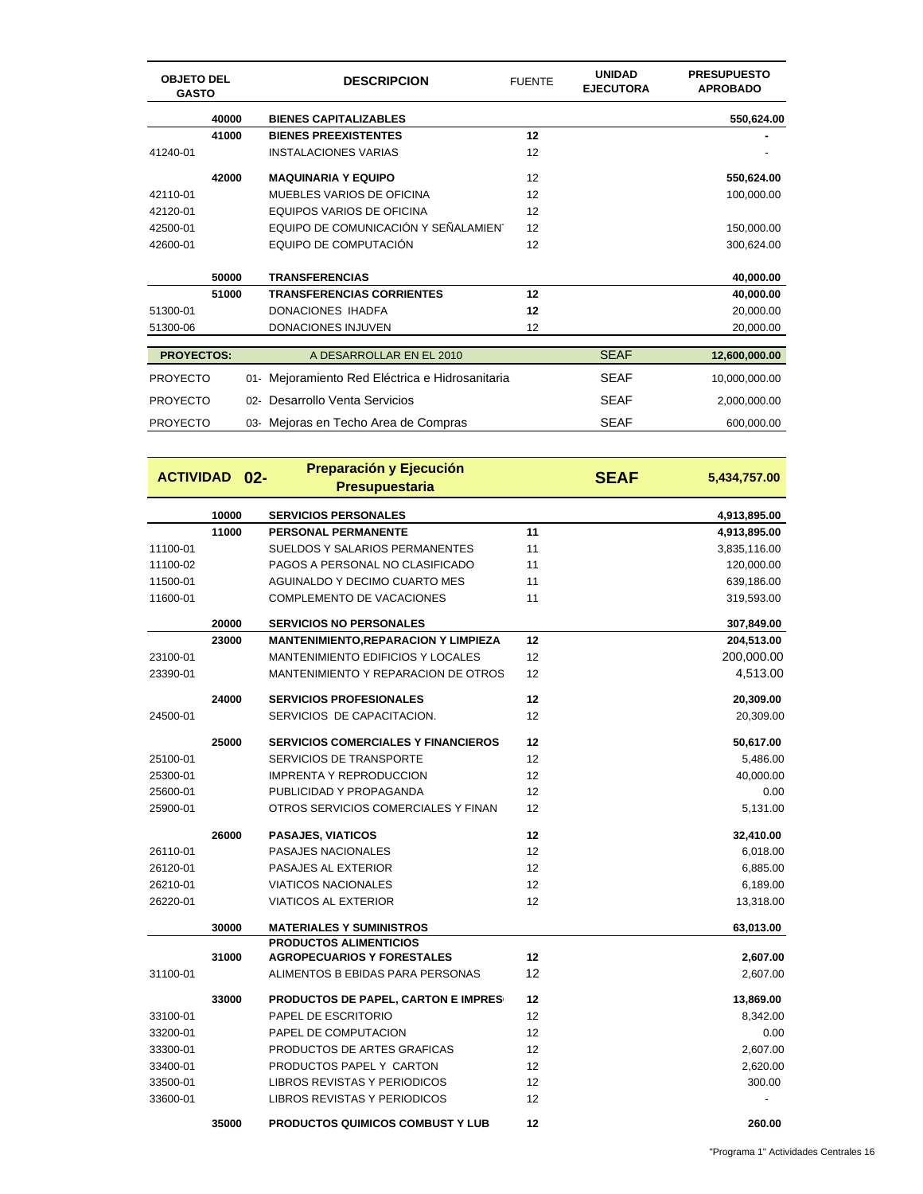| <b>OBJETO DEL</b><br><b>GASTO</b> |       | <b>DESCRIPCION</b> | <b>FUENTE</b>                               | <b>UNIDAD</b><br><b>EJECUTORA</b> | <b>PRESUPUESTO</b><br><b>APROBADO</b> |               |
|-----------------------------------|-------|--------------------|---------------------------------------------|-----------------------------------|---------------------------------------|---------------|
|                                   | 40000 |                    | <b>BIENES CAPITALIZABLES</b>                |                                   |                                       | 550,624.00    |
|                                   | 41000 |                    | <b>BIENES PREEXISTENTES</b>                 | 12                                |                                       |               |
| 41240-01                          |       |                    | <b>INSTALACIONES VARIAS</b>                 | 12                                |                                       |               |
|                                   | 42000 |                    | <b>MAQUINARIA Y EQUIPO</b>                  | 12                                |                                       | 550,624.00    |
| 42110-01                          |       |                    | MUEBLES VARIOS DE OFICINA                   | 12                                |                                       | 100,000.00    |
| 42120-01                          |       |                    | <b>EQUIPOS VARIOS DE OFICINA</b>            | 12                                |                                       |               |
| 42500-01                          |       |                    | EQUIPO DE COMUNICACIÓN Y SEÑALAMIENT        | 12                                |                                       | 150,000.00    |
| 42600-01                          |       |                    | EQUIPO DE COMPUTACIÓN                       | 12                                |                                       | 300,624.00    |
|                                   | 50000 |                    | <b>TRANSFERENCIAS</b>                       |                                   |                                       | 40,000.00     |
|                                   | 51000 |                    | <b>TRANSFERENCIAS CORRIENTES</b>            | 12                                |                                       | 40,000.00     |
| 51300-01                          |       |                    | DONACIONES IHADFA                           | 12                                |                                       | 20,000.00     |
| 51300-06                          |       |                    | DONACIONES INJUVEN                          | 12                                |                                       | 20,000.00     |
| <b>PROYECTOS:</b>                 |       |                    | A DESARROLLAR EN EL 2010                    |                                   | <b>SEAF</b>                           | 12,600,000.00 |
| <b>PROYECTO</b>                   |       | 01-                | Mejoramiento Red Eléctrica e Hidrosanitaria |                                   | <b>SEAF</b>                           | 10,000,000.00 |
| <b>PROYECTO</b>                   |       | $02 -$             | Desarrollo Venta Servicios                  |                                   | <b>SEAF</b>                           | 2,000,000.00  |
| <b>PROYECTO</b>                   |       | 03-                | Mejoras en Techo Area de Compras            |                                   | <b>SEAF</b>                           | 600,000.00    |

|          | <b>ACTIVIDAD 02-</b> | Preparación y Ejecución<br><b>Presupuestaria</b> | <b>SEAF</b> | 5,434,757.00 |
|----------|----------------------|--------------------------------------------------|-------------|--------------|
|          | 10000                | <b>SERVICIOS PERSONALES</b>                      |             | 4,913,895.00 |
|          | 11000                | <b>PERSONAL PERMANENTE</b>                       | 11          | 4,913,895.00 |
| 11100-01 |                      | SUELDOS Y SALARIOS PERMANENTES                   | 11          | 3,835,116.00 |
| 11100-02 |                      | PAGOS A PERSONAL NO CLASIFICADO                  | 11          | 120,000.00   |
| 11500-01 |                      | AGUINALDO Y DECIMO CUARTO MES                    | 11          | 639,186.00   |
| 11600-01 |                      | COMPLEMENTO DE VACACIONES                        | 11          | 319,593.00   |
|          | 20000                | <b>SERVICIOS NO PERSONALES</b>                   |             | 307,849.00   |
|          | 23000                | <b>MANTENIMIENTO, REPARACION Y LIMPIEZA</b>      | 12          | 204,513.00   |
| 23100-01 |                      | MANTENIMIENTO EDIFICIOS Y LOCALES                | 12          | 200,000.00   |
| 23390-01 |                      | MANTENIMIENTO Y REPARACION DE OTROS              | 12          | 4,513.00     |
|          | 24000                | <b>SERVICIOS PROFESIONALES</b>                   | 12          | 20,309.00    |
| 24500-01 |                      | SERVICIOS DE CAPACITACION.                       | 12          | 20,309.00    |
|          | 25000                | <b>SERVICIOS COMERCIALES Y FINANCIEROS</b>       | 12          | 50,617.00    |
| 25100-01 |                      | SERVICIOS DE TRANSPORTE                          | 12          | 5,486.00     |
| 25300-01 |                      | <b>IMPRENTA Y REPRODUCCION</b>                   | 12          | 40,000.00    |
| 25600-01 |                      | PUBLICIDAD Y PROPAGANDA                          | 12          | 0.00         |
| 25900-01 |                      | OTROS SERVICIOS COMERCIALES Y FINAN              | 12          | 5,131.00     |
|          | 26000                | <b>PASAJES, VIATICOS</b>                         | 12          | 32,410.00    |
| 26110-01 |                      | PASAJES NACIONALES                               | 12          | 6,018.00     |
| 26120-01 |                      | PASAJES AL EXTERIOR                              | 12          | 6,885.00     |
| 26210-01 |                      | <b>VIATICOS NACIONALES</b>                       | 12          | 6,189.00     |
| 26220-01 |                      | <b>VIATICOS AL EXTERIOR</b>                      | 12          | 13,318.00    |
|          | 30000                | <b>MATERIALES Y SUMINISTROS</b>                  |             | 63,013.00    |
|          |                      | <b>PRODUCTOS ALIMENTICIOS</b>                    |             |              |
|          | 31000                | <b>AGROPECUARIOS Y FORESTALES</b>                | 12          | 2,607.00     |
| 31100-01 |                      | ALIMENTOS B EBIDAS PARA PERSONAS                 | 12          | 2,607.00     |
|          | 33000                | <b>PRODUCTOS DE PAPEL, CARTON E IMPRES</b>       | 12          | 13,869.00    |
| 33100-01 |                      | PAPEL DE ESCRITORIO                              | 12          | 8,342.00     |
| 33200-01 |                      | PAPEL DE COMPUTACION                             | 12          | 0.00         |
| 33300-01 |                      | PRODUCTOS DE ARTES GRAFICAS                      | 12          | 2,607.00     |
| 33400-01 |                      | PRODUCTOS PAPEL Y CARTON                         | 12          | 2,620.00     |
| 33500-01 |                      | LIBROS REVISTAS Y PERIODICOS                     | 12          | 300.00       |
| 33600-01 |                      | LIBROS REVISTAS Y PERIODICOS                     | 12          |              |
|          | 35000                | <b>PRODUCTOS QUIMICOS COMBUST Y LUB</b>          | 12          | 260.00       |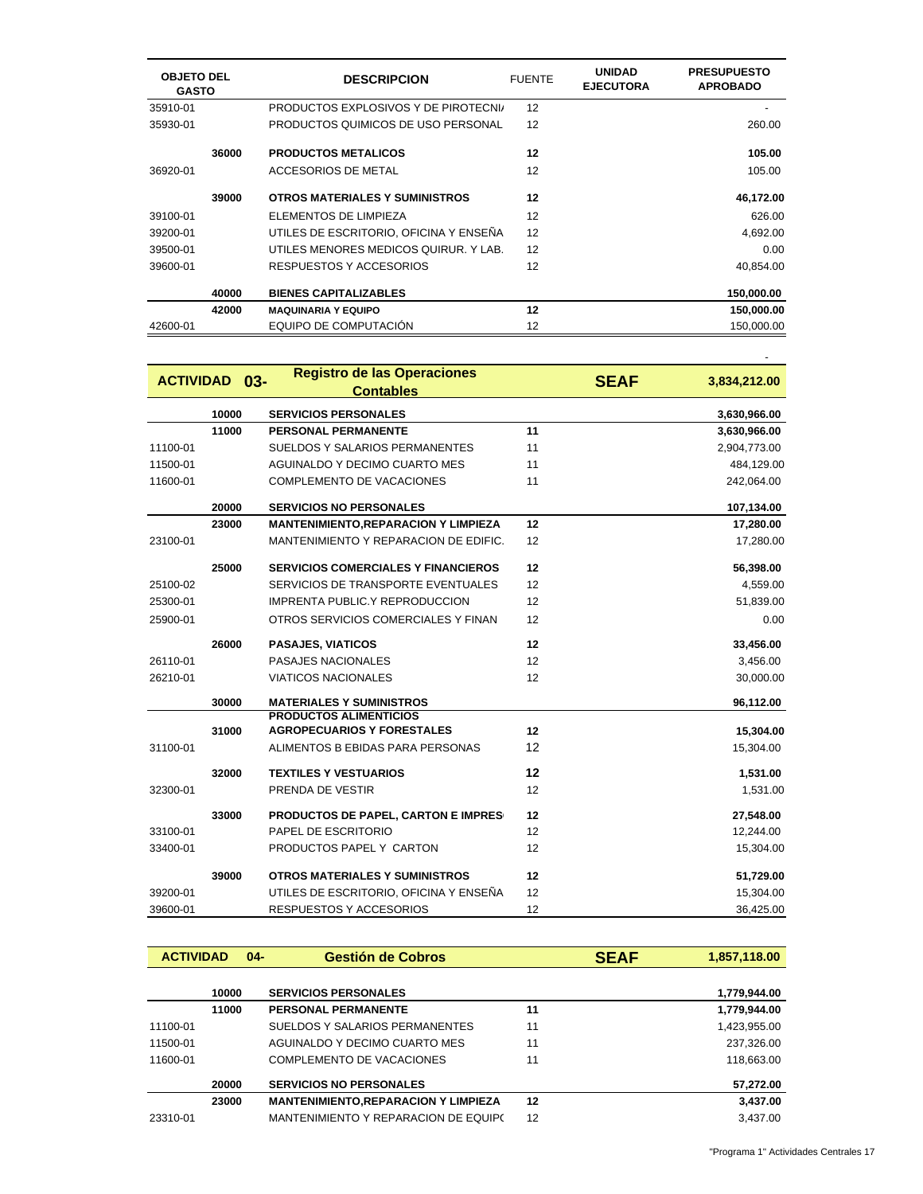| <b>OBJETO DEL</b><br><b>GASTO</b> |       | <b>DESCRIPCION</b>                     | <b>FUENTE</b> | <b>UNIDAD</b><br><b>EJECUTORA</b> | <b>PRESUPUESTO</b><br><b>APROBADO</b> |
|-----------------------------------|-------|----------------------------------------|---------------|-----------------------------------|---------------------------------------|
| 35910-01                          |       | PRODUCTOS EXPLOSIVOS Y DE PIROTECNI/   | 12            |                                   |                                       |
| 35930-01                          |       | PRODUCTOS QUIMICOS DE USO PERSONAL     | 12            |                                   | 260.00                                |
|                                   | 36000 | <b>PRODUCTOS METALICOS</b>             | 12            |                                   | 105.00                                |
| 36920-01                          |       | ACCESORIOS DE METAL                    | 12            |                                   | 105.00                                |
|                                   | 39000 | <b>OTROS MATERIALES Y SUMINISTROS</b>  | 12            |                                   | 46,172.00                             |
| 39100-01                          |       | ELEMENTOS DE LIMPIEZA                  | 12            |                                   | 626.00                                |
| 39200-01                          |       | UTILES DE ESCRITORIO, OFICINA Y ENSEÑA | 12            |                                   | 4,692.00                              |
| 39500-01                          |       | UTILES MENORES MEDICOS QUIRUR. Y LAB.  | 12            |                                   | 0.00                                  |
| 39600-01                          |       | RESPUESTOS Y ACCESORIOS                | 12            |                                   | 40.854.00                             |
|                                   | 40000 | <b>BIENES CAPITALIZABLES</b>           |               |                                   | 150,000.00                            |
|                                   | 42000 | <b>MAQUINARIA Y EQUIPO</b>             | 12            |                                   | 150,000.00                            |
| 42600-01                          |       | EQUIPO DE COMPUTACIÓN                  | 12            |                                   | 150.000.00                            |

|          | <b>ACTIVIDAD 03-</b> | <b>Registro de las Operaciones</b><br><b>Contables</b>             |    | <b>SEAF</b> | 3,834,212.00 |
|----------|----------------------|--------------------------------------------------------------------|----|-------------|--------------|
|          | 10000                | <b>SERVICIOS PERSONALES</b>                                        |    |             | 3,630,966.00 |
|          | 11000                | <b>PERSONAL PERMANENTE</b>                                         | 11 |             | 3,630,966.00 |
| 11100-01 |                      | SUELDOS Y SALARIOS PERMANENTES                                     | 11 |             | 2,904,773.00 |
| 11500-01 |                      | AGUINALDO Y DECIMO CUARTO MES                                      | 11 |             | 484,129.00   |
| 11600-01 |                      | <b>COMPLEMENTO DE VACACIONES</b>                                   | 11 |             | 242,064.00   |
|          | 20000                | <b>SERVICIOS NO PERSONALES</b>                                     |    |             | 107,134.00   |
|          | 23000                | <b>MANTENIMIENTO, REPARACION Y LIMPIEZA</b>                        | 12 |             | 17,280.00    |
| 23100-01 |                      | MANTENIMIENTO Y REPARACION DE EDIFIC.                              | 12 |             | 17,280.00    |
|          | 25000                | <b>SERVICIOS COMERCIALES Y FINANCIEROS</b>                         | 12 |             | 56,398.00    |
| 25100-02 |                      | SERVICIOS DE TRANSPORTE EVENTUALES                                 | 12 |             | 4,559.00     |
| 25300-01 |                      | IMPRENTA PUBLIC.Y REPRODUCCION                                     | 12 |             | 51,839.00    |
| 25900-01 |                      | OTROS SERVICIOS COMERCIALES Y FINAN                                | 12 |             | 0.00         |
|          | 26000                | <b>PASAJES, VIATICOS</b>                                           | 12 |             | 33,456.00    |
| 26110-01 |                      | <b>PASAJES NACIONALES</b>                                          | 12 |             | 3,456.00     |
| 26210-01 |                      | <b>VIATICOS NACIONALES</b>                                         | 12 |             | 30,000.00    |
|          | 30000                | <b>MATERIALES Y SUMINISTROS</b>                                    |    |             | 96,112.00    |
|          | 31000                | <b>PRODUCTOS ALIMENTICIOS</b><br><b>AGROPECUARIOS Y FORESTALES</b> | 12 |             | 15,304.00    |
| 31100-01 |                      | ALIMENTOS B EBIDAS PARA PERSONAS                                   | 12 |             | 15,304.00    |
|          |                      |                                                                    |    |             |              |
|          | 32000                | <b>TEXTILES Y VESTUARIOS</b>                                       | 12 |             | 1,531.00     |
| 32300-01 |                      | PRENDA DE VESTIR                                                   | 12 |             | 1,531.00     |
|          | 33000                | PRODUCTOS DE PAPEL, CARTON E IMPRES                                | 12 |             | 27,548.00    |
| 33100-01 |                      | PAPEL DE ESCRITORIO                                                | 12 |             | 12,244.00    |
| 33400-01 |                      | PRODUCTOS PAPEL Y CARTON                                           | 12 |             | 15,304.00    |
|          | 39000                | <b>OTROS MATERIALES Y SUMINISTROS</b>                              | 12 |             | 51,729.00    |
| 39200-01 |                      | UTILES DE ESCRITORIO, OFICINA Y ENSEÑA                             | 12 |             | 15,304.00    |
| 39600-01 |                      | RESPUESTOS Y ACCESORIOS                                            | 12 |             | 36,425.00    |

| <b>ACTIVIDAD</b> |       | $04 -$ | <b>Gestión de Cobros</b>                    |    | <b>SEAF</b> | 1,857,118.00 |
|------------------|-------|--------|---------------------------------------------|----|-------------|--------------|
|                  |       |        |                                             |    |             |              |
|                  | 10000 |        | <b>SERVICIOS PERSONALES</b>                 |    |             | 1,779,944.00 |
|                  | 11000 |        | <b>PERSONAL PERMANENTE</b>                  | 11 |             | 1,779,944.00 |
| 11100-01         |       |        | SUELDOS Y SALARIOS PERMANENTES              | 11 |             | 1,423,955.00 |
| 11500-01         |       |        | AGUINALDO Y DECIMO CUARTO MES               | 11 |             | 237,326.00   |
| 11600-01         |       |        | COMPLEMENTO DE VACACIONES                   | 11 |             | 118,663.00   |
|                  | 20000 |        | <b>SERVICIOS NO PERSONALES</b>              |    |             | 57,272.00    |
|                  | 23000 |        | <b>MANTENIMIENTO, REPARACION Y LIMPIEZA</b> | 12 |             | 3,437.00     |
| 23310-01         |       |        | MANTENIMIENTO Y REPARACION DE EQUIPO        | 12 |             | 3.437.00     |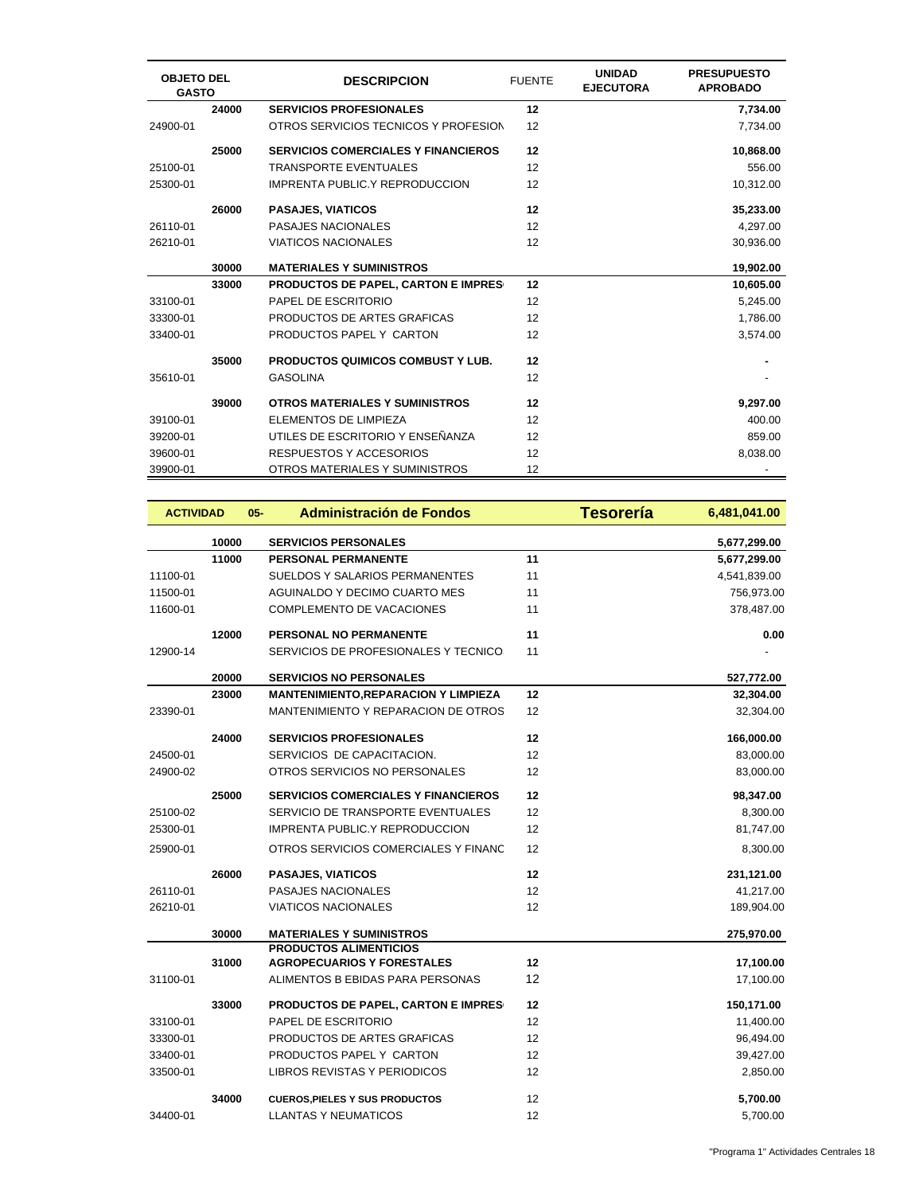| <b>OBJETO DEL</b><br><b>GASTO</b> |       | <b>DESCRIPCION</b>                         | <b>FUENTE</b> | <b>UNIDAD</b><br><b>EJECUTORA</b> | <b>PRESUPUESTO</b><br><b>APROBADO</b> |
|-----------------------------------|-------|--------------------------------------------|---------------|-----------------------------------|---------------------------------------|
|                                   | 24000 | <b>SERVICIOS PROFESIONALES</b>             | 12            |                                   | 7,734.00                              |
| 24900-01                          |       | OTROS SERVICIOS TECNICOS Y PROFESION       | 12            |                                   | 7,734.00                              |
|                                   | 25000 | <b>SERVICIOS COMERCIALES Y FINANCIEROS</b> | 12            |                                   | 10,868.00                             |
| 25100-01                          |       | <b>TRANSPORTE EVENTUALES</b>               | 12            |                                   | 556.00                                |
| 25300-01                          |       | <b>IMPRENTA PUBLIC.Y REPRODUCCION</b>      | 12            |                                   | 10,312.00                             |
|                                   | 26000 | <b>PASAJES, VIATICOS</b>                   | 12            |                                   | 35,233.00                             |
| 26110-01                          |       | <b>PASAJES NACIONALES</b>                  | 12            |                                   | 4,297.00                              |
| 26210-01                          |       | <b>VIATICOS NACIONALES</b>                 | 12            |                                   | 30,936.00                             |
|                                   | 30000 | <b>MATERIALES Y SUMINISTROS</b>            |               |                                   | 19,902.00                             |
|                                   | 33000 | <b>PRODUCTOS DE PAPEL, CARTON E IMPRES</b> | 12            |                                   | 10,605.00                             |
| 33100-01                          |       | PAPEL DE ESCRITORIO                        | 12            |                                   | 5,245.00                              |
| 33300-01                          |       | PRODUCTOS DE ARTES GRAFICAS                | 12            |                                   | 1,786.00                              |
| 33400-01                          |       | PRODUCTOS PAPEL Y CARTON                   | 12            |                                   | 3,574.00                              |
|                                   | 35000 | <b>PRODUCTOS QUIMICOS COMBUST Y LUB.</b>   | 12            |                                   |                                       |
| 35610-01                          |       | <b>GASOLINA</b>                            | 12            |                                   |                                       |
|                                   | 39000 | <b>OTROS MATERIALES Y SUMINISTROS</b>      | 12            |                                   | 9,297.00                              |
| 39100-01                          |       | ELEMENTOS DE LIMPIEZA                      | 12            |                                   | 400.00                                |
| 39200-01                          |       | UTILES DE ESCRITORIO Y ENSEÑANZA           | 12            |                                   | 859.00                                |
| 39600-01                          |       | RESPUESTOS Y ACCESORIOS                    | 12            |                                   | 8,038.00                              |
| 39900-01                          |       | OTROS MATERIALES Y SUMINISTROS             | 12            |                                   |                                       |

| <b>ACTIVIDAD</b> |       | <b>Administración de Fondos</b><br>$05 -$   |    | <b>Tesorería</b> | 6,481,041.00 |
|------------------|-------|---------------------------------------------|----|------------------|--------------|
|                  | 10000 | <b>SERVICIOS PERSONALES</b>                 |    |                  | 5,677,299.00 |
|                  | 11000 | <b>PERSONAL PERMANENTE</b>                  | 11 |                  | 5,677,299.00 |
| 11100-01         |       | <b>SUELDOS Y SALARIOS PERMANENTES</b>       | 11 |                  | 4,541,839.00 |
| 11500-01         |       | AGUINALDO Y DECIMO CUARTO MES               | 11 |                  | 756,973.00   |
| 11600-01         |       | COMPLEMENTO DE VACACIONES                   | 11 |                  | 378,487.00   |
|                  | 12000 | <b>PERSONAL NO PERMANENTE</b>               | 11 |                  | 0.00         |
| 12900-14         |       | SERVICIOS DE PROFESIONALES Y TECNICO:       | 11 |                  |              |
|                  | 20000 | <b>SERVICIOS NO PERSONALES</b>              |    |                  | 527,772.00   |
|                  | 23000 | <b>MANTENIMIENTO, REPARACION Y LIMPIEZA</b> | 12 |                  | 32,304.00    |
| 23390-01         |       | MANTENIMIENTO Y REPARACION DE OTROS         | 12 |                  | 32,304.00    |
|                  | 24000 | <b>SERVICIOS PROFESIONALES</b>              | 12 |                  | 166,000.00   |
| 24500-01         |       | SERVICIOS DE CAPACITACION.                  | 12 |                  | 83,000.00    |
| 24900-02         |       | OTROS SERVICIOS NO PERSONALES               | 12 |                  | 83,000.00    |
|                  | 25000 | <b>SERVICIOS COMERCIALES Y FINANCIEROS</b>  | 12 |                  | 98,347.00    |
| 25100-02         |       | SERVICIO DE TRANSPORTE EVENTUALES           | 12 |                  | 8,300.00     |
| 25300-01         |       | <b>IMPRENTA PUBLIC.Y REPRODUCCION</b>       | 12 |                  | 81,747.00    |
| 25900-01         |       | OTROS SERVICIOS COMERCIALES Y FINANC        | 12 |                  | 8,300.00     |
|                  | 26000 | <b>PASAJES, VIATICOS</b>                    | 12 |                  | 231,121.00   |
| 26110-01         |       | <b>PASAJES NACIONALES</b>                   | 12 |                  | 41,217.00    |
| 26210-01         |       | <b>VIATICOS NACIONALES</b>                  | 12 |                  | 189,904.00   |
|                  | 30000 | <b>MATERIALES Y SUMINISTROS</b>             |    |                  | 275,970.00   |
|                  |       | <b>PRODUCTOS ALIMENTICIOS</b>               |    |                  |              |
|                  | 31000 | <b>AGROPECUARIOS Y FORESTALES</b>           | 12 |                  | 17,100.00    |
| 31100-01         |       | ALIMENTOS B EBIDAS PARA PERSONAS            | 12 |                  | 17,100.00    |
|                  | 33000 | <b>PRODUCTOS DE PAPEL, CARTON E IMPRES</b>  | 12 |                  | 150,171.00   |
| 33100-01         |       | PAPEL DE ESCRITORIO                         | 12 |                  | 11,400.00    |
| 33300-01         |       | PRODUCTOS DE ARTES GRAFICAS                 | 12 |                  | 96,494.00    |
| 33400-01         |       | PRODUCTOS PAPEL Y CARTON                    | 12 |                  | 39,427.00    |
| 33500-01         |       | LIBROS REVISTAS Y PERIODICOS                | 12 |                  | 2,850.00     |
|                  | 34000 | <b>CUEROS, PIELES Y SUS PRODUCTOS</b>       | 12 |                  | 5,700.00     |
| 34400-01         |       | LLANTAS Y NEUMATICOS                        | 12 |                  | 5,700.00     |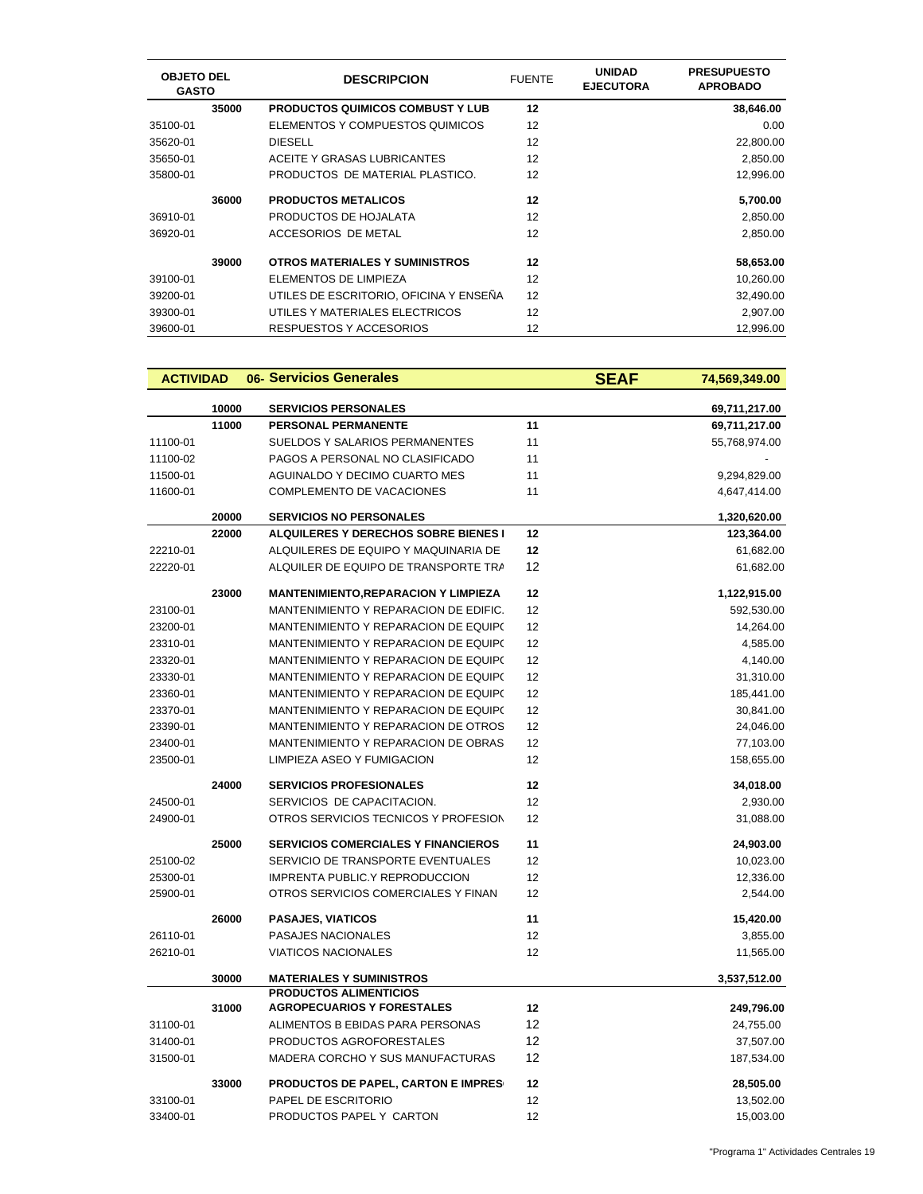| <b>OBJETO DEL</b><br><b>GASTO</b> |       | <b>DESCRIPCION</b>                      | <b>FUENTE</b> | <b>UNIDAD</b><br><b>EJECUTORA</b> | <b>PRESUPUESTO</b><br><b>APROBADO</b> |
|-----------------------------------|-------|-----------------------------------------|---------------|-----------------------------------|---------------------------------------|
|                                   | 35000 | <b>PRODUCTOS QUIMICOS COMBUST Y LUB</b> | 12            |                                   | 38,646.00                             |
| 35100-01                          |       | ELEMENTOS Y COMPUESTOS QUIMICOS         | 12            |                                   | 0.00                                  |
| 35620-01                          |       | <b>DIESELL</b>                          | 12            |                                   | 22,800.00                             |
| 35650-01                          |       | ACEITE Y GRASAS LUBRICANTES             | 12            |                                   | 2,850.00                              |
| 35800-01                          |       | PRODUCTOS DE MATERIAL PLASTICO.         | 12            |                                   | 12,996.00                             |
|                                   | 36000 | <b>PRODUCTOS METALICOS</b>              | 12            |                                   | 5,700.00                              |
| 36910-01                          |       | PRODUCTOS DE HOJALATA                   | 12            |                                   | 2,850.00                              |
| 36920-01                          |       | ACCESORIOS DE METAL                     | 12            |                                   | 2,850.00                              |
|                                   | 39000 | OTROS MATERIALES Y SUMINISTROS          | 12            |                                   | 58,653.00                             |
| 39100-01                          |       | ELEMENTOS DE LIMPIEZA                   | 12            |                                   | 10,260.00                             |
| 39200-01                          |       | UTILES DE ESCRITORIO. OFICINA Y ENSEÑA  | 12            |                                   | 32,490.00                             |
| 39300-01                          |       | UTILES Y MATERIALES ELECTRICOS          | 12            |                                   | 2,907.00                              |
| 39600-01                          |       | RESPUESTOS Y ACCESORIOS                 | 12            |                                   | 12.996.00                             |

| <b>ACTIVIDAD</b> |       | 06- Servicios Generales                                            |    | <b>SEAF</b> | 74,569,349.00 |
|------------------|-------|--------------------------------------------------------------------|----|-------------|---------------|
|                  | 10000 | <b>SERVICIOS PERSONALES</b>                                        |    |             | 69,711,217.00 |
|                  | 11000 | <b>PERSONAL PERMANENTE</b>                                         | 11 |             | 69,711,217.00 |
| 11100-01         |       | SUELDOS Y SALARIOS PERMANENTES                                     | 11 |             | 55,768,974.00 |
| 11100-02         |       | PAGOS A PERSONAL NO CLASIFICADO                                    | 11 |             |               |
| 11500-01         |       | AGUINALDO Y DECIMO CUARTO MES                                      | 11 |             | 9,294,829.00  |
| 11600-01         |       | COMPLEMENTO DE VACACIONES                                          | 11 |             | 4,647,414.00  |
|                  | 20000 | <b>SERVICIOS NO PERSONALES</b>                                     |    |             | 1,320,620.00  |
|                  | 22000 | <b>ALQUILERES Y DERECHOS SOBRE BIENES I</b>                        | 12 |             | 123,364.00    |
| 22210-01         |       | ALQUILERES DE EQUIPO Y MAQUINARIA DE                               | 12 |             | 61,682.00     |
| 22220-01         |       | ALQUILER DE EQUIPO DE TRANSPORTE TRA                               | 12 |             | 61,682.00     |
|                  | 23000 | <b>MANTENIMIENTO, REPARACION Y LIMPIEZA</b>                        | 12 |             | 1,122,915.00  |
| 23100-01         |       | MANTENIMIENTO Y REPARACION DE EDIFIC.                              | 12 |             | 592,530.00    |
| 23200-01         |       | MANTENIMIENTO Y REPARACION DE EQUIPO                               | 12 |             | 14,264.00     |
| 23310-01         |       | MANTENIMIENTO Y REPARACION DE EQUIPO                               | 12 |             | 4,585.00      |
| 23320-01         |       | MANTENIMIENTO Y REPARACION DE EQUIP(                               | 12 |             | 4,140.00      |
| 23330-01         |       | MANTENIMIENTO Y REPARACION DE EQUIP(                               | 12 |             | 31,310.00     |
| 23360-01         |       | MANTENIMIENTO Y REPARACION DE EQUIP(                               | 12 |             | 185,441.00    |
| 23370-01         |       | MANTENIMIENTO Y REPARACION DE EQUIPO                               | 12 |             | 30,841.00     |
| 23390-01         |       | MANTENIMIENTO Y REPARACION DE OTROS                                | 12 |             | 24,046.00     |
| 23400-01         |       | MANTENIMIENTO Y REPARACION DE OBRAS                                | 12 |             | 77,103.00     |
| 23500-01         |       | LIMPIEZA ASEO Y FUMIGACION                                         | 12 |             | 158,655.00    |
|                  | 24000 | <b>SERVICIOS PROFESIONALES</b>                                     | 12 |             | 34,018.00     |
| 24500-01         |       | SERVICIOS DE CAPACITACION.                                         | 12 |             | 2,930.00      |
| 24900-01         |       | OTROS SERVICIOS TECNICOS Y PROFESION                               | 12 |             | 31,088.00     |
|                  | 25000 | <b>SERVICIOS COMERCIALES Y FINANCIEROS</b>                         | 11 |             | 24,903.00     |
| 25100-02         |       | SERVICIO DE TRANSPORTE EVENTUALES                                  | 12 |             | 10,023.00     |
| 25300-01         |       | <b>IMPRENTA PUBLIC.Y REPRODUCCION</b>                              | 12 |             | 12,336.00     |
| 25900-01         |       | OTROS SERVICIOS COMERCIALES Y FINAN                                | 12 |             | 2,544.00      |
|                  | 26000 | <b>PASAJES, VIATICOS</b>                                           | 11 |             | 15,420.00     |
| 26110-01         |       | PASAJES NACIONALES                                                 | 12 |             | 3,855.00      |
| 26210-01         |       | <b>VIATICOS NACIONALES</b>                                         | 12 |             | 11,565.00     |
|                  | 30000 | <b>MATERIALES Y SUMINISTROS</b>                                    |    |             | 3,537,512.00  |
|                  | 31000 | <b>PRODUCTOS ALIMENTICIOS</b><br><b>AGROPECUARIOS Y FORESTALES</b> | 12 |             | 249,796.00    |
| 31100-01         |       | ALIMENTOS B EBIDAS PARA PERSONAS                                   | 12 |             | 24,755.00     |
| 31400-01         |       | PRODUCTOS AGROFORESTALES                                           | 12 |             | 37,507.00     |
| 31500-01         |       | MADERA CORCHO Y SUS MANUFACTURAS                                   | 12 |             | 187,534.00    |
|                  | 33000 | PRODUCTOS DE PAPEL, CARTON E IMPRES                                | 12 |             | 28,505.00     |
| 33100-01         |       | PAPEL DE ESCRITORIO                                                | 12 |             | 13,502.00     |
| 33400-01         |       | PRODUCTOS PAPEL Y CARTON                                           | 12 |             | 15,003.00     |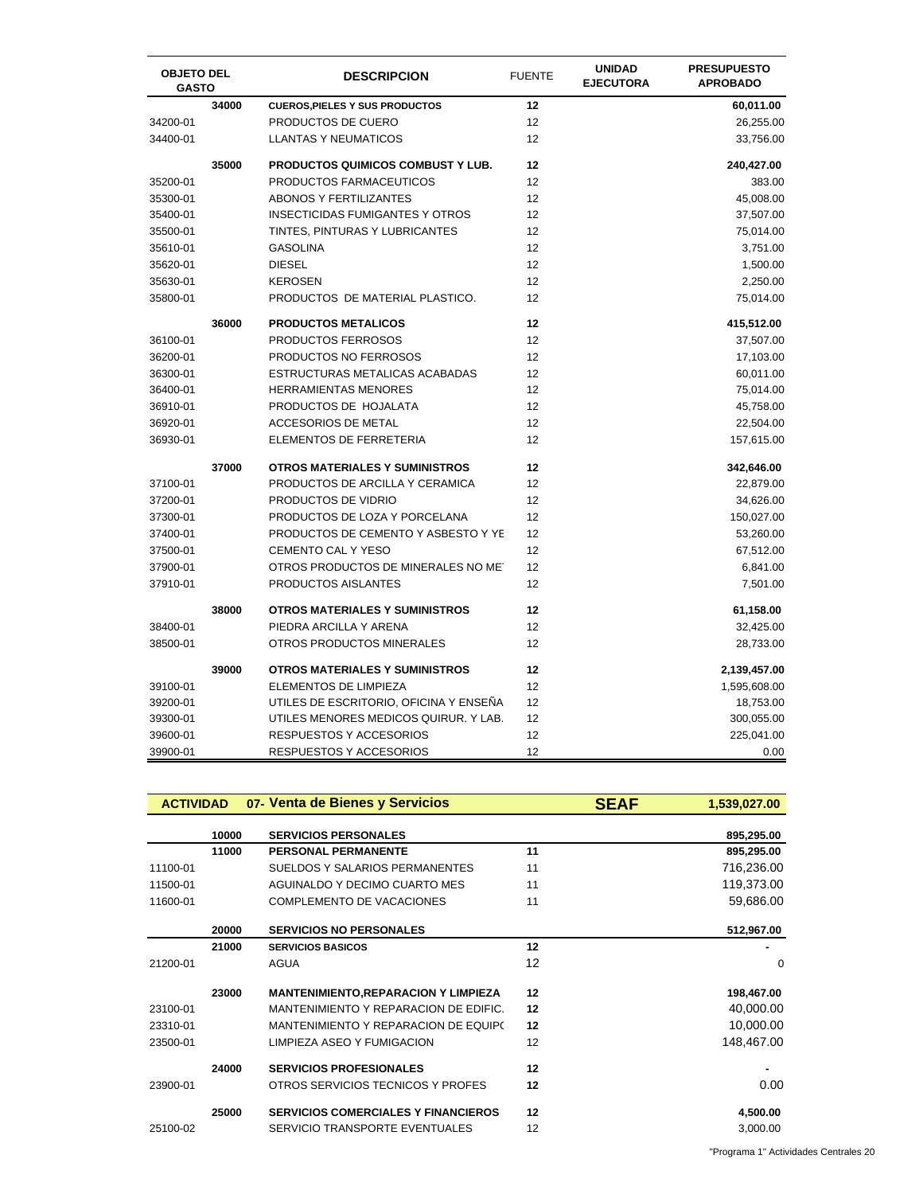| <b>OBJETO DEL</b><br><b>GASTO</b> |       | <b>DESCRIPCION</b>                     | <b>FUENTE</b> | <b>UNIDAD</b><br><b>EJECUTORA</b> | <b>PRESUPUESTO</b><br><b>APROBADO</b> |
|-----------------------------------|-------|----------------------------------------|---------------|-----------------------------------|---------------------------------------|
|                                   | 34000 | <b>CUEROS, PIELES Y SUS PRODUCTOS</b>  | 12            |                                   | 60,011.00                             |
| 34200-01                          |       | PRODUCTOS DE CUERO                     | 12            |                                   | 26,255.00                             |
| 34400-01                          |       | <b>LLANTAS Y NEUMATICOS</b>            | 12            |                                   | 33,756.00                             |
|                                   | 35000 | PRODUCTOS QUIMICOS COMBUST Y LUB.      | 12            |                                   | 240,427.00                            |
| 35200-01                          |       | PRODUCTOS FARMACEUTICOS                | 12            |                                   | 383.00                                |
| 35300-01                          |       | ABONOS Y FERTILIZANTES                 | 12            |                                   | 45,008.00                             |
| 35400-01                          |       | <b>INSECTICIDAS FUMIGANTES Y OTROS</b> | 12            |                                   | 37,507.00                             |
| 35500-01                          |       | TINTES, PINTURAS Y LUBRICANTES         | 12            |                                   | 75,014.00                             |
| 35610-01                          |       | <b>GASOLINA</b>                        | 12            |                                   | 3,751.00                              |
| 35620-01                          |       | <b>DIESEL</b>                          | 12            |                                   | 1,500.00                              |
| 35630-01                          |       | <b>KEROSEN</b>                         | 12            |                                   | 2,250.00                              |
| 35800-01                          |       | PRODUCTOS DE MATERIAL PLASTICO.        | 12            |                                   | 75,014.00                             |
|                                   | 36000 | <b>PRODUCTOS METALICOS</b>             | 12            |                                   | 415,512.00                            |
| 36100-01                          |       | PRODUCTOS FERROSOS                     | 12            |                                   | 37,507.00                             |
| 36200-01                          |       | PRODUCTOS NO FERROSOS                  | 12            |                                   | 17,103.00                             |
| 36300-01                          |       | ESTRUCTURAS METALICAS ACABADAS         | 12            |                                   | 60,011.00                             |
| 36400-01                          |       | <b>HERRAMIENTAS MENORES</b>            | 12            |                                   | 75,014.00                             |
| 36910-01                          |       | PRODUCTOS DE HOJALATA                  | 12            |                                   | 45,758.00                             |
| 36920-01                          |       | ACCESORIOS DE METAL                    | 12            |                                   | 22,504.00                             |
| 36930-01                          |       | ELEMENTOS DE FERRETERIA                | 12            |                                   | 157,615.00                            |
|                                   | 37000 | <b>OTROS MATERIALES Y SUMINISTROS</b>  | 12            |                                   | 342,646.00                            |
| 37100-01                          |       | PRODUCTOS DE ARCILLA Y CERAMICA        | 12            |                                   | 22,879.00                             |
| 37200-01                          |       | PRODUCTOS DE VIDRIO                    | 12            |                                   | 34,626.00                             |
| 37300-01                          |       | PRODUCTOS DE LOZA Y PORCELANA          | 12            |                                   | 150,027.00                            |
| 37400-01                          |       | PRODUCTOS DE CEMENTO Y ASBESTO Y YE    | 12            |                                   | 53,260.00                             |
| 37500-01                          |       | <b>CEMENTO CAL Y YESO</b>              | 12            |                                   | 67,512.00                             |
| 37900-01                          |       | OTROS PRODUCTOS DE MINERALES NO MET    | 12            |                                   | 6,841.00                              |
| 37910-01                          |       | PRODUCTOS AISLANTES                    | 12            |                                   | 7,501.00                              |
|                                   | 38000 | <b>OTROS MATERIALES Y SUMINISTROS</b>  | 12            |                                   | 61,158.00                             |
| 38400-01                          |       | PIEDRA ARCILLA Y ARENA                 | 12            |                                   | 32,425.00                             |
| 38500-01                          |       | OTROS PRODUCTOS MINERALES              | 12            |                                   | 28,733.00                             |
|                                   | 39000 | <b>OTROS MATERIALES Y SUMINISTROS</b>  | 12            |                                   | 2,139,457.00                          |
| 39100-01                          |       | ELEMENTOS DE LIMPIEZA                  | 12            |                                   | 1,595,608.00                          |
| 39200-01                          |       | UTILES DE ESCRITORIO, OFICINA Y ENSEÑA | 12            |                                   | 18,753.00                             |
| 39300-01                          |       | UTILES MENORES MEDICOS QUIRUR. Y LAB.  | 12            |                                   | 300,055.00                            |
| 39600-01                          |       | <b>RESPUESTOS Y ACCESORIOS</b>         | 12            |                                   | 225,041.00                            |
| 39900-01                          |       | RESPUESTOS Y ACCESORIOS                | 12            |                                   | 0.00                                  |

| <b>ACTIVIDAD</b> |       | 07- Venta de Bienes y Servicios             | <b>SEAF</b> | 1,539,027.00 |
|------------------|-------|---------------------------------------------|-------------|--------------|
|                  | 10000 | <b>SERVICIOS PERSONALES</b>                 |             | 895,295.00   |
|                  | 11000 | <b>PERSONAL PERMANENTE</b>                  | 11          | 895,295.00   |
| 11100-01         |       | SUELDOS Y SALARIOS PERMANENTES              | 11          | 716,236.00   |
| 11500-01         |       | AGUINALDO Y DECIMO CUARTO MES               | 11          | 119,373.00   |
| 11600-01         |       | <b>COMPLEMENTO DE VACACIONES</b>            | 11          | 59,686.00    |
|                  | 20000 | <b>SERVICIOS NO PERSONALES</b>              |             | 512,967.00   |
|                  | 21000 | <b>SERVICIOS BASICOS</b>                    | 12          |              |
| 21200-01         |       | <b>AGUA</b>                                 | 12          | 0            |
|                  | 23000 | <b>MANTENIMIENTO, REPARACION Y LIMPIEZA</b> | 12          | 198,467.00   |
| 23100-01         |       | MANTENIMIENTO Y REPARACION DE EDIFIC.       | 12          | 40,000.00    |
| 23310-01         |       | MANTENIMIENTO Y REPARACION DE EQUIPO        | 12          | 10,000.00    |
| 23500-01         |       | LIMPIEZA ASEO Y FUMIGACION                  | 12          | 148,467.00   |
|                  | 24000 | <b>SERVICIOS PROFESIONALES</b>              | 12          |              |
| 23900-01         |       | OTROS SERVICIOS TECNICOS Y PROFES           | 12          | 0.00         |
|                  | 25000 | <b>SERVICIOS COMERCIALES Y FINANCIEROS</b>  | 12          | 4,500.00     |
| 25100-02         |       | SERVICIO TRANSPORTE EVENTUALES              | 12          | 3,000.00     |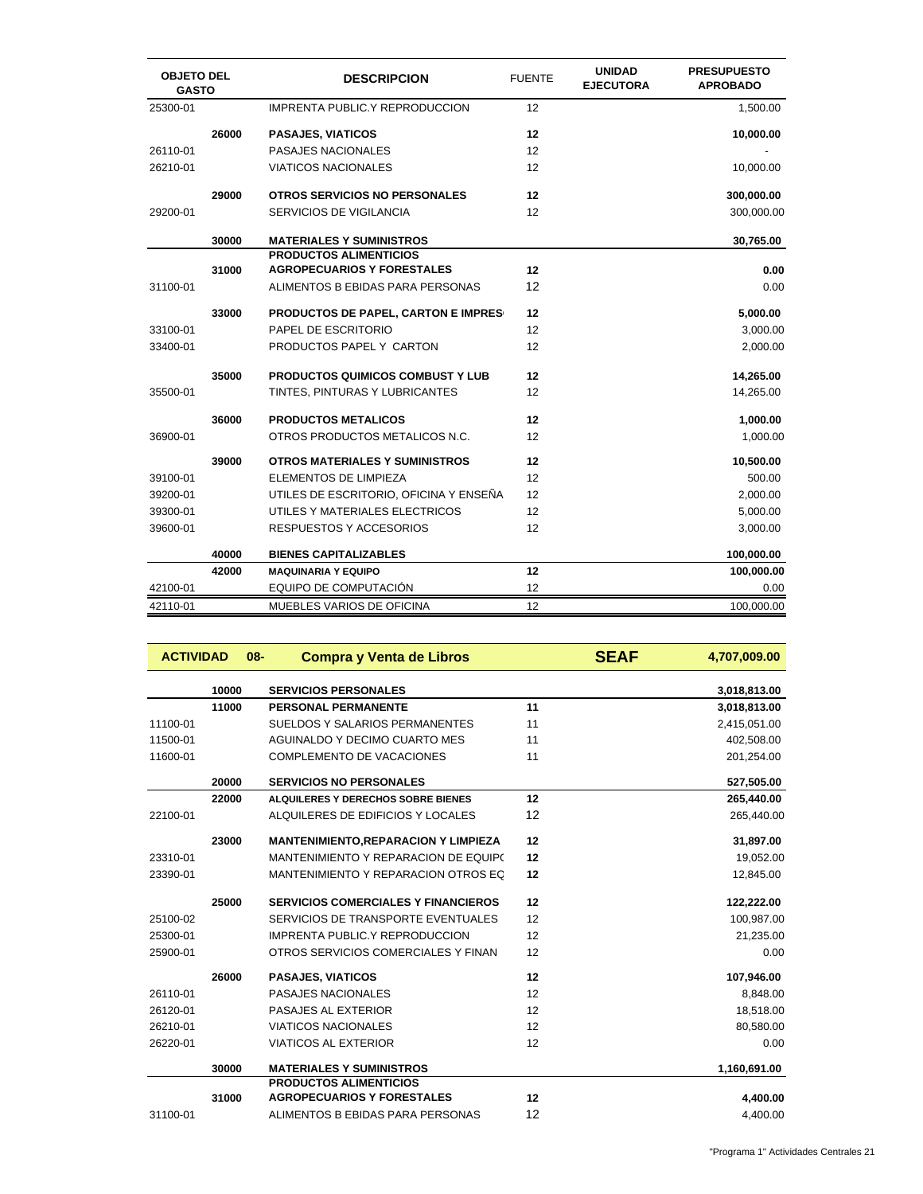| <b>OBJETO DEL</b><br><b>GASTO</b> |       | <b>DESCRIPCION</b>                                                 | <b>FUENTE</b> | <b>UNIDAD</b><br><b>EJECUTORA</b> | <b>PRESUPUESTO</b><br><b>APROBADO</b> |
|-----------------------------------|-------|--------------------------------------------------------------------|---------------|-----------------------------------|---------------------------------------|
| 25300-01                          |       | <b>IMPRENTA PUBLIC.Y REPRODUCCION</b>                              | 12            |                                   | 1,500.00                              |
|                                   | 26000 | <b>PASAJES, VIATICOS</b>                                           | 12            |                                   | 10,000.00                             |
| 26110-01                          |       | PASAJES NACIONALES                                                 | 12            |                                   |                                       |
| 26210-01                          |       | <b>VIATICOS NACIONALES</b>                                         | 12            |                                   | 10,000.00                             |
|                                   | 29000 | <b>OTROS SERVICIOS NO PERSONALES</b>                               | 12            |                                   | 300,000.00                            |
| 29200-01                          |       | <b>SERVICIOS DE VIGILANCIA</b>                                     | 12            |                                   | 300,000.00                            |
|                                   | 30000 | <b>MATERIALES Y SUMINISTROS</b>                                    |               |                                   | 30,765.00                             |
|                                   | 31000 | <b>PRODUCTOS ALIMENTICIOS</b><br><b>AGROPECUARIOS Y FORESTALES</b> | 12            |                                   | 0.00                                  |
| 31100-01                          |       | ALIMENTOS B EBIDAS PARA PERSONAS                                   | 12            |                                   | 0.00                                  |
|                                   |       |                                                                    |               |                                   |                                       |
|                                   | 33000 | PRODUCTOS DE PAPEL, CARTON E IMPRES                                | 12            |                                   | 5,000.00                              |
| 33100-01                          |       | PAPEL DE ESCRITORIO                                                | 12            |                                   | 3,000.00                              |
| 33400-01                          |       | PRODUCTOS PAPEL Y CARTON                                           | 12            |                                   | 2,000.00                              |
|                                   | 35000 | <b>PRODUCTOS QUIMICOS COMBUST Y LUB</b>                            | 12            |                                   | 14,265.00                             |
| 35500-01                          |       | TINTES, PINTURAS Y LUBRICANTES                                     | 12            |                                   | 14,265.00                             |
|                                   | 36000 | <b>PRODUCTOS METALICOS</b>                                         | 12            |                                   | 1,000.00                              |
| 36900-01                          |       | OTROS PRODUCTOS METALICOS N.C.                                     | 12            |                                   | 1,000.00                              |
|                                   | 39000 | <b>OTROS MATERIALES Y SUMINISTROS</b>                              | 12            |                                   | 10,500.00                             |
| 39100-01                          |       | <b>ELEMENTOS DE LIMPIEZA</b>                                       | 12            |                                   | 500.00                                |
| 39200-01                          |       | UTILES DE ESCRITORIO, OFICINA Y ENSEÑA                             | 12            |                                   | 2,000.00                              |
| 39300-01                          |       | UTILES Y MATERIALES ELECTRICOS                                     | 12            |                                   | 5,000.00                              |
| 39600-01                          |       | RESPUESTOS Y ACCESORIOS                                            | 12            |                                   | 3,000.00                              |
|                                   | 40000 | <b>BIENES CAPITALIZABLES</b>                                       |               |                                   | 100,000.00                            |
|                                   | 42000 | <b>MAQUINARIA Y EQUIPO</b>                                         | 12            |                                   | 100,000.00                            |
| 42100-01                          |       | EQUIPO DE COMPUTACIÓN                                              | 12            |                                   | 0.00                                  |
| 42110-01                          |       | MUEBLES VARIOS DE OFICINA                                          | 12            |                                   | 100,000.00                            |

| <b>ACTIVIDAD</b> |       | $08 -$ | <b>Compra y Venta de Libros</b>             |    | <b>SEAF</b> | 4,707,009.00 |
|------------------|-------|--------|---------------------------------------------|----|-------------|--------------|
|                  | 10000 |        | <b>SERVICIOS PERSONALES</b>                 |    |             | 3,018,813.00 |
|                  | 11000 |        | <b>PERSONAL PERMANENTE</b>                  | 11 |             | 3,018,813.00 |
| 11100-01         |       |        | SUELDOS Y SALARIOS PERMANENTES              | 11 |             | 2,415,051.00 |
| 11500-01         |       |        | AGUINALDO Y DECIMO CUARTO MES               | 11 |             | 402,508.00   |
| 11600-01         |       |        | <b>COMPLEMENTO DE VACACIONES</b>            | 11 |             | 201,254.00   |
|                  | 20000 |        | <b>SERVICIOS NO PERSONALES</b>              |    |             | 527,505.00   |
|                  | 22000 |        | ALQUILERES Y DERECHOS SOBRE BIENES          | 12 |             | 265,440.00   |
| 22100-01         |       |        | ALQUILERES DE EDIFICIOS Y LOCALES           | 12 |             | 265,440.00   |
|                  | 23000 |        | <b>MANTENIMIENTO, REPARACION Y LIMPIEZA</b> | 12 |             | 31,897.00    |
| 23310-01         |       |        | MANTENIMIENTO Y REPARACION DE EQUIPO        | 12 |             | 19,052.00    |
| 23390-01         |       |        | MANTENIMIENTO Y REPARACION OTROS EQ         | 12 |             | 12,845.00    |
|                  | 25000 |        | <b>SERVICIOS COMERCIALES Y FINANCIEROS</b>  | 12 |             | 122,222.00   |
| 25100-02         |       |        | SERVICIOS DE TRANSPORTE EVENTUALES          | 12 |             | 100,987.00   |
| 25300-01         |       |        | <b>IMPRENTA PUBLIC.Y REPRODUCCION</b>       | 12 |             | 21,235.00    |
| 25900-01         |       |        | OTROS SERVICIOS COMERCIALES Y FINAN         | 12 |             | 0.00         |
|                  | 26000 |        | <b>PASAJES, VIATICOS</b>                    | 12 |             | 107,946.00   |
| 26110-01         |       |        | PASAJES NACIONALES                          | 12 |             | 8,848.00     |
| 26120-01         |       |        | PASAJES AL EXTERIOR                         | 12 |             | 18,518.00    |
| 26210-01         |       |        | <b>VIATICOS NACIONALES</b>                  | 12 |             | 80,580.00    |
| 26220-01         |       |        | <b>VIATICOS AL EXTERIOR</b>                 | 12 |             | 0.00         |
|                  | 30000 |        | <b>MATERIALES Y SUMINISTROS</b>             |    |             | 1,160,691.00 |
|                  |       |        | <b>PRODUCTOS ALIMENTICIOS</b>               |    |             |              |
|                  | 31000 |        | <b>AGROPECUARIOS Y FORESTALES</b>           | 12 |             | 4,400.00     |
| 31100-01         |       |        | ALIMENTOS B EBIDAS PARA PERSONAS            | 12 |             | 4.400.00     |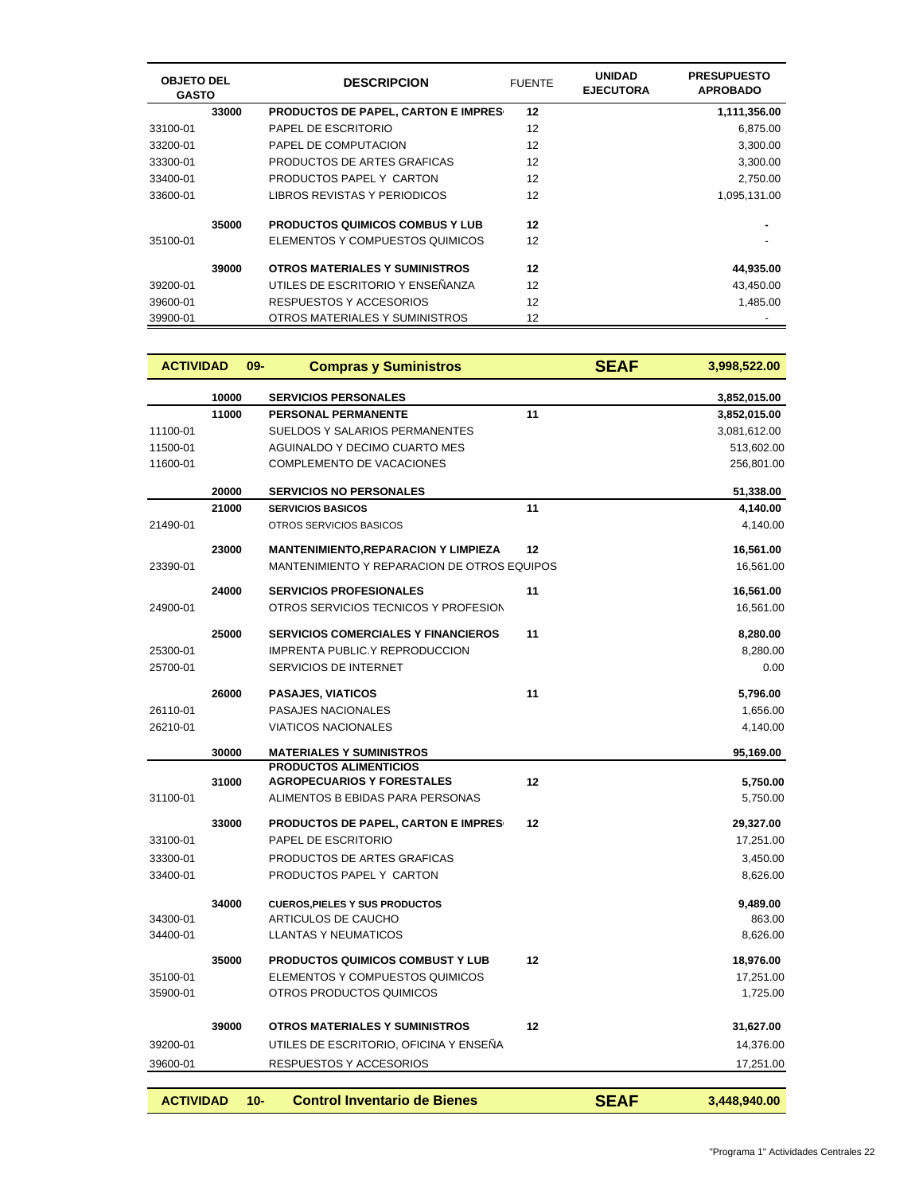| <b>OBJETO DEL</b><br><b>GASTO</b> |       | <b>DESCRIPCION</b>                         | <b>FUENTE</b> | <b>UNIDAD</b><br><b>EJECUTORA</b> | <b>PRESUPUESTO</b><br><b>APROBADO</b> |
|-----------------------------------|-------|--------------------------------------------|---------------|-----------------------------------|---------------------------------------|
|                                   | 33000 | <b>PRODUCTOS DE PAPEL, CARTON E IMPRES</b> | 12            |                                   | 1,111,356.00                          |
| 33100-01                          |       | PAPEL DE ESCRITORIO                        | 12            |                                   | 6,875.00                              |
| 33200-01                          |       | PAPEL DE COMPUTACION                       | 12            |                                   | 3,300.00                              |
| 33300-01                          |       | PRODUCTOS DE ARTES GRAFICAS                | 12            |                                   | 3,300.00                              |
| 33400-01                          |       | PRODUCTOS PAPEL Y CARTON                   | 12            |                                   | 2,750.00                              |
| 33600-01                          |       | LIBROS REVISTAS Y PERIODICOS               | 12            |                                   | 1,095,131.00                          |
|                                   | 35000 | <b>PRODUCTOS QUIMICOS COMBUS Y LUB</b>     | 12            |                                   |                                       |
| 35100-01                          |       | ELEMENTOS Y COMPUESTOS QUIMICOS            | 12            |                                   |                                       |
|                                   | 39000 | <b>OTROS MATERIALES Y SUMINISTROS</b>      | 12            |                                   | 44,935.00                             |
| 39200-01                          |       | UTILES DE ESCRITORIO Y ENSEÑANZA           | 12            |                                   | 43,450.00                             |
| 39600-01                          |       | RESPUESTOS Y ACCESORIOS                    | 12            |                                   | 1,485.00                              |
| 39900-01                          |       | OTROS MATERIALES Y SUMINISTROS             | 12            |                                   |                                       |

| <b>ACTIVIDAD</b> |       | $09 -$ | <b>Compras y Suministros</b>                |    | <b>SEAF</b> | 3,998,522.00 |
|------------------|-------|--------|---------------------------------------------|----|-------------|--------------|
|                  | 10000 |        | <b>SERVICIOS PERSONALES</b>                 |    |             | 3,852,015.00 |
|                  | 11000 |        | <b>PERSONAL PERMANENTE</b>                  | 11 |             | 3,852,015.00 |
| 11100-01         |       |        | SUELDOS Y SALARIOS PERMANENTES              |    |             | 3,081,612.00 |
| 11500-01         |       |        | <b>AGUINALDO Y DECIMO CUARTO MES</b>        |    |             | 513,602.00   |
| 11600-01         |       |        | COMPLEMENTO DE VACACIONES                   |    |             | 256,801.00   |
|                  | 20000 |        | <b>SERVICIOS NO PERSONALES</b>              |    |             | 51,338.00    |
|                  | 21000 |        | <b>SERVICIOS BASICOS</b>                    | 11 |             | 4,140.00     |
| 21490-01         |       |        | OTROS SERVICIOS BASICOS                     |    |             | 4,140.00     |
|                  | 23000 |        | <b>MANTENIMIENTO, REPARACION Y LIMPIEZA</b> | 12 |             | 16,561.00    |
| 23390-01         |       |        | MANTENIMIENTO Y REPARACION DE OTROS EQUIPOS |    |             | 16,561.00    |
|                  | 24000 |        | <b>SERVICIOS PROFESIONALES</b>              | 11 |             | 16,561.00    |
| 24900-01         |       |        | OTROS SERVICIOS TECNICOS Y PROFESION        |    |             | 16,561.00    |
|                  | 25000 |        | <b>SERVICIOS COMERCIALES Y FINANCIEROS</b>  | 11 |             | 8,280.00     |
| 25300-01         |       |        | <b>IMPRENTA PUBLIC.Y REPRODUCCION</b>       |    |             | 8,280.00     |
| 25700-01         |       |        | SERVICIOS DE INTERNET                       |    |             | 0.00         |
|                  | 26000 |        | <b>PASAJES, VIATICOS</b>                    | 11 |             | 5,796.00     |
| 26110-01         |       |        | PASAJES NACIONALES                          |    |             | 1,656.00     |
| 26210-01         |       |        | <b>VIATICOS NACIONALES</b>                  |    |             | 4,140.00     |
|                  | 30000 |        | <b>MATERIALES Y SUMINISTROS</b>             |    |             | 95,169.00    |
|                  |       |        | <b>PRODUCTOS ALIMENTICIOS</b>               |    |             |              |
|                  | 31000 |        | <b>AGROPECUARIOS Y FORESTALES</b>           | 12 |             | 5,750.00     |
| 31100-01         |       |        | ALIMENTOS B EBIDAS PARA PERSONAS            |    |             | 5,750.00     |
|                  | 33000 |        | PRODUCTOS DE PAPEL, CARTON E IMPRES         | 12 |             | 29,327.00    |
| 33100-01         |       |        | PAPEL DE ESCRITORIO                         |    |             | 17,251.00    |
| 33300-01         |       |        | PRODUCTOS DE ARTES GRAFICAS                 |    |             | 3,450.00     |
| 33400-01         |       |        | PRODUCTOS PAPEL Y CARTON                    |    |             | 8,626.00     |
|                  | 34000 |        | <b>CUEROS, PIELES Y SUS PRODUCTOS</b>       |    |             | 9,489.00     |
| 34300-01         |       |        | ARTICULOS DE CAUCHO                         |    |             | 863.00       |
| 34400-01         |       |        | LLANTAS Y NEUMATICOS                        |    |             | 8,626.00     |
|                  | 35000 |        | <b>PRODUCTOS QUIMICOS COMBUST Y LUB</b>     | 12 |             | 18,976.00    |
| 35100-01         |       |        | ELEMENTOS Y COMPUESTOS QUIMICOS             |    |             | 17,251.00    |
| 35900-01         |       |        | OTROS PRODUCTOS QUIMICOS                    |    |             | 1,725.00     |
|                  | 39000 |        | <b>OTROS MATERIALES Y SUMINISTROS</b>       | 12 |             | 31,627.00    |
| 39200-01         |       |        | UTILES DE ESCRITORIO, OFICINA Y ENSEÑA      |    |             | 14,376.00    |
| 39600-01         |       |        | RESPUESTOS Y ACCESORIOS                     |    |             | 17,251.00    |
|                  |       |        |                                             |    |             |              |
| <b>ACTIVIDAD</b> |       | $10 -$ | <b>Control Inventario de Bienes</b>         |    | <b>SEAF</b> | 3,448,940.00 |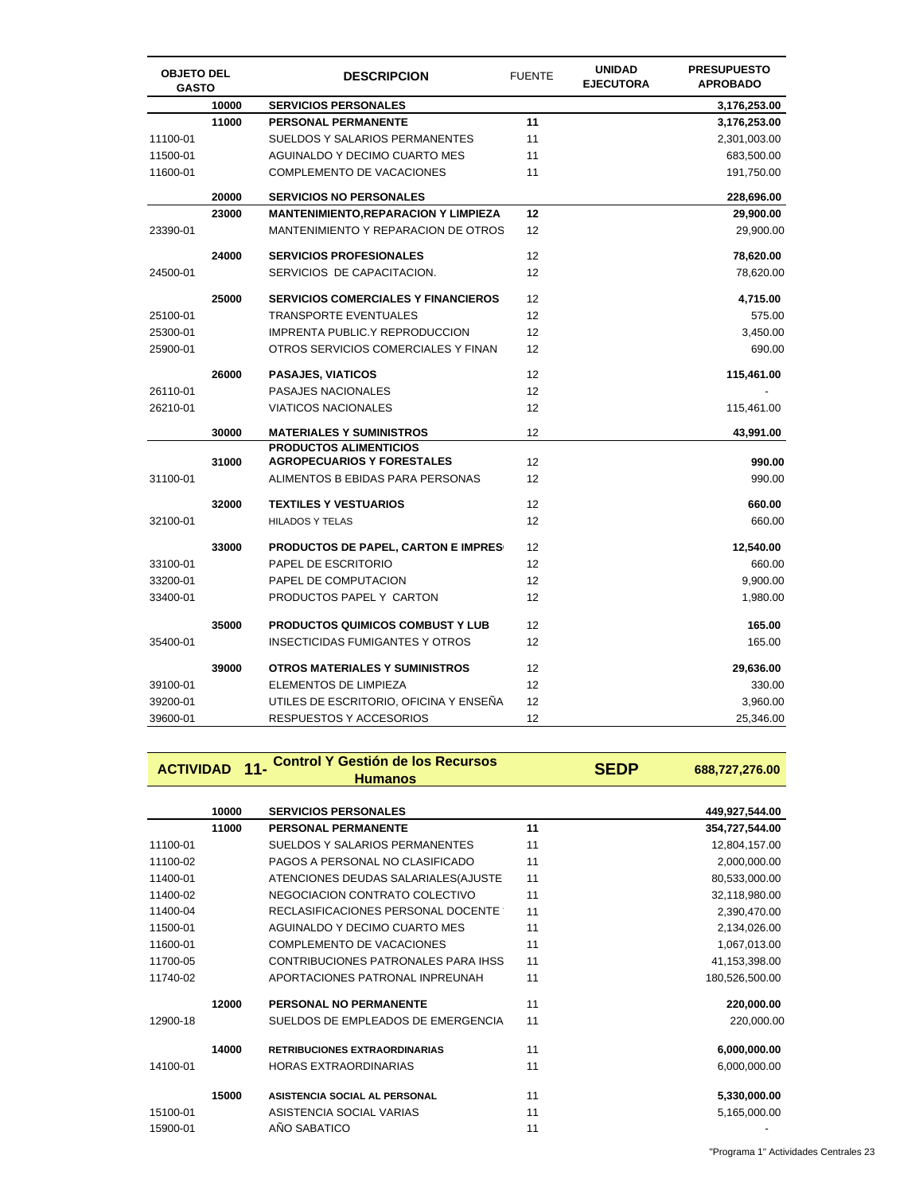| <b>OBJETO DEL</b><br><b>GASTO</b> |       | <b>DESCRIPCION</b>                         | <b>FUENTE</b> | <b>UNIDAD</b><br><b>EJECUTORA</b> | <b>PRESUPUESTO</b><br><b>APROBADO</b> |
|-----------------------------------|-------|--------------------------------------------|---------------|-----------------------------------|---------------------------------------|
|                                   | 10000 | <b>SERVICIOS PERSONALES</b>                |               |                                   | 3,176,253.00                          |
|                                   | 11000 | <b>PERSONAL PERMANENTE</b>                 | 11            |                                   | 3,176,253.00                          |
| 11100-01                          |       | SUELDOS Y SALARIOS PERMANENTES             | 11            |                                   | 2,301,003.00                          |
| 11500-01                          |       | <b>AGUINALDO Y DECIMO CUARTO MES</b>       | 11            |                                   | 683,500.00                            |
| 11600-01                          |       | COMPLEMENTO DE VACACIONES                  | 11            |                                   | 191,750.00                            |
|                                   | 20000 | <b>SERVICIOS NO PERSONALES</b>             |               |                                   | 228,696.00                            |
|                                   | 23000 | <b>MANTENIMIENTO,REPARACION Y LIMPIEZA</b> | 12            |                                   | 29,900.00                             |
| 23390-01                          |       | MANTENIMIENTO Y REPARACION DE OTROS        | 12            |                                   | 29,900.00                             |
|                                   | 24000 | <b>SERVICIOS PROFESIONALES</b>             | 12            |                                   | 78,620.00                             |
| 24500-01                          |       | SERVICIOS DE CAPACITACION.                 | 12            |                                   | 78,620.00                             |
|                                   | 25000 | <b>SERVICIOS COMERCIALES Y FINANCIEROS</b> | 12            |                                   | 4,715.00                              |
| 25100-01                          |       | <b>TRANSPORTE EVENTUALES</b>               | 12            |                                   | 575.00                                |
| 25300-01                          |       | <b>IMPRENTA PUBLIC.Y REPRODUCCION</b>      | 12            |                                   | 3,450.00                              |
| 25900-01                          |       | OTROS SERVICIOS COMERCIALES Y FINAN        | 12            |                                   | 690.00                                |
|                                   | 26000 | <b>PASAJES, VIATICOS</b>                   | 12            |                                   | 115,461.00                            |
| 26110-01                          |       | PASAJES NACIONALES                         | 12            |                                   |                                       |
| 26210-01                          |       | <b>VIATICOS NACIONALES</b>                 | 12            |                                   | 115,461.00                            |
|                                   | 30000 | <b>MATERIALES Y SUMINISTROS</b>            | 12            |                                   | 43,991.00                             |
|                                   |       | <b>PRODUCTOS ALIMENTICIOS</b>              |               |                                   |                                       |
|                                   | 31000 | <b>AGROPECUARIOS Y FORESTALES</b>          | 12            |                                   | 990.00                                |
| 31100-01                          |       | ALIMENTOS B EBIDAS PARA PERSONAS           | 12            |                                   | 990.00                                |
|                                   | 32000 | <b>TEXTILES Y VESTUARIOS</b>               | 12            |                                   | 660.00                                |
| 32100-01                          |       | <b>HILADOS Y TELAS</b>                     | 12            |                                   | 660.00                                |
|                                   | 33000 | <b>PRODUCTOS DE PAPEL, CARTON E IMPRES</b> | 12            |                                   | 12,540.00                             |
| 33100-01                          |       | PAPEL DE ESCRITORIO                        | 12            |                                   | 660.00                                |
| 33200-01                          |       | PAPEL DE COMPUTACION                       | 12            |                                   | 9,900.00                              |
| 33400-01                          |       | PRODUCTOS PAPEL Y CARTON                   | 12            |                                   | 1,980.00                              |
|                                   | 35000 | <b>PRODUCTOS QUIMICOS COMBUST Y LUB</b>    | 12            |                                   | 165.00                                |
| 35400-01                          |       | <b>INSECTICIDAS FUMIGANTES Y OTROS</b>     | 12            |                                   | 165.00                                |
|                                   | 39000 | OTROS MATERIALES Y SUMINISTROS             | 12            |                                   | 29,636.00                             |
| 39100-01                          |       | ELEMENTOS DE LIMPIEZA                      | 12            |                                   | 330.00                                |
| 39200-01                          |       | UTILES DE ESCRITORIO, OFICINA Y ENSEÑA     | 12            |                                   | 3,960.00                              |
| 39600-01                          |       | RESPUESTOS Y ACCESORIOS                    | 12            |                                   | 25,346.00                             |

# **ACTIVIDAD 11- Control Y Gestión de los Recursos Humanos SEDP 688,727,276.00**

|          | 10000 | <b>SERVICIOS PERSONALES</b>          |    | 449,927,544.00 |
|----------|-------|--------------------------------------|----|----------------|
|          | 11000 | PERSONAL PERMANENTE                  | 11 | 354,727,544.00 |
| 11100-01 |       | SUELDOS Y SALARIOS PERMANENTES       | 11 | 12,804,157.00  |
| 11100-02 |       | PAGOS A PERSONAL NO CLASIFICADO      | 11 | 2,000,000.00   |
| 11400-01 |       | ATENCIONES DEUDAS SALARIALES (AJUSTE | 11 | 80,533,000.00  |
| 11400-02 |       | NEGOCIACION CONTRATO COLECTIVO       | 11 | 32,118,980.00  |
| 11400-04 |       | RECLASIFICACIONES PERSONAL DOCENTE   | 11 | 2,390,470.00   |
| 11500-01 |       | AGUINALDO Y DECIMO CUARTO MES        | 11 | 2,134,026.00   |
| 11600-01 |       | <b>COMPLEMENTO DE VACACIONES</b>     | 11 | 1,067,013.00   |
| 11700-05 |       | CONTRIBUCIONES PATRONALES PARA IHSS  | 11 | 41,153,398.00  |
| 11740-02 |       | APORTACIONES PATRONAL INPREUNAH      | 11 | 180,526,500.00 |
|          | 12000 | <b>PERSONAL NO PERMANENTE</b>        | 11 | 220,000.00     |
| 12900-18 |       | SUELDOS DE EMPLEADOS DE EMERGENCIA   | 11 | 220,000.00     |
|          | 14000 | <b>RETRIBUCIONES EXTRAORDINARIAS</b> | 11 | 6,000,000.00   |
| 14100-01 |       | <b>HORAS EXTRAORDINARIAS</b>         | 11 | 6,000,000.00   |
|          | 15000 | ASISTENCIA SOCIAL AL PERSONAL        | 11 | 5,330,000.00   |
| 15100-01 |       | ASISTENCIA SOCIAL VARIAS             | 11 | 5,165,000.00   |
| 15900-01 |       | AÑO SABATICO                         | 11 |                |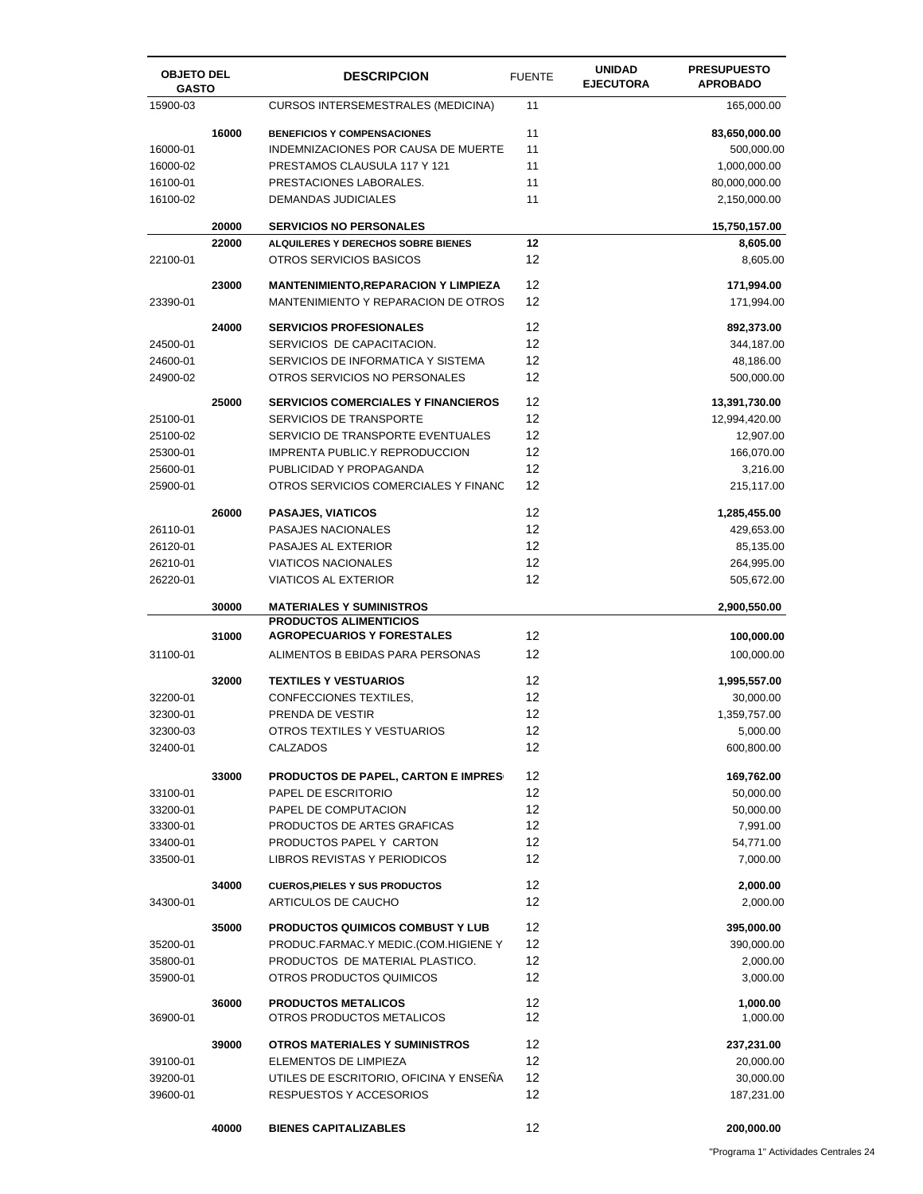| <b>OBJETO DEL</b><br><b>GASTO</b> |       | <b>DESCRIPCION</b>                          | <b>FUENTE</b> | <b>UNIDAD</b><br><b>EJECUTORA</b> | <b>PRESUPUESTO</b><br><b>APROBADO</b> |
|-----------------------------------|-------|---------------------------------------------|---------------|-----------------------------------|---------------------------------------|
| 15900-03                          |       | <b>CURSOS INTERSEMESTRALES (MEDICINA)</b>   | 11            |                                   | 165,000.00                            |
|                                   | 16000 | <b>BENEFICIOS Y COMPENSACIONES</b>          | 11            |                                   | 83,650,000.00                         |
| 16000-01                          |       | INDEMNIZACIONES POR CAUSA DE MUERTE         | 11            |                                   | 500,000.00                            |
| 16000-02                          |       | PRESTAMOS CLAUSULA 117 Y 121                | 11            |                                   | 1,000,000.00                          |
| 16100-01                          |       | PRESTACIONES LABORALES.                     | 11            |                                   | 80,000,000.00                         |
| 16100-02                          |       | DEMANDAS JUDICIALES                         | 11            |                                   | 2,150,000.00                          |
|                                   | 20000 | <b>SERVICIOS NO PERSONALES</b>              |               |                                   | 15,750,157.00                         |
|                                   | 22000 | ALQUILERES Y DERECHOS SOBRE BIENES          | 12            |                                   | 8,605.00                              |
| 22100-01                          |       | OTROS SERVICIOS BASICOS                     | 12            |                                   | 8,605.00                              |
|                                   | 23000 | <b>MANTENIMIENTO, REPARACION Y LIMPIEZA</b> | 12            |                                   | 171,994.00                            |
| 23390-01                          |       | MANTENIMIENTO Y REPARACION DE OTROS         | 12            |                                   | 171,994.00                            |
|                                   | 24000 | <b>SERVICIOS PROFESIONALES</b>              | 12            |                                   | 892,373.00                            |
| 24500-01                          |       | SERVICIOS DE CAPACITACION.                  | 12            |                                   | 344,187.00                            |
| 24600-01                          |       | SERVICIOS DE INFORMATICA Y SISTEMA          | 12            |                                   | 48,186.00                             |
| 24900-02                          |       | OTROS SERVICIOS NO PERSONALES               | 12            |                                   | 500,000.00                            |
|                                   | 25000 | <b>SERVICIOS COMERCIALES Y FINANCIEROS</b>  | 12            |                                   | 13,391,730.00                         |
| 25100-01                          |       | SERVICIOS DE TRANSPORTE                     | 12            |                                   | 12,994,420.00                         |
| 25100-02                          |       | SERVICIO DE TRANSPORTE EVENTUALES           | 12            |                                   | 12,907.00                             |
| 25300-01                          |       | IMPRENTA PUBLIC.Y REPRODUCCION              | 12            |                                   | 166,070.00                            |
| 25600-01                          |       | PUBLICIDAD Y PROPAGANDA                     | 12            |                                   | 3,216.00                              |
| 25900-01                          |       | OTROS SERVICIOS COMERCIALES Y FINANC        | 12            |                                   | 215,117.00                            |
|                                   | 26000 | <b>PASAJES, VIATICOS</b>                    | 12            |                                   | 1,285,455.00                          |
| 26110-01                          |       | <b>PASAJES NACIONALES</b>                   | 12            |                                   | 429,653.00                            |
| 26120-01                          |       | PASAJES AL EXTERIOR                         | 12            |                                   | 85,135.00                             |
| 26210-01                          |       | <b>VIATICOS NACIONALES</b>                  | 12            |                                   | 264,995.00                            |
| 26220-01                          |       | <b>VIATICOS AL EXTERIOR</b>                 | 12            |                                   | 505,672.00                            |
|                                   | 30000 | <b>MATERIALES Y SUMINISTROS</b>             |               |                                   | 2,900,550.00                          |
|                                   |       | <b>PRODUCTOS ALIMENTICIOS</b>               |               |                                   |                                       |
|                                   | 31000 | <b>AGROPECUARIOS Y FORESTALES</b>           | 12            |                                   | 100,000.00                            |
| 31100-01                          |       | ALIMENTOS B EBIDAS PARA PERSONAS            | 12            |                                   | 100,000.00                            |
|                                   | 32000 | <b>TEXTILES Y VESTUARIOS</b>                | 12            |                                   | 1,995,557.00                          |
| 32200-01                          |       | CONFECCIONES TEXTILES,                      | 12            |                                   | 30,000.00                             |
| 32300-01                          |       | PRENDA DE VESTIR                            | 12            |                                   | 1,359,757.00                          |
| 32300-03                          |       | OTROS TEXTILES Y VESTUARIOS                 | 12            |                                   | 5,000.00                              |
| 32400-01                          |       | CALZADOS                                    | 12            |                                   | 600,800.00                            |
|                                   | 33000 | <b>PRODUCTOS DE PAPEL, CARTON E IMPRES</b>  | 12            |                                   | 169,762.00                            |
| 33100-01                          |       | PAPEL DE ESCRITORIO                         | 12            |                                   | 50,000.00                             |
| 33200-01                          |       | PAPEL DE COMPUTACION                        | 12            |                                   | 50,000.00                             |
| 33300-01                          |       | PRODUCTOS DE ARTES GRAFICAS                 | 12            |                                   | 7,991.00                              |
| 33400-01                          |       | PRODUCTOS PAPEL Y CARTON                    | 12            |                                   | 54,771.00                             |
| 33500-01                          |       | LIBROS REVISTAS Y PERIODICOS                | 12            |                                   | 7,000.00                              |
|                                   | 34000 | <b>CUEROS, PIELES Y SUS PRODUCTOS</b>       | 12            |                                   | 2,000.00                              |
| 34300-01                          |       | ARTICULOS DE CAUCHO                         | 12            |                                   | 2,000.00                              |
|                                   | 35000 | <b>PRODUCTOS QUIMICOS COMBUST Y LUB</b>     | 12            |                                   | 395,000.00                            |
| 35200-01                          |       | PRODUC.FARMAC.Y MEDIC.(COM.HIGIENE Y        | 12            |                                   | 390,000.00                            |
| 35800-01                          |       | PRODUCTOS DE MATERIAL PLASTICO.             | 12            |                                   | 2,000.00                              |
| 35900-01                          |       | OTROS PRODUCTOS QUIMICOS                    | 12            |                                   | 3,000.00                              |
|                                   | 36000 | <b>PRODUCTOS METALICOS</b>                  | 12            |                                   | 1,000.00                              |
| 36900-01                          |       | OTROS PRODUCTOS METALICOS                   | 12            |                                   | 1,000.00                              |
|                                   | 39000 | <b>OTROS MATERIALES Y SUMINISTROS</b>       | 12            |                                   | 237,231.00                            |
| 39100-01                          |       | ELEMENTOS DE LIMPIEZA                       | 12            |                                   | 20,000.00                             |
| 39200-01                          |       | UTILES DE ESCRITORIO, OFICINA Y ENSEÑA      | 12            |                                   | 30,000.00                             |
| 39600-01                          |       | RESPUESTOS Y ACCESORIOS                     | 12            |                                   | 187,231.00                            |
|                                   | 40000 | <b>BIENES CAPITALIZABLES</b>                | 12            |                                   | 200,000.00                            |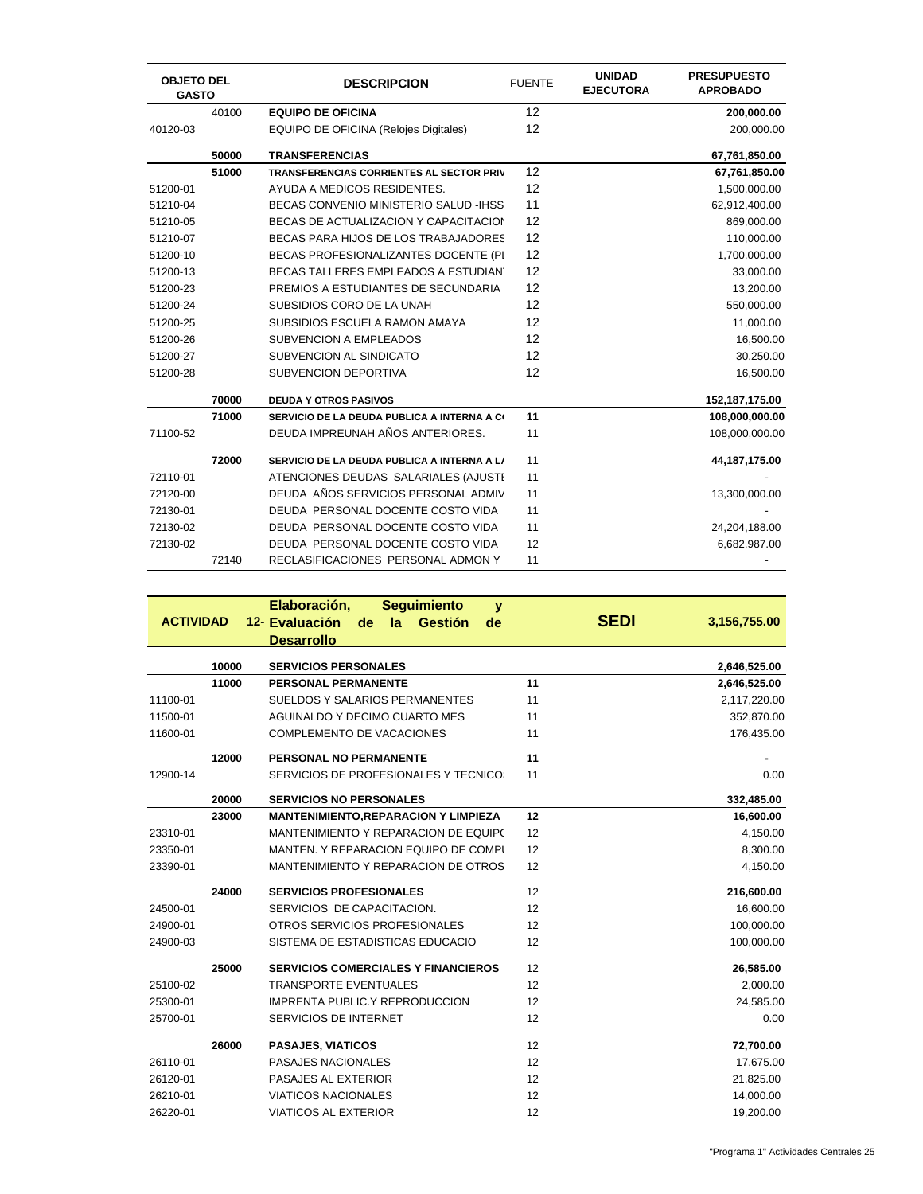| <b>OBJETO DEL</b><br><b>GASTO</b> |       | <b>DESCRIPCION</b>                              | <b>FUENTE</b> | <b>UNIDAD</b><br><b>EJECUTORA</b> | <b>PRESUPUESTO</b><br><b>APROBADO</b> |
|-----------------------------------|-------|-------------------------------------------------|---------------|-----------------------------------|---------------------------------------|
|                                   | 40100 | <b>EQUIPO DE OFICINA</b>                        | 12            |                                   | 200,000.00                            |
| 40120-03                          |       | EQUIPO DE OFICINA (Relojes Digitales)           | 12            |                                   | 200,000.00                            |
|                                   | 50000 | <b>TRANSFERENCIAS</b>                           |               |                                   | 67,761,850.00                         |
|                                   | 51000 | <b>TRANSFERENCIAS CORRIENTES AL SECTOR PRIV</b> | 12            |                                   | 67,761,850.00                         |
| 51200-01                          |       | AYUDA A MEDICOS RESIDENTES.                     | 12            |                                   | 1,500,000.00                          |
| 51210-04                          |       | BECAS CONVENIO MINISTERIO SALUD - IHSS          | 11            |                                   | 62,912,400.00                         |
| 51210-05                          |       | BECAS DE ACTUALIZACION Y CAPACITACION           | 12            |                                   | 869,000.00                            |
| 51210-07                          |       | BECAS PARA HIJOS DE LOS TRABAJADORES            | 12            |                                   | 110,000.00                            |
| 51200-10                          |       | BECAS PROFESIONALIZANTES DOCENTE (PI            | 12            |                                   | 1,700,000.00                          |
| 51200-13                          |       | BECAS TALLERES EMPLEADOS A ESTUDIAN             | 12            |                                   | 33,000.00                             |
| 51200-23                          |       | PREMIOS A ESTUDIANTES DE SECUNDARIA             | 12            |                                   | 13,200.00                             |
| 51200-24                          |       | SUBSIDIOS CORO DE LA UNAH                       | 12            |                                   | 550,000.00                            |
| 51200-25                          |       | SUBSIDIOS ESCUELA RAMON AMAYA                   | 12            |                                   | 11,000.00                             |
| 51200-26                          |       | <b>SUBVENCION A EMPLEADOS</b>                   | 12            |                                   | 16,500.00                             |
| 51200-27                          |       | SUBVENCION AL SINDICATO                         | 12            |                                   | 30,250.00                             |
| 51200-28                          |       | SUBVENCION DEPORTIVA                            | 12            |                                   | 16,500.00                             |
|                                   | 70000 | <b>DEUDA Y OTROS PASIVOS</b>                    |               |                                   | 152,187,175.00                        |
|                                   | 71000 | SERVICIO DE LA DEUDA PUBLICA A INTERNA A CO     | 11            |                                   | 108,000,000.00                        |
| 71100-52                          |       | DEUDA IMPREUNAH AÑOS ANTERIORES.                | 11            |                                   | 108,000,000.00                        |
|                                   | 72000 | SERVICIO DE LA DEUDA PUBLICA A INTERNA A L/     | 11            |                                   | 44, 187, 175.00                       |
| 72110-01                          |       | ATENCIONES DEUDAS SALARIALES (AJUSTI            | 11            |                                   |                                       |
| 72120-00                          |       | DEUDA AÑOS SERVICIOS PERSONAL ADMIV             | 11            |                                   | 13,300,000.00                         |
| 72130-01                          |       | DEUDA PERSONAL DOCENTE COSTO VIDA               | 11            |                                   |                                       |
| 72130-02                          |       | DEUDA PERSONAL DOCENTE COSTO VIDA               | 11            |                                   | 24,204,188.00                         |
| 72130-02                          |       | DEUDA PERSONAL DOCENTE COSTO VIDA               | 12            |                                   | 6,682,987.00                          |
|                                   | 72140 | RECLASIFICACIONES PERSONAL ADMON Y              | 11            |                                   |                                       |

| <b>ACTIVIDAD</b> |       | Elaboración,<br><b>Seguimiento</b><br>$\mathbf{v}$<br>12- Evaluación<br>Gestión<br>de<br>la<br>de<br><b>Desarrollo</b> | <b>SEDI</b> | 3,156,755.00 |
|------------------|-------|------------------------------------------------------------------------------------------------------------------------|-------------|--------------|
|                  | 10000 | <b>SERVICIOS PERSONALES</b>                                                                                            |             | 2,646,525.00 |
|                  | 11000 | <b>PERSONAL PERMANENTE</b>                                                                                             | 11          | 2,646,525.00 |
| 11100-01         |       | SUELDOS Y SALARIOS PERMANENTES                                                                                         | 11          | 2,117,220.00 |
| 11500-01         |       | AGUINALDO Y DECIMO CUARTO MES                                                                                          | 11          | 352,870.00   |
| 11600-01         |       | COMPLEMENTO DE VACACIONES                                                                                              | 11          | 176,435.00   |
|                  | 12000 | PERSONAL NO PERMANENTE                                                                                                 | 11          |              |
| 12900-14         |       | SERVICIOS DE PROFESIONALES Y TECNICO:                                                                                  | 11          | 0.00         |
|                  | 20000 | <b>SERVICIOS NO PERSONALES</b>                                                                                         |             | 332,485.00   |
|                  | 23000 | <b>MANTENIMIENTO, REPARACION Y LIMPIEZA</b>                                                                            | 12          | 16,600.00    |
| 23310-01         |       | MANTENIMIENTO Y REPARACION DE EQUIPO                                                                                   | 12          | 4,150.00     |
| 23350-01         |       | MANTEN. Y REPARACION EQUIPO DE COMPI                                                                                   | 12          | 8,300.00     |
| 23390-01         |       | MANTENIMIENTO Y REPARACION DE OTROS                                                                                    | 12          | 4,150.00     |
|                  | 24000 | <b>SERVICIOS PROFESIONALES</b>                                                                                         | 12          | 216,600.00   |
| 24500-01         |       | SERVICIOS DE CAPACITACION.                                                                                             | 12          | 16,600.00    |
| 24900-01         |       | OTROS SERVICIOS PROFESIONALES                                                                                          | 12          | 100,000.00   |
| 24900-03         |       | SISTEMA DE ESTADISTICAS EDUCACIO                                                                                       | 12          | 100,000.00   |
|                  | 25000 | <b>SERVICIOS COMERCIALES Y FINANCIEROS</b>                                                                             | 12          | 26,585.00    |
| 25100-02         |       | <b>TRANSPORTE EVENTUALES</b>                                                                                           | 12          | 2,000.00     |
| 25300-01         |       | <b>IMPRENTA PUBLIC.Y REPRODUCCION</b>                                                                                  | 12          | 24,585.00    |
| 25700-01         |       | SERVICIOS DE INTERNET                                                                                                  | 12          | 0.00         |
|                  | 26000 | <b>PASAJES, VIATICOS</b>                                                                                               | 12          | 72,700.00    |
| 26110-01         |       | PASAJES NACIONALES                                                                                                     | 12          | 17,675.00    |
| 26120-01         |       | <b>PASAJES AL EXTERIOR</b>                                                                                             | 12          | 21,825.00    |
| 26210-01         |       | <b>VIATICOS NACIONALES</b>                                                                                             | 12          | 14,000.00    |
| 26220-01         |       | <b>VIATICOS AL EXTERIOR</b>                                                                                            | 12          | 19,200.00    |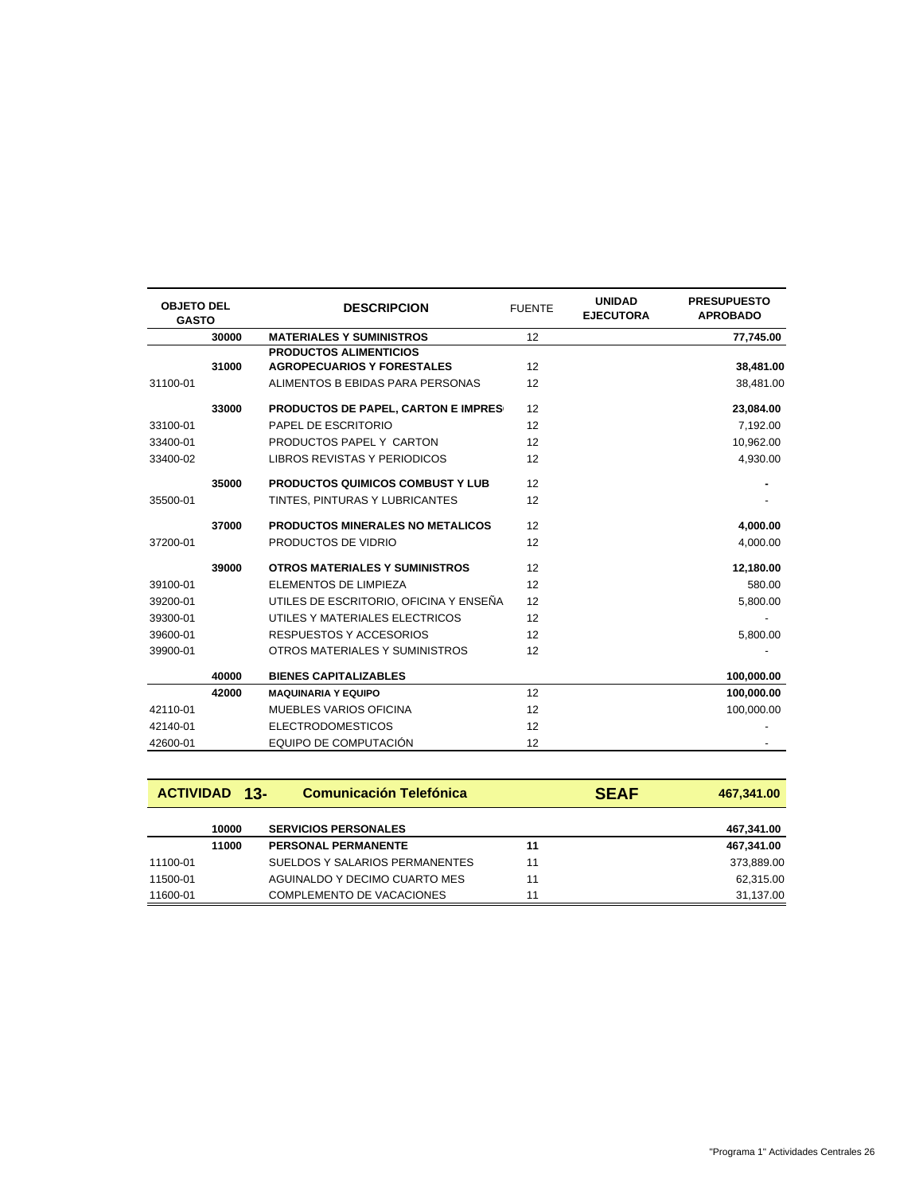| <b>OBJETO DEL</b><br><b>GASTO</b> |       | <b>DESCRIPCION</b>                      | <b>FUENTE</b> | <b>UNIDAD</b><br><b>EJECUTORA</b> | <b>PRESUPUESTO</b><br><b>APROBADO</b> |
|-----------------------------------|-------|-----------------------------------------|---------------|-----------------------------------|---------------------------------------|
|                                   | 30000 | <b>MATERIALES Y SUMINISTROS</b>         | 12            |                                   | 77,745.00                             |
|                                   |       | <b>PRODUCTOS ALIMENTICIOS</b>           |               |                                   |                                       |
|                                   | 31000 | <b>AGROPECUARIOS Y FORESTALES</b>       | 12            |                                   | 38,481.00                             |
| 31100-01                          |       | ALIMENTOS B EBIDAS PARA PERSONAS        | 12            |                                   | 38,481.00                             |
|                                   | 33000 | PRODUCTOS DE PAPEL, CARTON E IMPRES     | 12            |                                   | 23,084.00                             |
| 33100-01                          |       | PAPEL DE ESCRITORIO                     | 12            |                                   | 7,192.00                              |
| 33400-01                          |       | PRODUCTOS PAPEL Y CARTON                | 12            |                                   | 10,962.00                             |
| 33400-02                          |       | LIBROS REVISTAS Y PERIODICOS            | 12            |                                   | 4,930.00                              |
|                                   | 35000 | <b>PRODUCTOS QUIMICOS COMBUST Y LUB</b> | 12            |                                   |                                       |
| 35500-01                          |       | TINTES, PINTURAS Y LUBRICANTES          | 12            |                                   |                                       |
|                                   | 37000 | PRODUCTOS MINERALES NO METALICOS        | 12            |                                   | 4,000.00                              |
| 37200-01                          |       | PRODUCTOS DE VIDRIO                     | 12            |                                   | 4,000.00                              |
|                                   | 39000 | <b>OTROS MATERIALES Y SUMINISTROS</b>   | 12            |                                   | 12,180.00                             |
| 39100-01                          |       | <b>ELEMENTOS DE LIMPIEZA</b>            | 12            |                                   | 580.00                                |
| 39200-01                          |       | UTILES DE ESCRITORIO. OFICINA Y ENSEÑA  | 12            |                                   | 5,800.00                              |
| 39300-01                          |       | UTILES Y MATERIALES ELECTRICOS          | 12            |                                   |                                       |
| 39600-01                          |       | RESPUESTOS Y ACCESORIOS                 | 12            |                                   | 5,800.00                              |
| 39900-01                          |       | OTROS MATERIALES Y SUMINISTROS          | 12            |                                   |                                       |
|                                   | 40000 | <b>BIENES CAPITALIZABLES</b>            |               |                                   | 100,000.00                            |
|                                   | 42000 | <b>MAQUINARIA Y EQUIPO</b>              | 12            |                                   | 100,000.00                            |
| 42110-01                          |       | <b>MUEBLES VARIOS OFICINA</b>           | 12            |                                   | 100,000.00                            |
| 42140-01                          |       | <b>ELECTRODOMESTICOS</b>                | 12            |                                   |                                       |
| 42600-01                          |       | EQUIPO DE COMPUTACIÓN                   | 12            |                                   |                                       |

|          | <b>ACTIVIDAD 13-</b> | <b>Comunicación Telefónica</b>   | <b>SEAF</b> | 467,341.00 |
|----------|----------------------|----------------------------------|-------------|------------|
|          | 10000                | <b>SERVICIOS PERSONALES</b>      |             | 467,341.00 |
|          | 11000                | <b>PERSONAL PERMANENTE</b>       | 11          | 467,341.00 |
| 11100-01 |                      | SUELDOS Y SALARIOS PERMANENTES   | 11          | 373,889.00 |
| 11500-01 |                      | AGUINALDO Y DECIMO CUARTO MES    | 11          | 62.315.00  |
| 11600-01 |                      | <b>COMPLEMENTO DE VACACIONES</b> | 11          | 31.137.00  |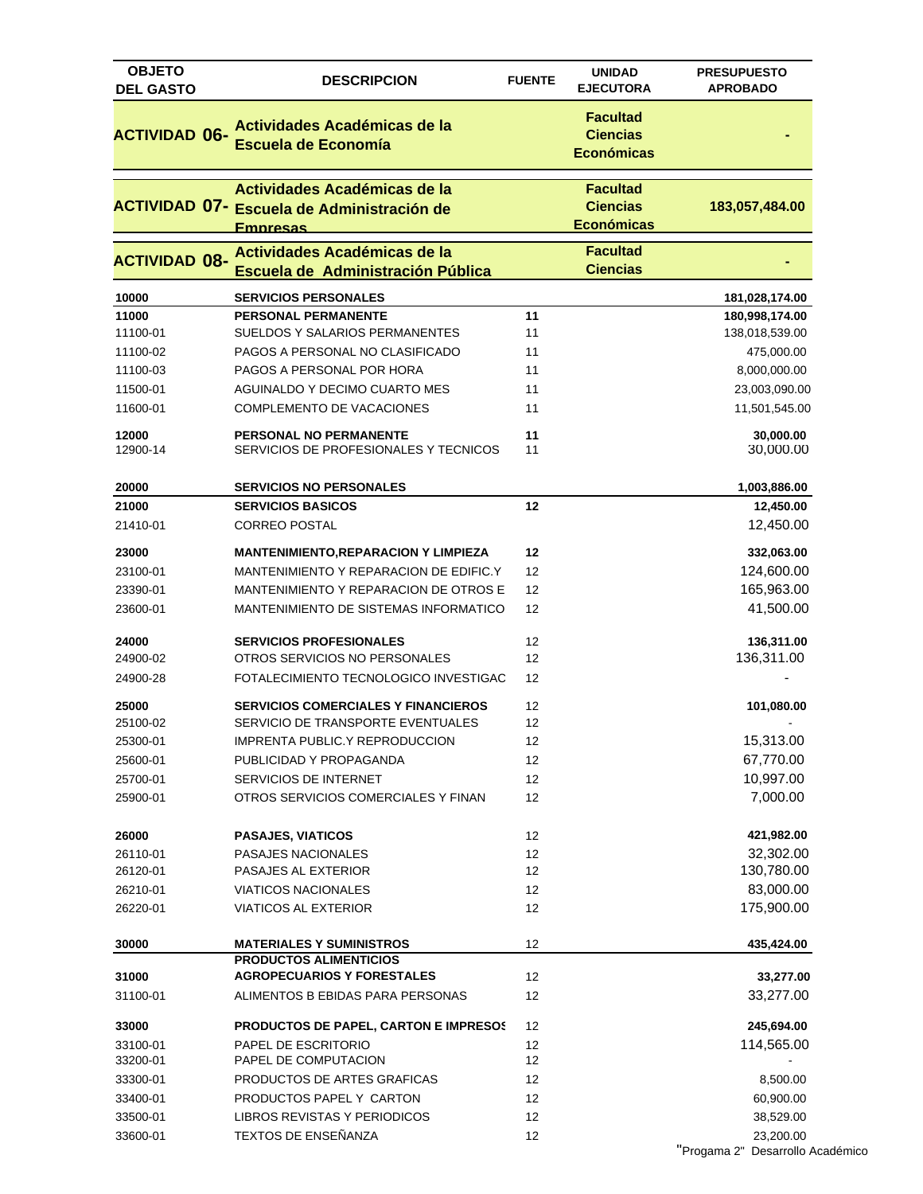| <b>OBJETO</b><br><b>DEL GASTO</b> | <b>DESCRIPCION</b>                                                                                   | <b>FUENTE</b> | <b>UNIDAD</b><br><b>EJECUTORA</b>                       | <b>PRESUPUESTO</b><br><b>APROBADO</b>         |
|-----------------------------------|------------------------------------------------------------------------------------------------------|---------------|---------------------------------------------------------|-----------------------------------------------|
| <b>ACTIVIDAD 06-</b>              | Actividades Académicas de la<br><b>Escuela de Economía</b>                                           |               | <b>Facultad</b><br><b>Ciencias</b><br><b>Económicas</b> |                                               |
|                                   | Actividades Académicas de la<br><b>ACTIVIDAD 07- Escuela de Administración de</b><br><b>Empresas</b> |               | <b>Facultad</b><br><b>Ciencias</b><br><b>Económicas</b> | 183,057,484.00                                |
| <b>ACTIVIDAD 08-</b>              | Actividades Académicas de la<br>Escuela de Administración Pública                                    |               | <b>Facultad</b><br><b>Ciencias</b>                      |                                               |
| 10000                             | <b>SERVICIOS PERSONALES</b>                                                                          |               |                                                         | 181,028,174.00                                |
| 11000                             | <b>PERSONAL PERMANENTE</b>                                                                           | 11            |                                                         | 180,998,174.00                                |
| 11100-01                          | SUELDOS Y SALARIOS PERMANENTES                                                                       | 11            |                                                         | 138,018,539.00                                |
| 11100-02                          | PAGOS A PERSONAL NO CLASIFICADO                                                                      | 11            |                                                         | 475,000.00                                    |
| 11100-03                          | PAGOS A PERSONAL POR HORA                                                                            | 11            |                                                         | 8,000,000.00                                  |
| 11500-01                          | AGUINALDO Y DECIMO CUARTO MES                                                                        | 11            |                                                         | 23,003,090.00                                 |
| 11600-01                          | COMPLEMENTO DE VACACIONES                                                                            | 11            |                                                         | 11,501,545.00                                 |
| 12000<br>12900-14                 | <b>PERSONAL NO PERMANENTE</b><br>SERVICIOS DE PROFESIONALES Y TECNICOS                               | 11<br>11      |                                                         | 30,000.00<br>30,000.00                        |
| 20000                             | <b>SERVICIOS NO PERSONALES</b>                                                                       |               |                                                         | 1,003,886.00                                  |
| 21000                             | <b>SERVICIOS BASICOS</b>                                                                             | 12            |                                                         | 12,450.00                                     |
| 21410-01                          | <b>CORREO POSTAL</b>                                                                                 |               |                                                         | 12,450.00                                     |
| 23000                             | <b>MANTENIMIENTO,REPARACION Y LIMPIEZA</b>                                                           | 12            |                                                         | 332,063.00                                    |
| 23100-01                          | MANTENIMIENTO Y REPARACION DE EDIFIC.Y                                                               | 12            |                                                         | 124,600.00                                    |
| 23390-01                          | MANTENIMIENTO Y REPARACION DE OTROS E                                                                | 12            |                                                         | 165,963.00                                    |
| 23600-01                          | MANTENIMIENTO DE SISTEMAS INFORMATICO                                                                | 12            |                                                         | 41,500.00                                     |
| 24000                             | <b>SERVICIOS PROFESIONALES</b>                                                                       | 12            |                                                         | 136,311.00                                    |
| 24900-02                          | OTROS SERVICIOS NO PERSONALES                                                                        | 12            |                                                         | 136,311.00                                    |
| 24900-28                          | FOTALECIMIENTO TECNOLOGICO INVESTIGAC                                                                | 12            |                                                         |                                               |
| 25000                             | <b>SERVICIOS COMERCIALES Y FINANCIEROS</b>                                                           | 12            |                                                         | 101,080.00                                    |
| 25100-02                          | SERVICIO DE TRANSPORTE EVENTUALES                                                                    | 12            |                                                         |                                               |
| 25300-01                          | IMPRENTA PUBLIC.Y REPRODUCCION                                                                       | 12            |                                                         | 15,313.00                                     |
| 25600-01                          | PUBLICIDAD Y PROPAGANDA                                                                              | 12            |                                                         | 67,770.00                                     |
| 25700-01                          | SERVICIOS DE INTERNET                                                                                | 12            |                                                         | 10,997.00                                     |
| 25900-01                          | OTROS SERVICIOS COMERCIALES Y FINAN                                                                  | 12            |                                                         | 7,000.00                                      |
| 26000                             | <b>PASAJES, VIATICOS</b>                                                                             | 12            |                                                         | 421,982.00                                    |
| 26110-01                          | PASAJES NACIONALES                                                                                   | 12            |                                                         | 32,302.00                                     |
| 26120-01                          | PASAJES AL EXTERIOR                                                                                  | 12            |                                                         | 130,780.00                                    |
| 26210-01                          | <b>VIATICOS NACIONALES</b>                                                                           | 12            |                                                         | 83,000.00                                     |
| 26220-01                          | <b>VIATICOS AL EXTERIOR</b>                                                                          | 12            |                                                         | 175,900.00                                    |
| 30000                             | <b>MATERIALES Y SUMINISTROS</b>                                                                      | 12            |                                                         | 435,424.00                                    |
|                                   | <b>PRODUCTOS ALIMENTICIOS</b>                                                                        |               |                                                         |                                               |
| 31000                             | <b>AGROPECUARIOS Y FORESTALES</b>                                                                    | 12            |                                                         | 33,277.00                                     |
| 31100-01                          | ALIMENTOS B EBIDAS PARA PERSONAS                                                                     | 12            |                                                         | 33,277.00                                     |
| 33000                             | PRODUCTOS DE PAPEL, CARTON E IMPRESOS                                                                | 12            |                                                         | 245,694.00                                    |
| 33100-01                          | PAPEL DE ESCRITORIO                                                                                  | 12            |                                                         | 114,565.00                                    |
| 33200-01                          | PAPEL DE COMPUTACION                                                                                 | 12            |                                                         |                                               |
| 33300-01                          | PRODUCTOS DE ARTES GRAFICAS                                                                          | 12            |                                                         | 8,500.00                                      |
| 33400-01                          | PRODUCTOS PAPEL Y CARTON                                                                             | 12            |                                                         | 60,900.00                                     |
| 33500-01                          | LIBROS REVISTAS Y PERIODICOS                                                                         | 12            |                                                         | 38,529.00                                     |
| 33600-01                          | TEXTOS DE ENSEÑANZA                                                                                  | 12            |                                                         | 23,200.00<br>"Progama 2" Desarrollo Académico |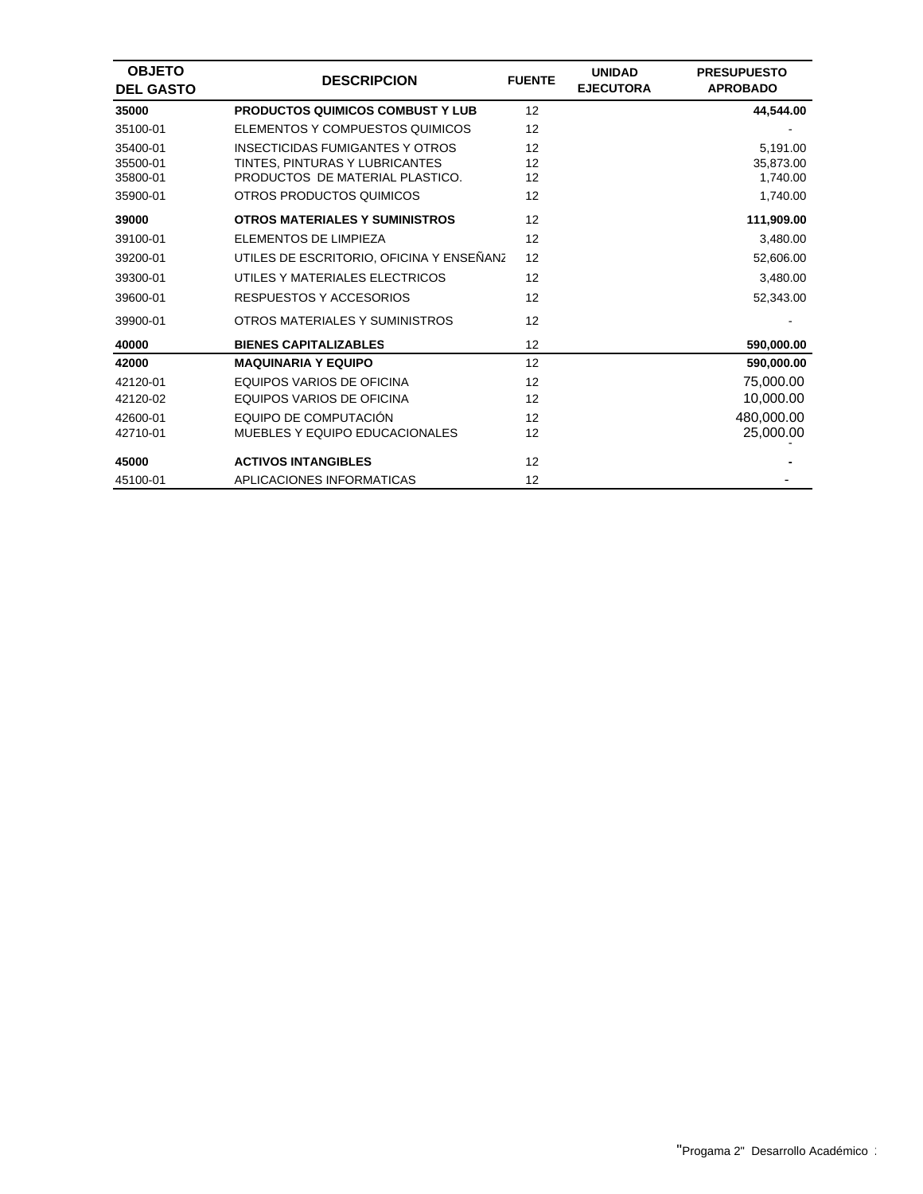| <b>OBJETO</b><br><b>DEL GASTO</b> | <b>DESCRIPCION</b>                       | <b>FUENTE</b> | <b>UNIDAD</b><br><b>EJECUTORA</b> | <b>PRESUPUESTO</b><br><b>APROBADO</b> |
|-----------------------------------|------------------------------------------|---------------|-----------------------------------|---------------------------------------|
| 35000                             | <b>PRODUCTOS QUIMICOS COMBUST Y LUB</b>  | 12            |                                   | 44,544.00                             |
| 35100-01                          | ELEMENTOS Y COMPUESTOS QUIMICOS          | 12            |                                   |                                       |
| 35400-01                          | <b>INSECTICIDAS FUMIGANTES Y OTROS</b>   | 12            |                                   | 5,191.00                              |
| 35500-01                          | TINTES, PINTURAS Y LUBRICANTES           | 12            |                                   | 35,873.00                             |
| 35800-01                          | PRODUCTOS DE MATERIAL PLASTICO.          | 12            |                                   | 1,740.00                              |
| 35900-01                          | OTROS PRODUCTOS QUIMICOS                 | 12            |                                   | 1,740.00                              |
| 39000                             | <b>OTROS MATERIALES Y SUMINISTROS</b>    | 12            |                                   | 111,909.00                            |
| 39100-01                          | ELEMENTOS DE LIMPIEZA                    | 12            |                                   | 3,480.00                              |
| 39200-01                          | UTILES DE ESCRITORIO, OFICINA Y ENSEÑANZ | 12            |                                   | 52,606.00                             |
| 39300-01                          | UTILES Y MATERIALES ELECTRICOS           | 12            |                                   | 3,480.00                              |
| 39600-01                          | <b>RESPUESTOS Y ACCESORIOS</b>           | 12            |                                   | 52.343.00                             |
| 39900-01                          | OTROS MATERIALES Y SUMINISTROS           | 12            |                                   |                                       |
| 40000                             | <b>BIENES CAPITALIZABLES</b>             | 12            |                                   | 590,000.00                            |
| 42000                             | <b>MAQUINARIA Y EQUIPO</b>               | 12            |                                   | 590,000.00                            |
| 42120-01                          | EQUIPOS VARIOS DE OFICINA                | 12            |                                   | 75,000.00                             |
| 42120-02                          | EQUIPOS VARIOS DE OFICINA                | 12            |                                   | 10,000.00                             |
| 42600-01                          | EQUIPO DE COMPUTACIÓN                    | 12            |                                   | 480,000.00                            |
| 42710-01                          | MUEBLES Y EQUIPO EDUCACIONALES           | 12            |                                   | 25,000.00                             |
| 45000                             | <b>ACTIVOS INTANGIBLES</b>               | 12            |                                   |                                       |
| 45100-01                          | APLICACIONES INFORMATICAS                | 12            |                                   |                                       |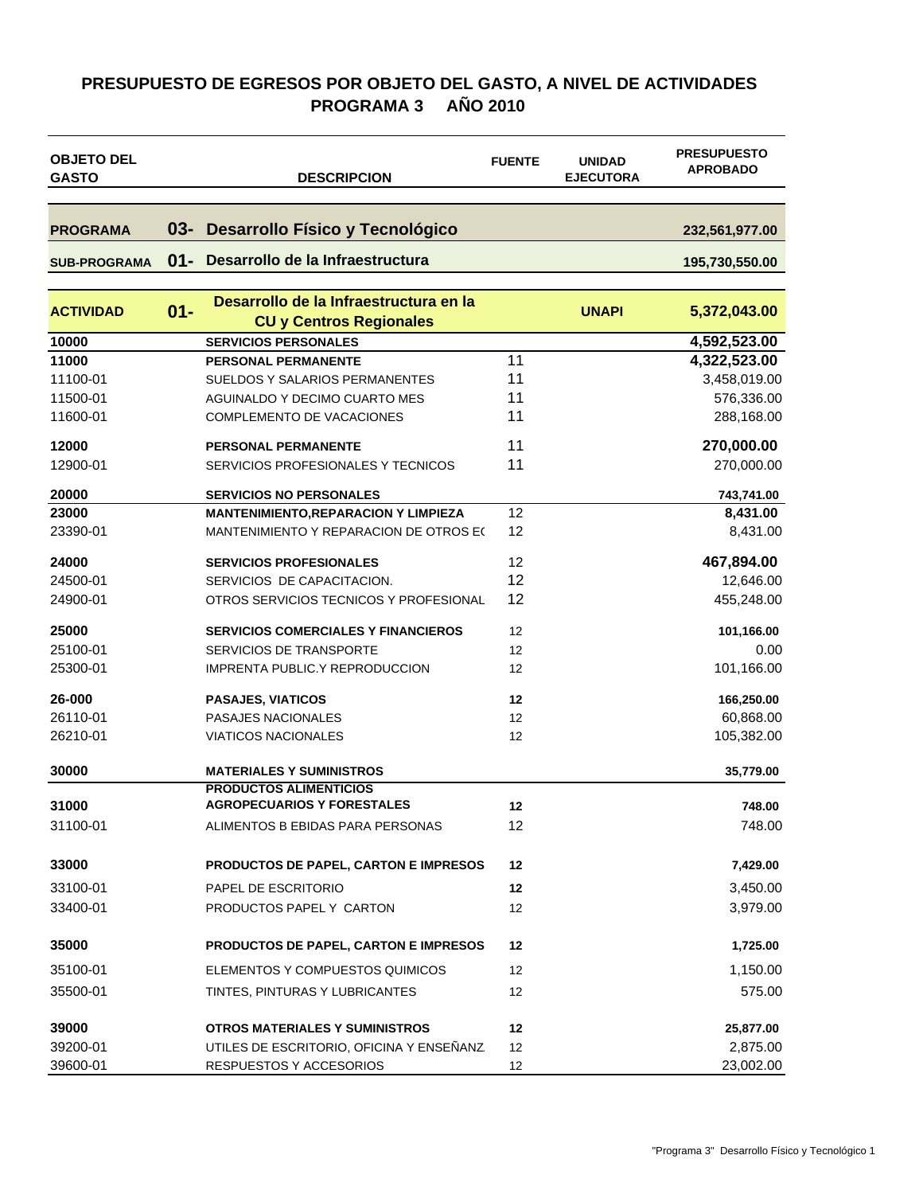### **PRESUPUESTO DE EGRESOS POR OBJETO DEL GASTO, A NIVEL DE ACTIVIDADES PROGRAMA 3 AÑO 2010**

| <b>OBJETO DEL</b><br><b>GASTO</b> |        | <b>DESCRIPCION</b>                                                                | <b>FUENTE</b> | <b>UNIDAD</b><br><b>EJECUTORA</b> | <b>PRESUPUESTO</b><br><b>APROBADO</b> |
|-----------------------------------|--------|-----------------------------------------------------------------------------------|---------------|-----------------------------------|---------------------------------------|
|                                   |        |                                                                                   |               |                                   |                                       |
| <b>PROGRAMA</b>                   | $03 -$ | <b>Desarrollo Físico y Tecnológico</b>                                            |               |                                   | 232,561,977.00                        |
| <b>SUB-PROGRAMA</b>               | $01 -$ | Desarrollo de la Infraestructura                                                  |               |                                   | 195,730,550.00                        |
| <b>ACTIVIDAD</b>                  | $01 -$ | Desarrollo de la Infraestructura en la<br><b>CU y Centros Regionales</b>          |               | <b>UNAPI</b>                      | 5,372,043.00                          |
| 10000                             |        | <b>SERVICIOS PERSONALES</b>                                                       |               |                                   | 4,592,523.00                          |
| 11000                             |        | <b>PERSONAL PERMANENTE</b>                                                        | 11            |                                   | 4,322,523.00                          |
| 11100-01                          |        | SUELDOS Y SALARIOS PERMANENTES                                                    | 11            |                                   | 3,458,019.00                          |
| 11500-01                          |        | AGUINALDO Y DECIMO CUARTO MES                                                     | 11            |                                   | 576,336.00                            |
| 11600-01                          |        | COMPLEMENTO DE VACACIONES                                                         | 11            |                                   | 288,168.00                            |
| 12000                             |        | <b>PERSONAL PERMANENTE</b>                                                        | 11            |                                   | 270,000.00                            |
| 12900-01                          |        | SERVICIOS PROFESIONALES Y TECNICOS                                                | 11            |                                   | 270,000.00                            |
| 20000                             |        | <b>SERVICIOS NO PERSONALES</b>                                                    |               |                                   | 743,741.00                            |
| 23000                             |        | <b>MANTENIMIENTO, REPARACION Y LIMPIEZA</b>                                       | 12            |                                   | 8,431.00                              |
| 23390-01                          |        | MANTENIMIENTO Y REPARACION DE OTROS E(                                            | 12            |                                   | 8,431.00                              |
| 24000                             |        | <b>SERVICIOS PROFESIONALES</b>                                                    | 12            |                                   | 467,894.00                            |
| 24500-01                          |        | SERVICIOS DE CAPACITACION.                                                        | 12            |                                   | 12,646.00                             |
| 24900-01                          |        | OTROS SERVICIOS TECNICOS Y PROFESIONAL                                            | 12            |                                   | 455,248.00                            |
| 25000                             |        | <b>SERVICIOS COMERCIALES Y FINANCIEROS</b>                                        | 12            |                                   | 101,166.00                            |
| 25100-01                          |        | SERVICIOS DE TRANSPORTE                                                           | 12            |                                   | 0.00                                  |
| 25300-01                          |        | <b>IMPRENTA PUBLIC.Y REPRODUCCION</b>                                             | 12            |                                   | 101,166.00                            |
| 26-000                            |        | <b>PASAJES, VIATICOS</b>                                                          | 12            |                                   | 166,250.00                            |
| 26110-01                          |        | PASAJES NACIONALES                                                                | 12            |                                   | 60,868.00                             |
| 26210-01                          |        | <b>VIATICOS NACIONALES</b>                                                        | 12            |                                   | 105,382.00                            |
| 30000                             |        | <b>MATERIALES Y SUMINISTROS</b>                                                   |               |                                   | 35,779.00                             |
|                                   |        | <b>PRODUCTOS ALIMENTICIOS</b>                                                     |               |                                   |                                       |
| 31000                             |        | <b>AGROPECUARIOS Y FORESTALES</b>                                                 | 12            |                                   | 748.00                                |
| 31100-01                          |        | ALIMENTOS B EBIDAS PARA PERSONAS                                                  | 12            |                                   | 748.00                                |
| 33000                             |        | PRODUCTOS DE PAPEL, CARTON E IMPRESOS                                             | 12            |                                   | 7,429.00                              |
| 33100-01                          |        | PAPEL DE ESCRITORIO                                                               | 12            |                                   | 3,450.00                              |
| 33400-01                          |        | PRODUCTOS PAPEL Y CARTON                                                          | 12            |                                   | 3,979.00                              |
| 35000                             |        | PRODUCTOS DE PAPEL, CARTON E IMPRESOS                                             | 12            |                                   | 1,725.00                              |
| 35100-01                          |        | ELEMENTOS Y COMPUESTOS QUIMICOS                                                   | 12            |                                   | 1,150.00                              |
| 35500-01                          |        | TINTES, PINTURAS Y LUBRICANTES                                                    | 12            |                                   | 575.00                                |
|                                   |        |                                                                                   |               |                                   |                                       |
| 39000<br>39200-01                 |        | <b>OTROS MATERIALES Y SUMINISTROS</b><br>UTILES DE ESCRITORIO, OFICINA Y ENSEÑANZ | 12<br>12      |                                   | 25,877.00<br>2,875.00                 |
| 39600-01                          |        | RESPUESTOS Y ACCESORIOS                                                           | 12            |                                   | 23,002.00                             |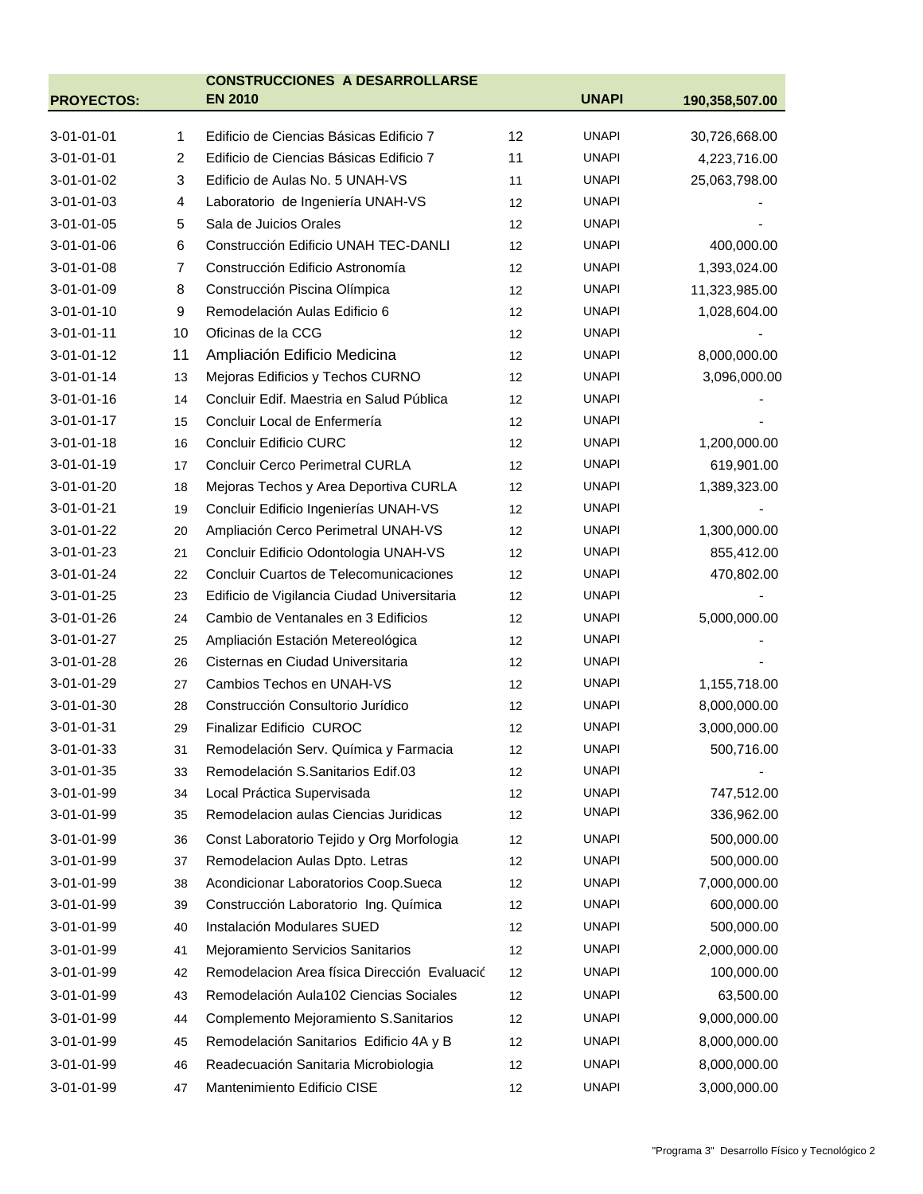|                    |    | <b>CONSTRUCCIONES A DESARROLLARSE</b>        |    |              |                |
|--------------------|----|----------------------------------------------|----|--------------|----------------|
| <b>PROYECTOS:</b>  |    | <b>EN 2010</b>                               |    | <b>UNAPI</b> | 190,358,507.00 |
| 3-01-01-01         | 1  | Edificio de Ciencias Básicas Edificio 7      | 12 | <b>UNAPI</b> | 30,726,668.00  |
| 3-01-01-01         | 2  | Edificio de Ciencias Básicas Edificio 7      | 11 | <b>UNAPI</b> | 4,223,716.00   |
| 3-01-01-02         | 3  | Edificio de Aulas No. 5 UNAH-VS              | 11 | <b>UNAPI</b> | 25,063,798.00  |
| 3-01-01-03         | 4  | Laboratorio de Ingeniería UNAH-VS            | 12 | <b>UNAPI</b> |                |
| 3-01-01-05         | 5  | Sala de Juicios Orales                       | 12 | <b>UNAPI</b> |                |
| 3-01-01-06         | 6  | Construcción Edificio UNAH TEC-DANLI         | 12 | <b>UNAPI</b> | 400,000.00     |
| 3-01-01-08         | 7  | Construcción Edificio Astronomía             | 12 | <b>UNAPI</b> | 1,393,024.00   |
| 3-01-01-09         | 8  | Construcción Piscina Olímpica                | 12 | <b>UNAPI</b> | 11,323,985.00  |
| 3-01-01-10         | 9  | Remodelación Aulas Edificio 6                | 12 | <b>UNAPI</b> | 1,028,604.00   |
| $3 - 01 - 01 - 11$ | 10 | Oficinas de la CCG                           | 12 | <b>UNAPI</b> |                |
| 3-01-01-12         | 11 | Ampliación Edificio Medicina                 | 12 | <b>UNAPI</b> | 8,000,000.00   |
| $3-01-01-14$       | 13 | Mejoras Edificios y Techos CURNO             | 12 | <b>UNAPI</b> | 3,096,000.00   |
| $3 - 01 - 01 - 16$ | 14 | Concluir Edif. Maestria en Salud Pública     | 12 | UNAPI        |                |
| 3-01-01-17         | 15 | Concluir Local de Enfermería                 | 12 | <b>UNAPI</b> |                |
| $3 - 01 - 01 - 18$ | 16 | <b>Concluir Edificio CURC</b>                | 12 | <b>UNAPI</b> | 1,200,000.00   |
| 3-01-01-19         | 17 | <b>Concluir Cerco Perimetral CURLA</b>       | 12 | <b>UNAPI</b> | 619,901.00     |
| 3-01-01-20         | 18 | Mejoras Techos y Area Deportiva CURLA        | 12 | <b>UNAPI</b> | 1,389,323.00   |
| 3-01-01-21         | 19 | Concluir Edificio Ingenierías UNAH-VS        | 12 | <b>UNAPI</b> |                |
| 3-01-01-22         | 20 | Ampliación Cerco Perimetral UNAH-VS          | 12 | <b>UNAPI</b> | 1,300,000.00   |
| 3-01-01-23         | 21 | Concluir Edificio Odontologia UNAH-VS        | 12 | <b>UNAPI</b> | 855,412.00     |
| 3-01-01-24         | 22 | Concluir Cuartos de Telecomunicaciones       | 12 | <b>UNAPI</b> | 470,802.00     |
| 3-01-01-25         | 23 | Edificio de Vigilancia Ciudad Universitaria  | 12 | <b>UNAPI</b> |                |
| 3-01-01-26         | 24 | Cambio de Ventanales en 3 Edificios          | 12 | <b>UNAPI</b> | 5,000,000.00   |
| 3-01-01-27         | 25 | Ampliación Estación Metereológica            | 12 | <b>UNAPI</b> |                |
| 3-01-01-28         | 26 | Cisternas en Ciudad Universitaria            | 12 | <b>UNAPI</b> |                |
| 3-01-01-29         | 27 | Cambios Techos en UNAH-VS                    | 12 | <b>UNAPI</b> | 1,155,718.00   |
| 3-01-01-30         | 28 | Construcción Consultorio Jurídico            | 12 | <b>UNAPI</b> | 8,000,000.00   |
| 3-01-01-31         | 29 | Finalizar Edificio CUROC                     | 12 | <b>UNAPI</b> | 3,000,000.00   |
| 3-01-01-33         | 31 | Remodelación Serv. Química y Farmacia        | 12 | <b>UNAPI</b> | 500,716.00     |
| 3-01-01-35         | 33 | Remodelación S.Sanitarios Edif.03            | 12 | UNAPI        |                |
| 3-01-01-99         | 34 | Local Práctica Supervisada                   | 12 | <b>UNAPI</b> | 747,512.00     |
| 3-01-01-99         | 35 | Remodelacion aulas Ciencias Juridicas        | 12 | <b>UNAPI</b> | 336,962.00     |
| 3-01-01-99         | 36 | Const Laboratorio Tejido y Org Morfologia    | 12 | <b>UNAPI</b> | 500,000.00     |
| 3-01-01-99         | 37 | Remodelacion Aulas Dpto. Letras              | 12 | UNAPI        | 500,000.00     |
| 3-01-01-99         | 38 | Acondicionar Laboratorios Coop.Sueca         | 12 | <b>UNAPI</b> | 7,000,000.00   |
| 3-01-01-99         | 39 | Construcción Laboratorio Ing. Química        | 12 | UNAPI        | 600,000.00     |
| 3-01-01-99         | 40 | Instalación Modulares SUED                   | 12 | <b>UNAPI</b> | 500,000.00     |
| 3-01-01-99         | 41 | Mejoramiento Servicios Sanitarios            | 12 | <b>UNAPI</b> | 2,000,000.00   |
| 3-01-01-99         | 42 | Remodelacion Area física Dirección Evaluació | 12 | <b>UNAPI</b> | 100,000.00     |
| 3-01-01-99         | 43 | Remodelación Aula102 Ciencias Sociales       | 12 | <b>UNAPI</b> | 63,500.00      |
|                    |    |                                              |    | <b>UNAPI</b> | 9,000,000.00   |
| 3-01-01-99         | 44 | Complemento Mejoramiento S.Sanitarios        | 12 |              |                |
| 3-01-01-99         | 45 | Remodelación Sanitarios Edificio 4A y B      | 12 | UNAPI        | 8,000,000.00   |
| 3-01-01-99         | 46 | Readecuación Sanitaria Microbiologia         | 12 | <b>UNAPI</b> | 8,000,000.00   |
| 3-01-01-99         | 47 | Mantenimiento Edificio CISE                  | 12 | <b>UNAPI</b> | 3,000,000.00   |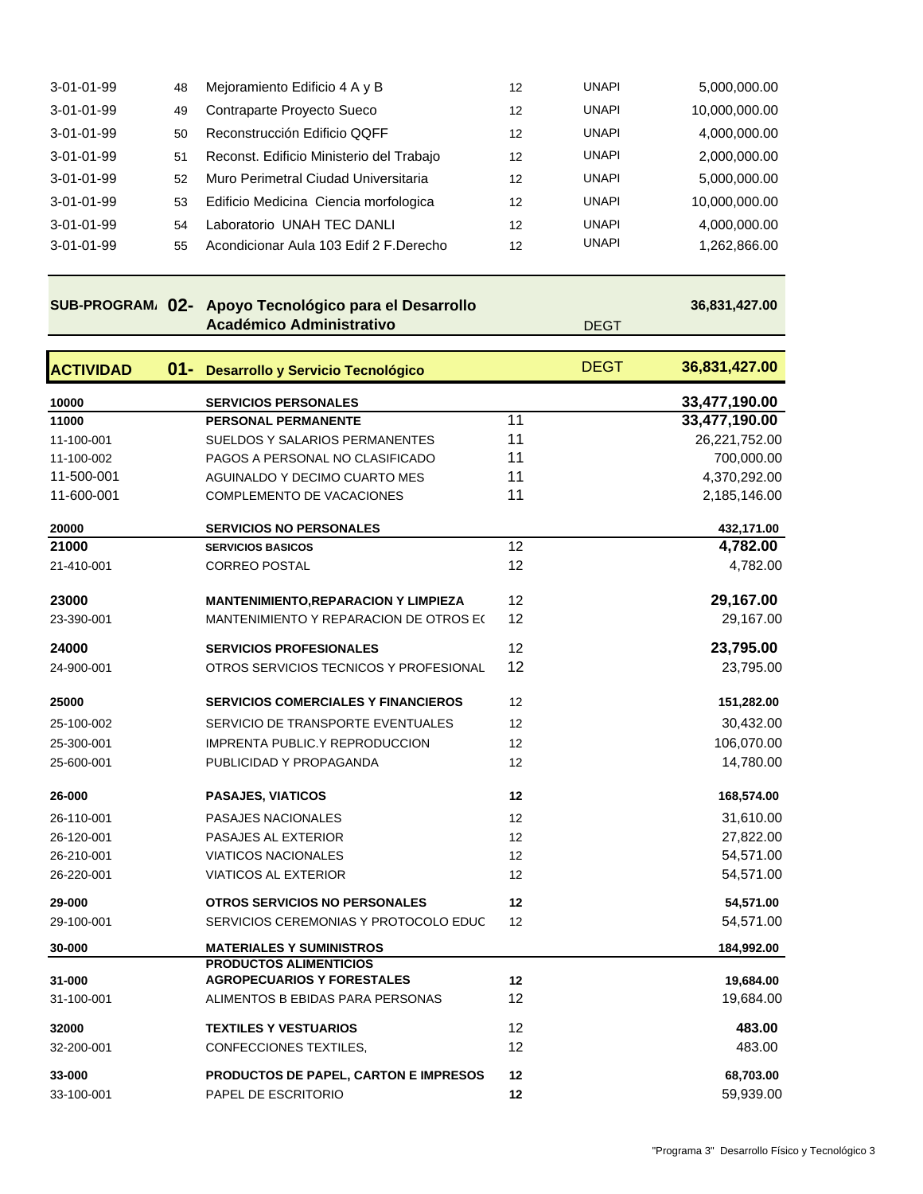| $3-01-01-99$ | 48 | Mejoramiento Edificio 4 A y B            | 12 | UNAPI        | 5,000,000.00  |
|--------------|----|------------------------------------------|----|--------------|---------------|
| 3-01-01-99   | 49 | Contraparte Proyecto Sueco               | 12 | <b>UNAPI</b> | 10,000,000.00 |
| 3-01-01-99   | 50 | Reconstrucción Edificio QQFF             | 12 | <b>UNAPI</b> | 4,000,000.00  |
| 3-01-01-99   | 51 | Reconst. Edificio Ministerio del Trabajo | 12 | <b>UNAPI</b> | 2,000,000.00  |
| $3-01-01-99$ | 52 | Muro Perimetral Ciudad Universitaria     | 12 | <b>UNAPI</b> | 5,000,000.00  |
| $3-01-01-99$ | 53 | Edificio Medicina Ciencia morfologica    | 12 | <b>UNAPI</b> | 10,000,000.00 |
| $3-01-01-99$ | 54 | Laboratorio UNAH TEC DANLI               | 12 | <b>UNAPI</b> | 4,000,000.00  |
| $3-01-01-99$ | 55 | Acondicionar Aula 103 Edif 2 F.Derecho   | 12 | <b>UNAPI</b> | 1,262,866.00  |
|              |    |                                          |    |              |               |

#### **SUB-PROGRAMA 02- Apoyo Tecnológico para el Desarrollo Académico Administrativo** DEGT  **36,831,427.00 ACTIVIDAD 01- Desarrollo y Servicio Tecnológico** DEGT **36,831,427.00 10000 SERVICIOS PERSONALES 33,477,190.00 11000 PERSONAL PERMANENTE** 11 **33,477,190.00** 11-100-001 SUELDOS Y SALARIOS PERMANENTES 11 26,221,752.00 11-100-002 PAGOS A PERSONAL NO CLASIFICADO 11 700,000.00 11-500-001 AGUINALDO Y DECIMO CUARTO MES 11 1 4,370,292.00 11-600-001 COMPLEMENTO DE VACACIONES 11 2,185,146.00 **20000 SERVICIOS NO PERSONALES 432,171.00 21000 SERVICIOS BASICOS** 12 **4,782.00** 21-410-001 CORREO POSTAL 12 12 4,782.00 **23000 MANTENIMIENTO,REPARACION Y LIMPIEZA** 12 **29,167.00** 23-390-001 MANTENIMIENTO Y REPARACION DE OTROS E(12 29,167.00 **24000 SERVICIOS PROFESIONALES** 12 **23,795.00** 24-900-001 OTROS SERVICIOS TECNICOS Y PROFESIONAL 12 23,795.00 **25000 SERVICIOS COMERCIALES Y FINANCIEROS** 12 **151,282.00** 25-100-002 SERVICIO DE TRANSPORTE EVENTUALES 12 12 30,432.00 25-300-001 IMPRENTA PUBLIC.Y REPRODUCCION 12 106,070.00 25-600-001 PUBLICIDAD Y PROPAGANDA 12 12 14,780.00 **26-000 PASAJES, VIATICOS 12 168,574.00** 26-110-001 PASAJES NACIONALES 12 31,610.00 26-120-001 PASAJES AL EXTERIOR 12 27,822.00 26-210-001 VIATICOS NACIONALES 12 12 54,571.00

26-220-001 VIATICOS AL EXTERIOR 12 12 54,571.00 **29-000 OTROS SERVICIOS NO PERSONALES 12 54,571.00** 29-100-001 SERVICIOS CEREMONIAS Y PROTOCOLO EDUC 12 54,571.00 **30-000 MATERIALES Y SUMINISTROS 184,992.00**

31-100-001 ALIMENTOS B EBIDAS PARA PERSONAS 12 19,684.00 **32000 TEXTILES Y VESTUARIOS** 12 **483.00**

**AGROPECUARIOS Y FORESTALES 12 19,684.00** 

**PRODUCTOS ALIMENTICIOS** 

**31-000**

| 32-200-001           | CONFECCIONES TEXTILES.                                              | 12       | 483.00                 |
|----------------------|---------------------------------------------------------------------|----------|------------------------|
| 33-000<br>33-100-001 | <b>PRODUCTOS DE PAPEL. CARTON E IMPRESOS</b><br>PAPEL DE ESCRITORIO | 12<br>12 | 68,703.00<br>59,939.00 |
|                      |                                                                     |          |                        |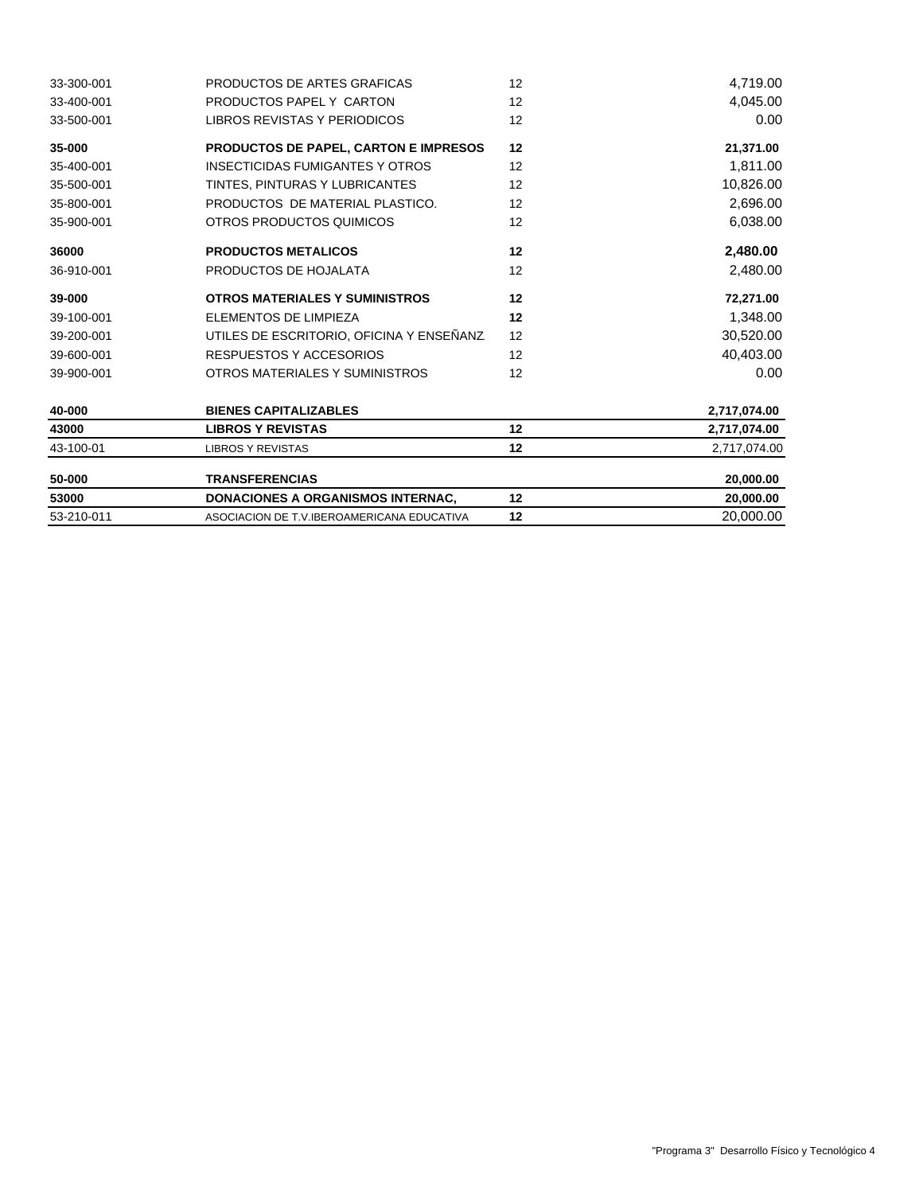| 53000      | <b>DONACIONES A ORGANISMOS INTERNAC.</b> | 12 | 20,000,00    |
|------------|------------------------------------------|----|--------------|
| 50-000     | <b>TRANSFERENCIAS</b>                    |    | 20,000.00    |
| 43-100-01  | <b>LIBROS Y REVISTAS</b>                 | 12 | 2,717,074.00 |
| 43000      | <b>LIBROS Y REVISTAS</b>                 | 12 | 2,717,074.00 |
| 40-000     | <b>BIENES CAPITALIZABLES</b>             |    | 2,717,074.00 |
| 39-900-001 | OTROS MATERIALES Y SUMINISTROS           | 12 | 0.00         |
| 39-600-001 | RESPUESTOS Y ACCESORIOS                  | 12 | 40,403.00    |
| 39-200-001 | UTILES DE ESCRITORIO, OFICINA Y ENSEÑANZ | 12 | 30,520.00    |
| 39-100-001 | ELEMENTOS DE LIMPIEZA                    | 12 | 1,348.00     |
| 39-000     | <b>OTROS MATERIALES Y SUMINISTROS</b>    | 12 | 72,271.00    |
| 36-910-001 | PRODUCTOS DE HOJALATA                    | 12 | 2,480.00     |
| 36000      | <b>PRODUCTOS METALICOS</b>               | 12 | 2,480.00     |
| 35-900-001 | OTROS PRODUCTOS QUIMICOS                 | 12 | 6,038.00     |
| 35-800-001 | PRODUCTOS DE MATERIAL PLASTICO.          | 12 | 2,696.00     |
| 35-500-001 | TINTES, PINTURAS Y LUBRICANTES           | 12 | 10,826.00    |
| 35-400-001 | <b>INSECTICIDAS FUMIGANTES Y OTROS</b>   | 12 | 1,811.00     |
| 35-000     | PRODUCTOS DE PAPEL, CARTON E IMPRESOS    | 12 | 21,371.00    |
| 33-500-001 | LIBROS REVISTAS Y PERIODICOS             |    | 0.00         |
| 33-400-001 | PRODUCTOS PAPEL Y CARTON                 | 12 | 4,045.00     |
| 33-300-001 | PRODUCTOS DE ARTES GRAFICAS              | 12 | 4,719.00     |

53-210-011 ASOCIACION DE T.V.IBEROAMERICANA EDUCATIVA **12** 20,000.00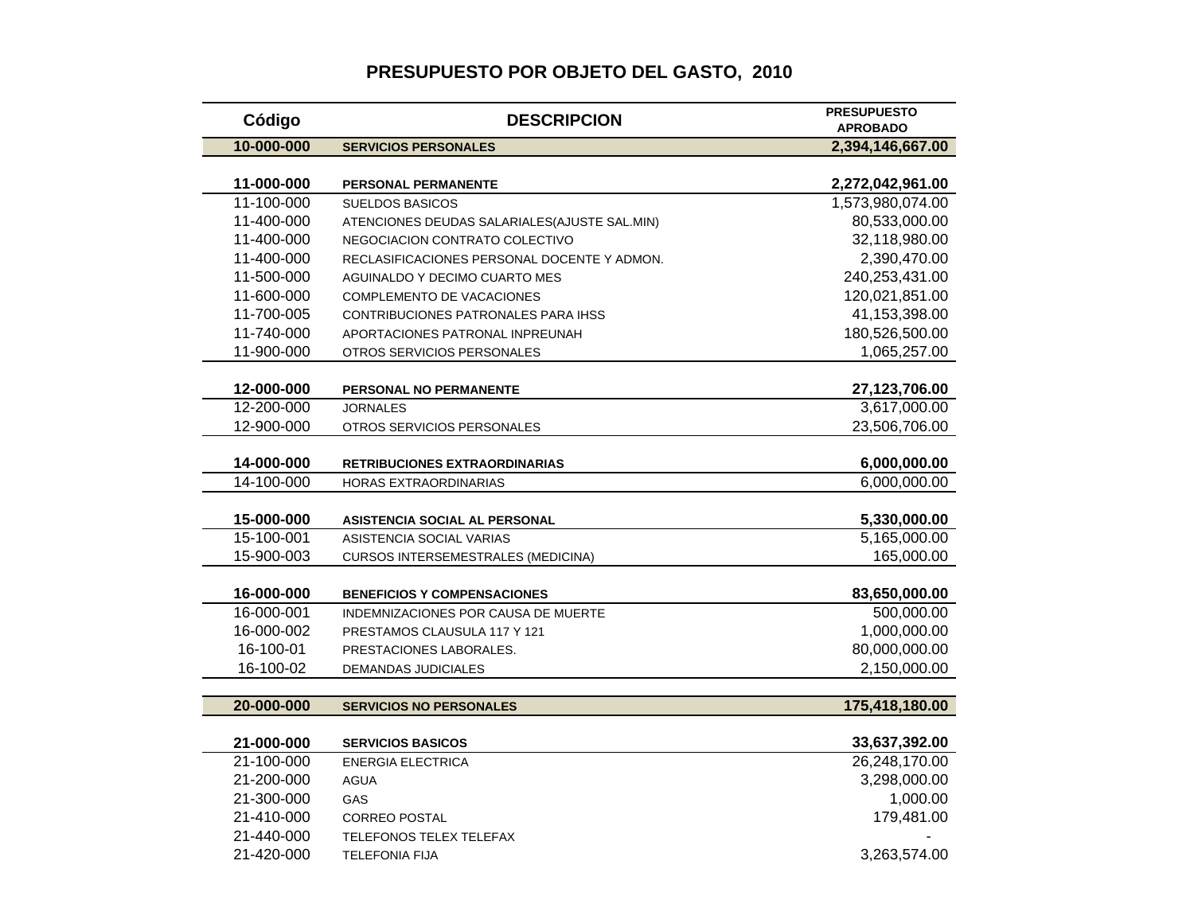### **PRESUPUESTO POR OBJETO DEL GASTO, 2010**

| Código     | <b>DESCRIPCION</b>                            | <b>PRESUPUESTO</b><br><b>APROBADO</b> |
|------------|-----------------------------------------------|---------------------------------------|
| 10-000-000 | <b>SERVICIOS PERSONALES</b>                   | 2,394,146,667.00                      |
|            |                                               |                                       |
| 11-000-000 | <b>PERSONAL PERMANENTE</b>                    | 2,272,042,961.00                      |
| 11-100-000 | <b>SUELDOS BASICOS</b>                        | 1,573,980,074.00                      |
| 11-400-000 | ATENCIONES DEUDAS SALARIALES (AJUSTE SAL.MIN) | 80,533,000.00                         |
| 11-400-000 | NEGOCIACION CONTRATO COLECTIVO                | 32,118,980.00                         |
| 11-400-000 | RECLASIFICACIONES PERSONAL DOCENTE Y ADMON.   | 2,390,470.00                          |
| 11-500-000 | AGUINALDO Y DECIMO CUARTO MES                 | 240,253,431.00                        |
| 11-600-000 | COMPLEMENTO DE VACACIONES                     | 120,021,851.00                        |
| 11-700-005 | CONTRIBUCIONES PATRONALES PARA IHSS           | 41,153,398.00                         |
| 11-740-000 | APORTACIONES PATRONAL INPREUNAH               | 180,526,500.00                        |
| 11-900-000 | OTROS SERVICIOS PERSONALES                    | 1,065,257.00                          |
|            |                                               |                                       |
| 12-000-000 | PERSONAL NO PERMANENTE                        | 27,123,706.00                         |
| 12-200-000 | <b>JORNALES</b>                               | 3,617,000.00                          |
| 12-900-000 | OTROS SERVICIOS PERSONALES                    | 23,506,706.00                         |
| 14-000-000 | <b>RETRIBUCIONES EXTRAORDINARIAS</b>          | 6,000,000.00                          |
| 14-100-000 | HORAS EXTRAORDINARIAS                         | 6,000,000.00                          |
|            |                                               |                                       |
| 15-000-000 | ASISTENCIA SOCIAL AL PERSONAL                 | 5,330,000.00                          |
| 15-100-001 | ASISTENCIA SOCIAL VARIAS                      | 5,165,000.00                          |
| 15-900-003 | CURSOS INTERSEMESTRALES (MEDICINA)            | 165,000.00                            |
| 16-000-000 | <b>BENEFICIOS Y COMPENSACIONES</b>            | 83,650,000.00                         |
| 16-000-001 | INDEMNIZACIONES POR CAUSA DE MUERTE           | 500,000.00                            |
| 16-000-002 | PRESTAMOS CLAUSULA 117 Y 121                  | 1,000,000.00                          |
| 16-100-01  | PRESTACIONES LABORALES.                       | 80,000,000.00                         |
| 16-100-02  | <b>DEMANDAS JUDICIALES</b>                    | 2,150,000.00                          |
|            |                                               |                                       |
| 20-000-000 | <b>SERVICIOS NO PERSONALES</b>                | 175,418,180.00                        |
|            |                                               |                                       |
| 21-000-000 | <b>SERVICIOS BASICOS</b>                      | 33,637,392.00                         |
| 21-100-000 | <b>ENERGIA ELECTRICA</b>                      | 26,248,170.00                         |
| 21-200-000 | <b>AGUA</b>                                   | 3,298,000.00                          |
| 21-300-000 | <b>GAS</b>                                    | 1,000.00                              |
| 21-410-000 | <b>CORREO POSTAL</b>                          | 179,481.00                            |
| 21-440-000 | <b>TELEFONOS TELEX TELEFAX</b>                |                                       |
| 21-420-000 | <b>TELEFONIA FIJA</b>                         | 3,263,574.00                          |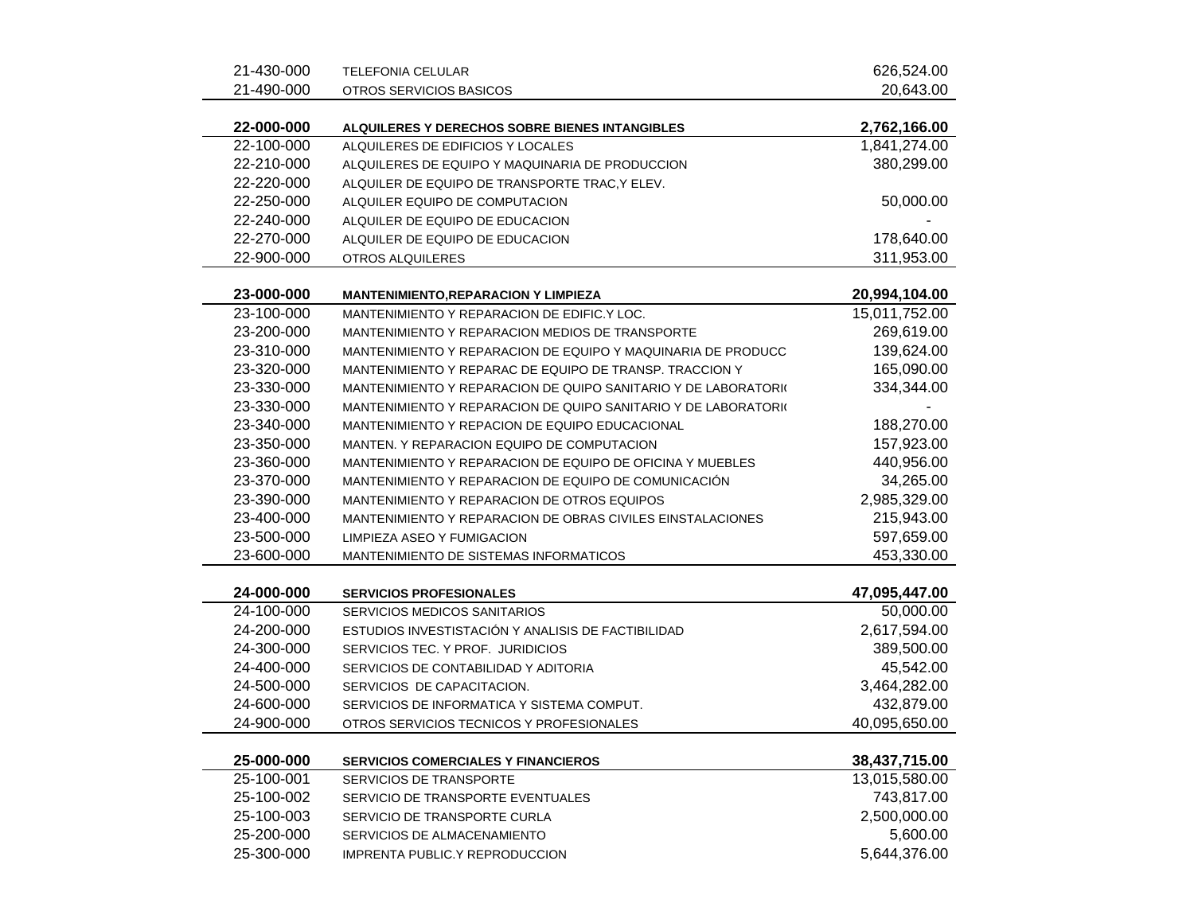| 21-430-000 | <b>TELEFONIA CELULAR</b>                                       | 626,524.00    |
|------------|----------------------------------------------------------------|---------------|
| 21-490-000 | OTROS SERVICIOS BASICOS                                        | 20,643.00     |
| 22-000-000 | ALQUILERES Y DERECHOS SOBRE BIENES INTANGIBLES                 | 2,762,166.00  |
| 22-100-000 | ALQUILERES DE EDIFICIOS Y LOCALES                              | 1,841,274.00  |
| 22-210-000 | ALQUILERES DE EQUIPO Y MAQUINARIA DE PRODUCCION                | 380,299.00    |
| 22-220-000 | ALQUILER DE EQUIPO DE TRANSPORTE TRAC, Y ELEV.                 |               |
| 22-250-000 | ALQUILER EQUIPO DE COMPUTACION                                 | 50,000.00     |
| 22-240-000 | ALQUILER DE EQUIPO DE EDUCACION                                |               |
| 22-270-000 | ALQUILER DE EQUIPO DE EDUCACION                                | 178,640.00    |
| 22-900-000 | OTROS ALQUILERES                                               | 311,953.00    |
| 23-000-000 | <b>MANTENIMIENTO, REPARACION Y LIMPIEZA</b>                    | 20,994,104.00 |
| 23-100-000 | MANTENIMIENTO Y REPARACION DE EDIFIC.Y LOC.                    | 15,011,752.00 |
| 23-200-000 | MANTENIMIENTO Y REPARACION MEDIOS DE TRANSPORTE                | 269,619.00    |
| 23-310-000 | MANTENIMIENTO Y REPARACION DE EQUIPO Y MAQUINARIA DE PRODUCC   | 139,624.00    |
| 23-320-000 | MANTENIMIENTO Y REPARAC DE EQUIPO DE TRANSP. TRACCION Y        | 165,090.00    |
| 23-330-000 | MANTENIMIENTO Y REPARACION DE QUIPO SANITARIO Y DE LABORATORIO | 334,344.00    |
| 23-330-000 | MANTENIMIENTO Y REPARACION DE QUIPO SANITARIO Y DE LABORATORIO |               |
| 23-340-000 | MANTENIMIENTO Y REPACION DE EQUIPO EDUCACIONAL                 | 188,270.00    |
| 23-350-000 | MANTEN. Y REPARACION EQUIPO DE COMPUTACION                     | 157,923.00    |
| 23-360-000 | MANTENIMIENTO Y REPARACION DE EQUIPO DE OFICINA Y MUEBLES      | 440,956.00    |
| 23-370-000 | MANTENIMIENTO Y REPARACION DE EQUIPO DE COMUNICACIÓN           | 34,265.00     |
| 23-390-000 | MANTENIMIENTO Y REPARACION DE OTROS EQUIPOS                    | 2,985,329.00  |
| 23-400-000 | MANTENIMIENTO Y REPARACION DE OBRAS CIVILES EINSTALACIONES     | 215,943.00    |
| 23-500-000 | LIMPIEZA ASEO Y FUMIGACION                                     | 597,659.00    |
| 23-600-000 | MANTENIMIENTO DE SISTEMAS INFORMATICOS                         | 453,330.00    |
| 24-000-000 | <b>SERVICIOS PROFESIONALES</b>                                 | 47,095,447.00 |
| 24-100-000 | SERVICIOS MEDICOS SANITARIOS                                   | 50,000.00     |
| 24-200-000 | ESTUDIOS INVESTISTACIÓN Y ANALISIS DE FACTIBILIDAD             | 2,617,594.00  |
| 24-300-000 | SERVICIOS TEC. Y PROF. JURIDICIOS                              | 389,500.00    |
| 24-400-000 | SERVICIOS DE CONTABILIDAD Y ADITORIA                           | 45,542.00     |
| 24-500-000 | SERVICIOS DE CAPACITACION.                                     | 3,464,282.00  |
| 24-600-000 | SERVICIOS DE INFORMATICA Y SISTEMA COMPUT.                     | 432,879.00    |
| 24-900-000 | OTROS SERVICIOS TECNICOS Y PROFESIONALES                       | 40,095,650.00 |
| 25-000-000 | <b>SERVICIOS COMERCIALES Y FINANCIEROS</b>                     | 38,437,715.00 |
| 25-100-001 | SERVICIOS DE TRANSPORTE                                        | 13,015,580.00 |
| 25-100-002 | SERVICIO DE TRANSPORTE EVENTUALES                              | 743,817.00    |
| 25-100-003 | SERVICIO DE TRANSPORTE CURLA                                   | 2,500,000.00  |
| 25-200-000 | SERVICIOS DE ALMACENAMIENTO                                    | 5,600.00      |
| 25-300-000 | IMPRENTA PUBLIC.Y REPRODUCCION                                 | 5,644,376.00  |
|            |                                                                |               |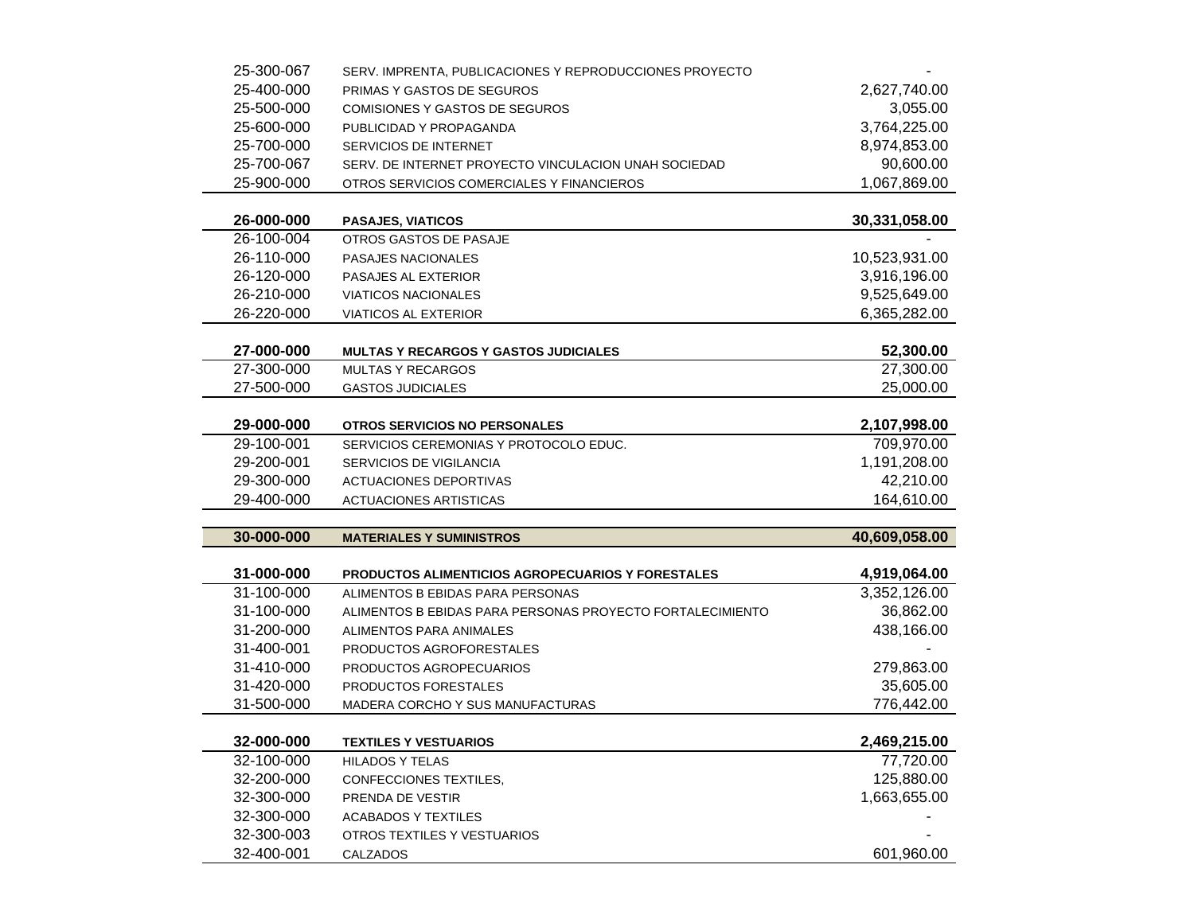| 25-300-067               | SERV. IMPRENTA, PUBLICACIONES Y REPRODUCCIONES PROYECTO   |                              |
|--------------------------|-----------------------------------------------------------|------------------------------|
| 25-400-000               | PRIMAS Y GASTOS DE SEGUROS                                | 2,627,740.00                 |
| 25-500-000               | <b>COMISIONES Y GASTOS DE SEGUROS</b>                     | 3,055.00                     |
| 25-600-000               | PUBLICIDAD Y PROPAGANDA                                   | 3,764,225.00                 |
| 25-700-000               | SERVICIOS DE INTERNET                                     | 8,974,853.00                 |
| 25-700-067               | SERV. DE INTERNET PROYECTO VINCULACION UNAH SOCIEDAD      | 90,600.00                    |
| 25-900-000               | OTROS SERVICIOS COMERCIALES Y FINANCIEROS                 | 1,067,869.00                 |
|                          |                                                           |                              |
| 26-000-000               | <b>PASAJES, VIATICOS</b>                                  | 30,331,058.00                |
| 26-100-004               | OTROS GASTOS DE PASAJE                                    |                              |
| 26-110-000               | <b>PASAJES NACIONALES</b>                                 | 10,523,931.00                |
| 26-120-000               | PASAJES AL EXTERIOR                                       | 3,916,196.00                 |
| 26-210-000               | <b>VIATICOS NACIONALES</b>                                | 9,525,649.00                 |
| 26-220-000               | VIATICOS AL EXTERIOR                                      | 6,365,282.00                 |
|                          |                                                           |                              |
| 27-000-000               | <b>MULTAS Y RECARGOS Y GASTOS JUDICIALES</b>              | 52,300.00                    |
| 27-300-000               | <b>MULTAS Y RECARGOS</b>                                  | 27,300.00                    |
| 27-500-000               | <b>GASTOS JUDICIALES</b>                                  | 25,000.00                    |
|                          |                                                           |                              |
| 29-000-000               | <b>OTROS SERVICIOS NO PERSONALES</b>                      | 2,107,998.00                 |
| 29-100-001               | SERVICIOS CEREMONIAS Y PROTOCOLO EDUC.                    | 709,970.00                   |
| 29-200-001               | SERVICIOS DE VIGILANCIA                                   | 1,191,208.00                 |
| 29-300-000               | <b>ACTUACIONES DEPORTIVAS</b>                             | 42,210.00                    |
| 29-400-000               | <b>ACTUACIONES ARTISTICAS</b>                             | 164,610.00                   |
|                          |                                                           |                              |
| 30-000-000               | <b>MATERIALES Y SUMINISTROS</b>                           | 40,609,058.00                |
|                          |                                                           |                              |
| 31-000-000<br>31-100-000 | <b>PRODUCTOS ALIMENTICIOS AGROPECUARIOS Y FORESTALES</b>  | 4,919,064.00<br>3,352,126.00 |
| 31-100-000               | ALIMENTOS B EBIDAS PARA PERSONAS                          | 36,862.00                    |
| 31-200-000               | ALIMENTOS B EBIDAS PARA PERSONAS PROYECTO FORTALECIMIENTO |                              |
| 31-400-001               | ALIMENTOS PARA ANIMALES                                   | 438,166.00                   |
|                          | PRODUCTOS AGROFORESTALES                                  |                              |
| 31-410-000               | PRODUCTOS AGROPECUARIOS                                   | 279,863.00                   |
| 31-420-000               | PRODUCTOS FORESTALES                                      | 35,605.00                    |
| 31-500-000               | MADERA CORCHO Y SUS MANUFACTURAS                          | 776,442.00                   |
| 32-000-000               |                                                           |                              |
|                          |                                                           |                              |
|                          | <b>TEXTILES Y VESTUARIOS</b>                              | 2,469,215.00                 |
| 32-100-000               | <b>HILADOS Y TELAS</b>                                    | 77,720.00                    |
| 32-200-000               | CONFECCIONES TEXTILES,                                    | 125,880.00                   |
| 32-300-000               | PRENDA DE VESTIR                                          | 1,663,655.00                 |
| 32-300-000               | <b>ACABADOS Y TEXTILES</b>                                |                              |
| 32-300-003<br>32-400-001 | OTROS TEXTILES Y VESTUARIOS<br>CALZADOS                   | 601,960.00                   |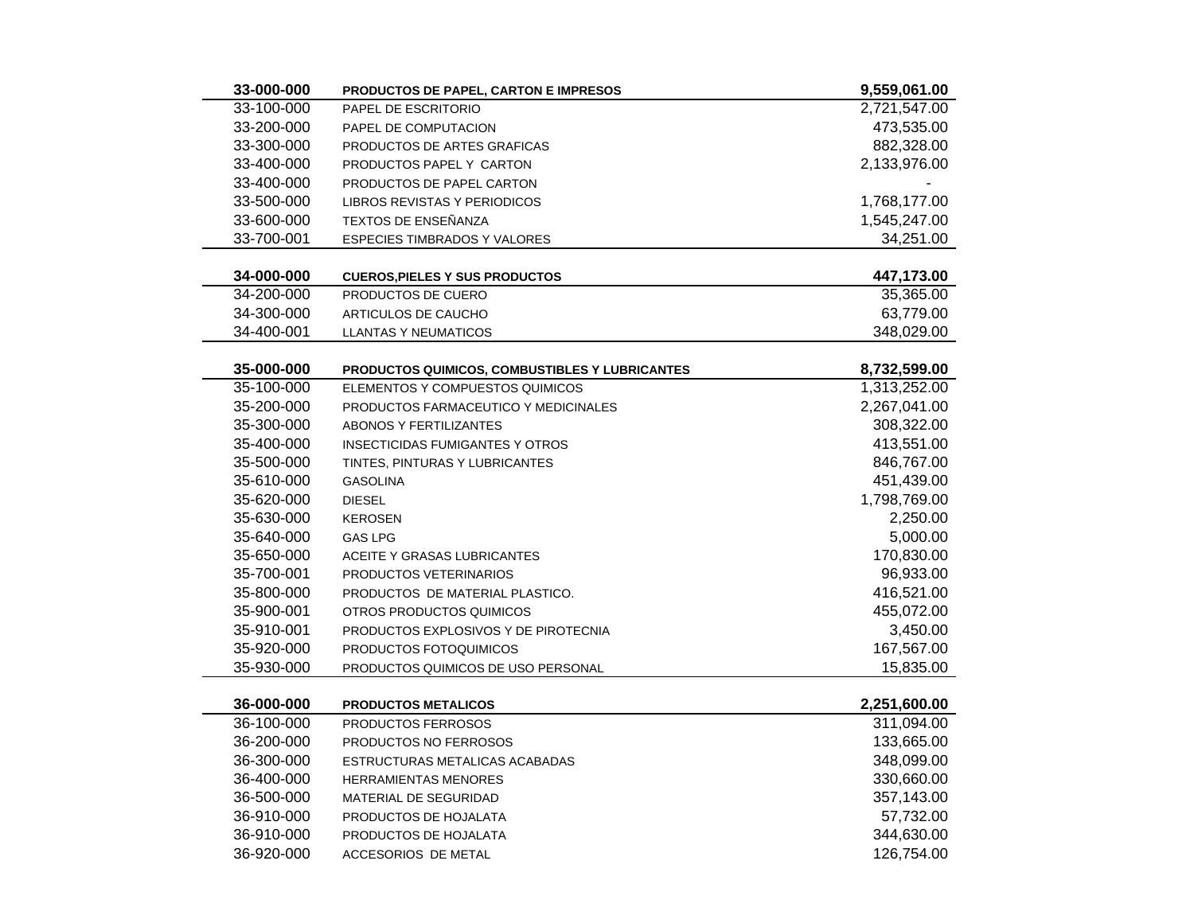| 33-000-000 | <b>PRODUCTOS DE PAPEL, CARTON E IMPRESOS</b>   | 9,559,061.00 |
|------------|------------------------------------------------|--------------|
| 33-100-000 | PAPEL DE ESCRITORIO                            | 2,721,547.00 |
| 33-200-000 | PAPEL DE COMPUTACION                           | 473,535.00   |
| 33-300-000 | PRODUCTOS DE ARTES GRAFICAS                    | 882,328.00   |
| 33-400-000 | PRODUCTOS PAPEL Y CARTON                       | 2,133,976.00 |
| 33-400-000 | PRODUCTOS DE PAPEL CARTON                      |              |
| 33-500-000 | <b>LIBROS REVISTAS Y PERIODICOS</b>            | 1,768,177.00 |
| 33-600-000 | TEXTOS DE ENSEÑANZA                            | 1,545,247.00 |
| 33-700-001 | <b>ESPECIES TIMBRADOS Y VALORES</b>            | 34,251.00    |
|            |                                                |              |
| 34-000-000 | <b>CUEROS, PIELES Y SUS PRODUCTOS</b>          | 447,173.00   |
| 34-200-000 | PRODUCTOS DE CUERO                             | 35,365.00    |
| 34-300-000 | ARTICULOS DE CAUCHO                            | 63,779.00    |
| 34-400-001 | LLANTAS Y NEUMATICOS                           | 348,029.00   |
|            |                                                |              |
| 35-000-000 | PRODUCTOS QUIMICOS, COMBUSTIBLES Y LUBRICANTES | 8,732,599.00 |
| 35-100-000 | ELEMENTOS Y COMPUESTOS QUIMICOS                | 1,313,252.00 |
| 35-200-000 | PRODUCTOS FARMACEUTICO Y MEDICINALES           | 2,267,041.00 |
| 35-300-000 | <b>ABONOS Y FERTILIZANTES</b>                  | 308,322.00   |
| 35-400-000 | <b>INSECTICIDAS FUMIGANTES Y OTROS</b>         | 413,551.00   |
| 35-500-000 | TINTES, PINTURAS Y LUBRICANTES                 | 846,767.00   |
| 35-610-000 | <b>GASOLINA</b>                                | 451,439.00   |
| 35-620-000 | <b>DIESEL</b>                                  | 1,798,769.00 |
| 35-630-000 | <b>KEROSEN</b>                                 | 2,250.00     |
| 35-640-000 | <b>GAS LPG</b>                                 | 5,000.00     |
| 35-650-000 | ACEITE Y GRASAS LUBRICANTES                    | 170,830.00   |
| 35-700-001 | PRODUCTOS VETERINARIOS                         | 96,933.00    |
| 35-800-000 | PRODUCTOS DE MATERIAL PLASTICO.                | 416,521.00   |
| 35-900-001 | OTROS PRODUCTOS QUIMICOS                       | 455,072.00   |
| 35-910-001 | PRODUCTOS EXPLOSIVOS Y DE PIROTECNIA           | 3,450.00     |
| 35-920-000 | PRODUCTOS FOTOQUIMICOS                         | 167,567.00   |
| 35-930-000 | PRODUCTOS QUIMICOS DE USO PERSONAL             | 15,835.00    |
|            |                                                |              |
| 36-000-000 | <b>PRODUCTOS METALICOS</b>                     | 2,251,600.00 |
| 36-100-000 | PRODUCTOS FERROSOS                             | 311,094.00   |
| 36-200-000 | PRODUCTOS NO FERROSOS                          | 133,665.00   |
| 36-300-000 | ESTRUCTURAS METALICAS ACABADAS                 | 348,099.00   |
| 36-400-000 | <b>HERRAMIENTAS MENORES</b>                    | 330,660.00   |
| 36-500-000 | MATERIAL DE SEGURIDAD                          | 357,143.00   |
| 36-910-000 | PRODUCTOS DE HOJALATA                          | 57,732.00    |
| 36-910-000 | PRODUCTOS DE HOJALATA                          | 344,630.00   |
| 36-920-000 | <b>ACCESORIOS DE METAL</b>                     | 126,754.00   |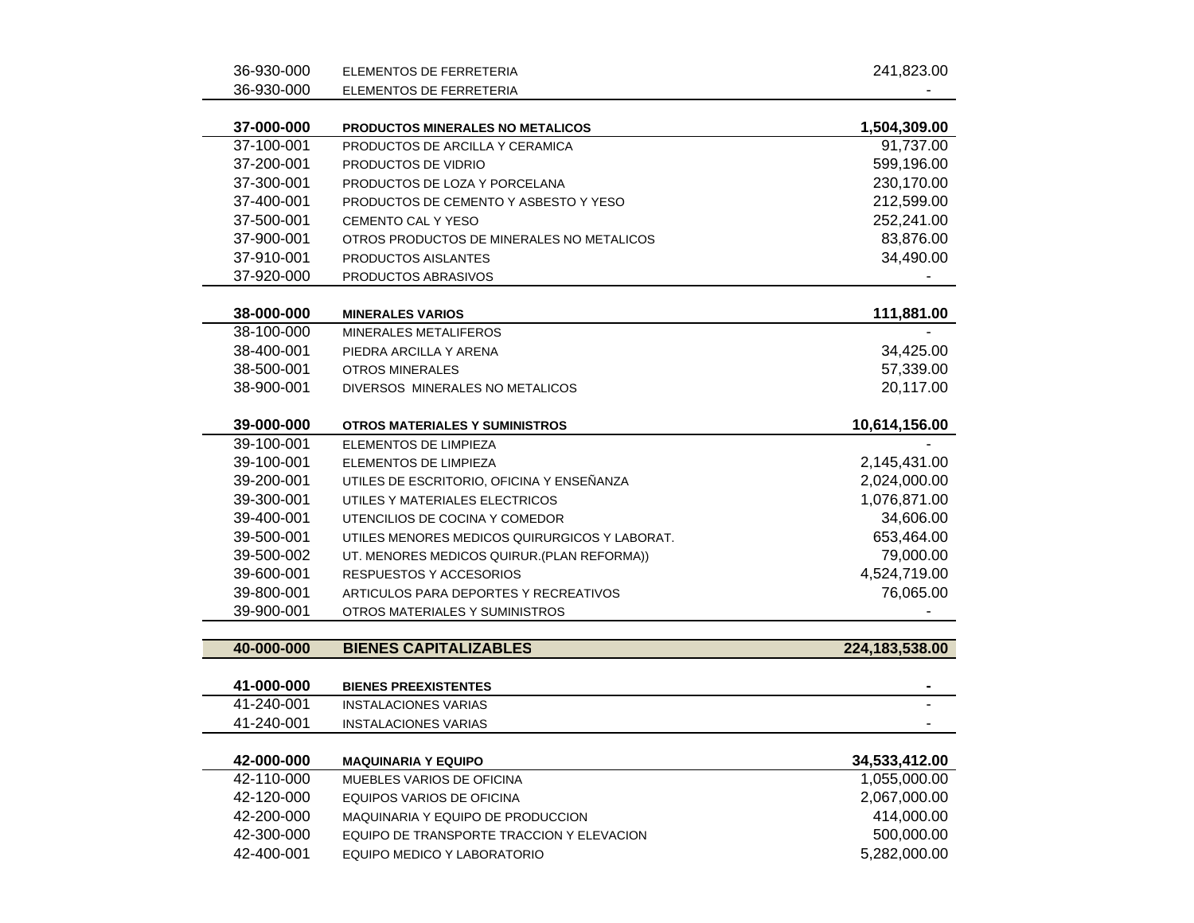| 36-930-000               | ELEMENTOS DE FERRETERIA                          | 241,823.00     |
|--------------------------|--------------------------------------------------|----------------|
| 36-930-000               | ELEMENTOS DE FERRETERIA                          |                |
| 37-000-000               | PRODUCTOS MINERALES NO METALICOS                 | 1,504,309.00   |
| 37-100-001               | PRODUCTOS DE ARCILLA Y CERAMICA                  | 91,737.00      |
| 37-200-001               | PRODUCTOS DE VIDRIO                              | 599,196.00     |
| 37-300-001               | PRODUCTOS DE LOZA Y PORCELANA                    | 230,170.00     |
| 37-400-001               | PRODUCTOS DE CEMENTO Y ASBESTO Y YESO            | 212,599.00     |
| 37-500-001               | CEMENTO CAL Y YESO                               | 252,241.00     |
| 37-900-001               | OTROS PRODUCTOS DE MINERALES NO METALICOS        | 83,876.00      |
| 37-910-001               | PRODUCTOS AISLANTES                              | 34,490.00      |
| 37-920-000               | PRODUCTOS ABRASIVOS                              |                |
|                          |                                                  |                |
| 38-000-000<br>38-100-000 | <b>MINERALES VARIOS</b><br>MINERALES METALIFEROS | 111,881.00     |
| 38-400-001               | PIEDRA ARCILLA Y ARENA                           | 34,425.00      |
| 38-500-001               | <b>OTROS MINERALES</b>                           | 57,339.00      |
| 38-900-001               | DIVERSOS MINERALES NO METALICOS                  | 20,117.00      |
|                          |                                                  |                |
| 39-000-000               | <b>OTROS MATERIALES Y SUMINISTROS</b>            | 10,614,156.00  |
| 39-100-001               | ELEMENTOS DE LIMPIEZA                            |                |
| 39-100-001               | ELEMENTOS DE LIMPIEZA                            | 2,145,431.00   |
| 39-200-001               | UTILES DE ESCRITORIO, OFICINA Y ENSEÑANZA        | 2,024,000.00   |
| 39-300-001               | UTILES Y MATERIALES ELECTRICOS                   | 1,076,871.00   |
| 39-400-001               | UTENCILIOS DE COCINA Y COMEDOR                   | 34,606.00      |
| 39-500-001               | UTILES MENORES MEDICOS QUIRURGICOS Y LABORAT.    | 653,464.00     |
| 39-500-002               | UT. MENORES MEDICOS QUIRUR.(PLAN REFORMA))       | 79,000.00      |
| 39-600-001               | RESPUESTOS Y ACCESORIOS                          | 4,524,719.00   |
| 39-800-001               | ARTICULOS PARA DEPORTES Y RECREATIVOS            | 76,065.00      |
| 39-900-001               | OTROS MATERIALES Y SUMINISTROS                   |                |
| 40-000-000               | <b>BIENES CAPITALIZABLES</b>                     | 224,183,538.00 |
|                          |                                                  |                |
| 41-000-000               | <b>BIENES PREEXISTENTES</b>                      |                |
| 41-240-001               | <b>INSTALACIONES VARIAS</b>                      |                |
| 41-240-001               | <b>INSTALACIONES VARIAS</b>                      |                |
| 42-000-000               | <b>MAQUINARIA Y EQUIPO</b>                       | 34,533,412.00  |
| 42-110-000               | MUEBLES VARIOS DE OFICINA                        | 1,055,000.00   |
| 42-120-000               | EQUIPOS VARIOS DE OFICINA                        | 2,067,000.00   |
| 42-200-000               | <b>MAQUINARIA Y EQUIPO DE PRODUCCION</b>         | 414,000.00     |
| 42-300-000               | EQUIPO DE TRANSPORTE TRACCION Y ELEVACION        | 500,000.00     |
| 42-400-001               | EQUIPO MEDICO Y LABORATORIO                      | 5,282,000.00   |
|                          |                                                  |                |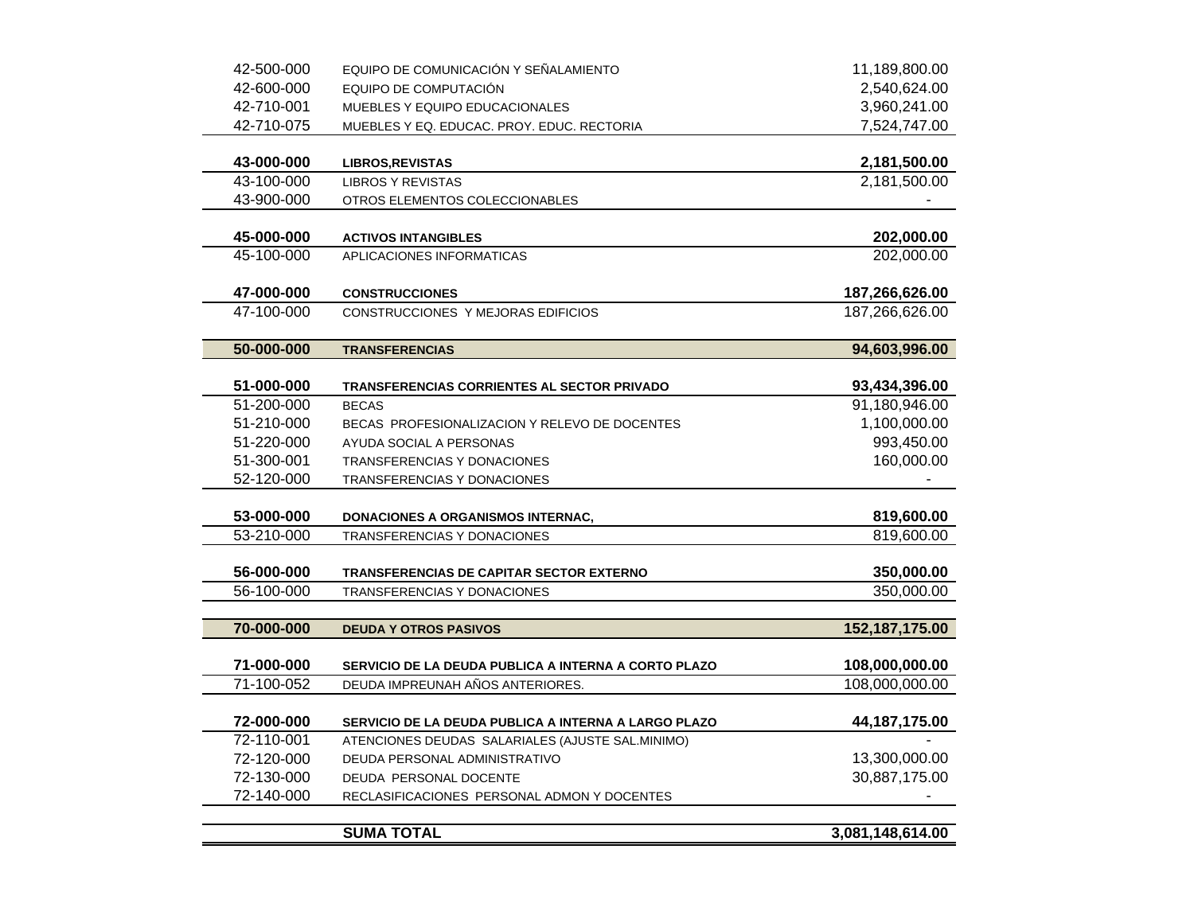| 42-500-000               | EQUIPO DE COMUNICACIÓN Y SEÑALAMIENTO                                   | 11,189,800.00            |
|--------------------------|-------------------------------------------------------------------------|--------------------------|
| 42-600-000               | EQUIPO DE COMPUTACIÓN                                                   | 2,540,624.00             |
| 42-710-001               | MUEBLES Y EQUIPO EDUCACIONALES                                          | 3,960,241.00             |
| 42-710-075               | MUEBLES Y EQ. EDUCAC. PROY. EDUC. RECTORIA                              | 7,524,747.00             |
|                          |                                                                         |                          |
| 43-000-000               | <b>LIBROS, REVISTAS</b>                                                 | 2,181,500.00             |
| 43-100-000               | <b>LIBROS Y REVISTAS</b>                                                | 2,181,500.00             |
| 43-900-000               | OTROS ELEMENTOS COLECCIONABLES                                          |                          |
|                          |                                                                         |                          |
| 45-000-000               | <b>ACTIVOS INTANGIBLES</b>                                              | 202,000.00               |
| 45-100-000               | APLICACIONES INFORMATICAS                                               | 202,000.00               |
|                          |                                                                         |                          |
| 47-000-000               | <b>CONSTRUCCIONES</b>                                                   | 187,266,626.00           |
| 47-100-000               | CONSTRUCCIONES Y MEJORAS EDIFICIOS                                      | 187,266,626.00           |
|                          |                                                                         |                          |
| 50-000-000               | <b>TRANSFERENCIAS</b>                                                   | 94,603,996.00            |
|                          |                                                                         |                          |
| 51-000-000               | <b>TRANSFERENCIAS CORRIENTES AL SECTOR PRIVADO</b>                      | 93,434,396.00            |
| 51-200-000               | <b>BECAS</b>                                                            | 91,180,946.00            |
| 51-210-000               | BECAS PROFESIONALIZACION Y RELEVO DE DOCENTES                           | 1,100,000.00             |
| 51-220-000               | AYUDA SOCIAL A PERSONAS                                                 | 993,450.00               |
| 51-300-001               | TRANSFERENCIAS Y DONACIONES                                             | 160,000.00               |
| 52-120-000               | TRANSFERENCIAS Y DONACIONES                                             |                          |
|                          |                                                                         |                          |
| 53-000-000<br>53-210-000 | <b>DONACIONES A ORGANISMOS INTERNAC,</b><br>TRANSFERENCIAS Y DONACIONES | 819,600.00<br>819,600.00 |
|                          |                                                                         |                          |
| 56-000-000               | <b>TRANSFERENCIAS DE CAPITAR SECTOR EXTERNO</b>                         | 350,000.00               |
| 56-100-000               | TRANSFERENCIAS Y DONACIONES                                             | 350,000.00               |
|                          |                                                                         |                          |
| 70-000-000               | <b>DEUDA Y OTROS PASIVOS</b>                                            | 152,187,175.00           |
|                          |                                                                         |                          |
| 71-000-000               | SERVICIO DE LA DEUDA PUBLICA A INTERNA A CORTO PLAZO                    | 108,000,000.00           |
| 71-100-052               | DEUDA IMPREUNAH AÑOS ANTERIORES.                                        | 108,000,000.00           |
|                          |                                                                         |                          |
| 72-000-000               | SERVICIO DE LA DEUDA PUBLICA A INTERNA A LARGO PLAZO                    | 44, 187, 175.00          |
| 72-110-001               | ATENCIONES DEUDAS SALARIALES (AJUSTE SAL.MINIMO)                        |                          |
| 72-120-000               | DEUDA PERSONAL ADMINISTRATIVO                                           | 13,300,000.00            |
| 72-130-000               | DEUDA PERSONAL DOCENTE                                                  | 30,887,175.00            |
| 72-140-000               | RECLASIFICACIONES PERSONAL ADMON Y DOCENTES                             |                          |
|                          |                                                                         |                          |
|                          | <b>SUMA TOTAL</b>                                                       | 3,081,148,614.00         |